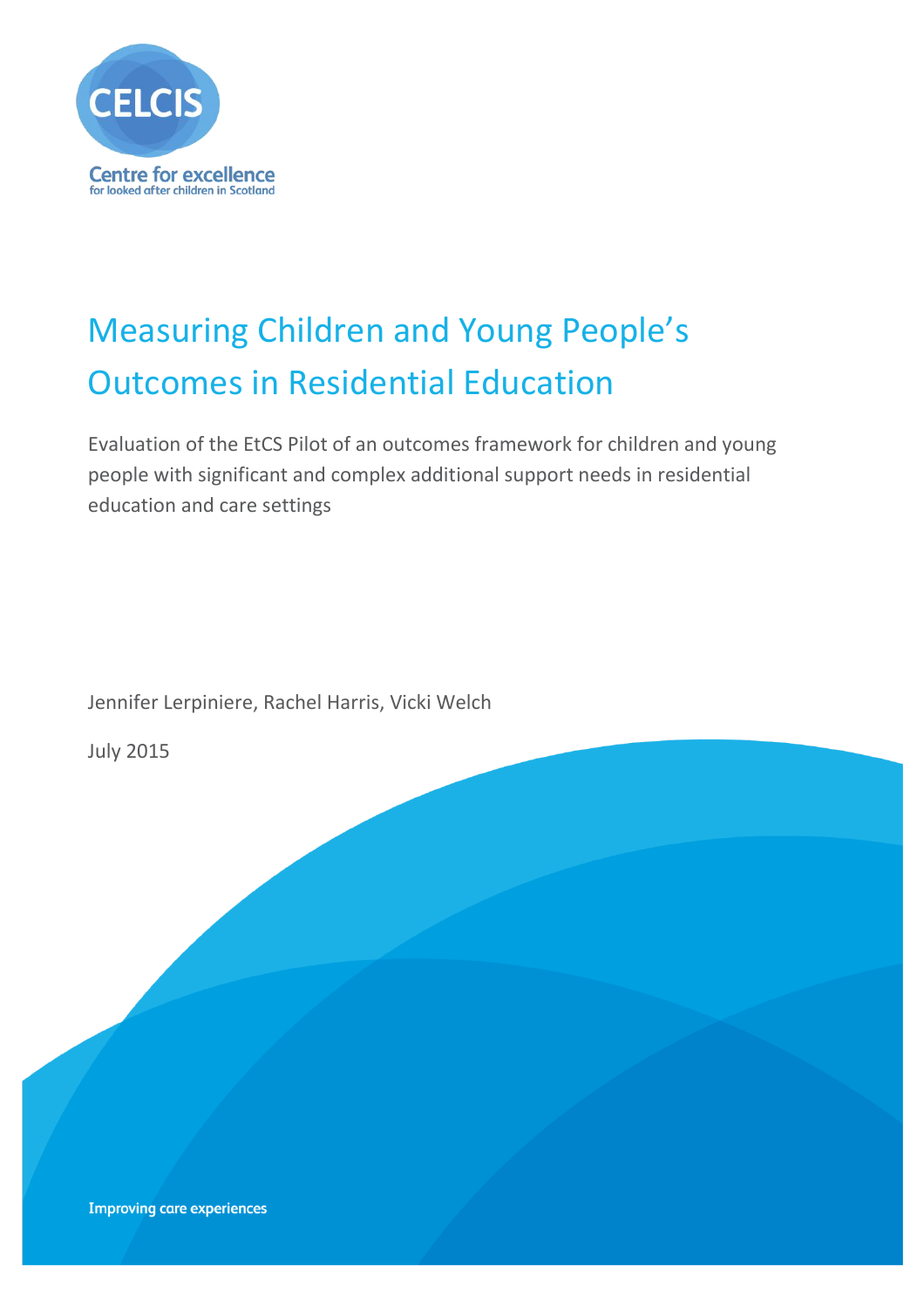

# Measuring Children and Young People's Outcomes in Residential Education

Evaluation of the EtCS Pilot of an outcomes framework for children and young people with significant and complex additional support needs in residential education and care settings

Jennifer Lerpiniere, Rachel Harris, Vicki Welch

July 2015

**Improving care experiences**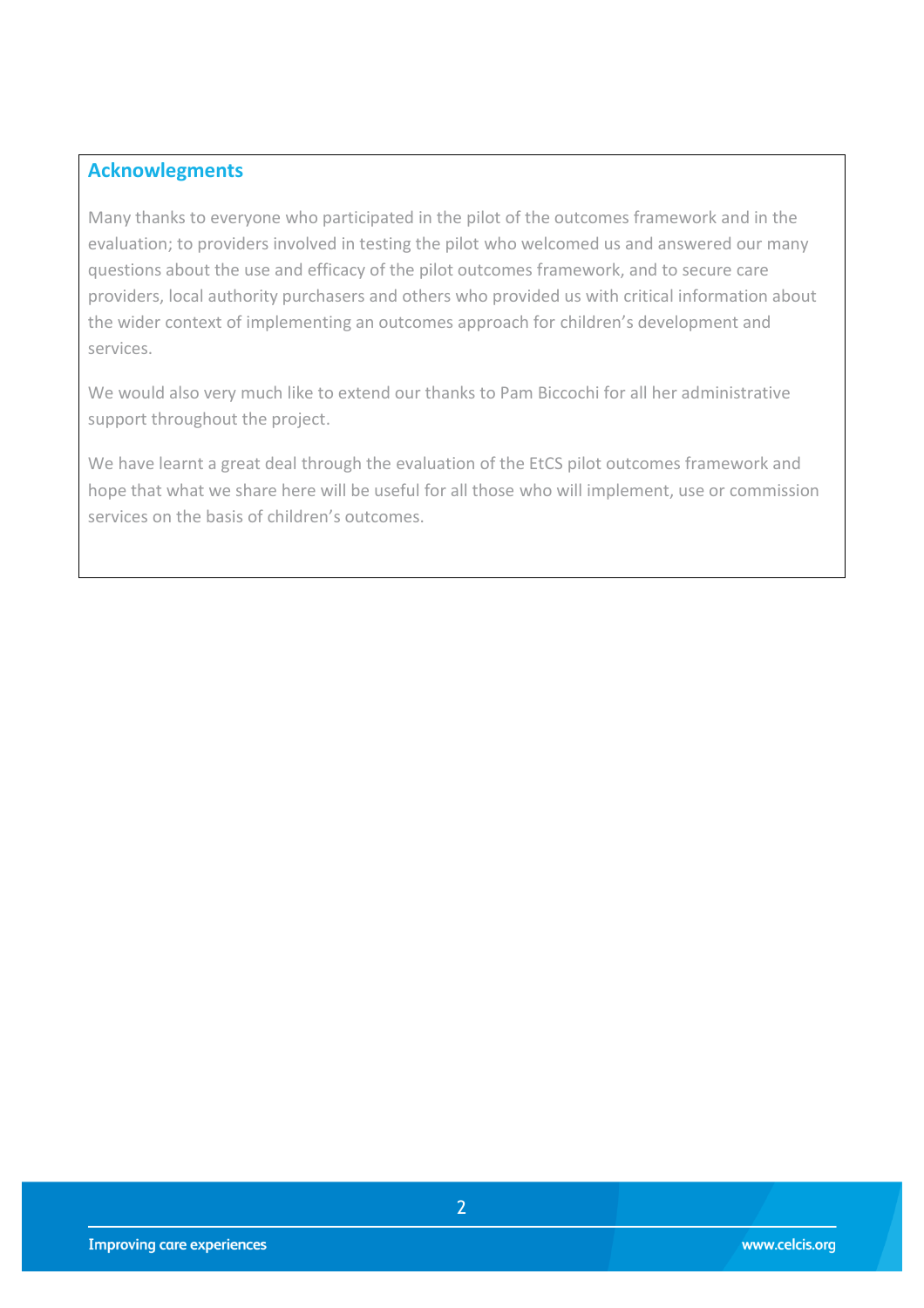#### **Acknowlegments**

Many thanks to everyone who participated in the pilot of the outcomes framework and in the evaluation; to providers involved in testing the pilot who welcomed us and answered our many questions about the use and efficacy of the pilot outcomes framework, and to secure care providers, local authority purchasers and others who provided us with critical information about the wider context of implementing an outcomes approach for children's development and services.

We would also very much like to extend our thanks to Pam Biccochi for all her administrative support throughout the project.

We have learnt a great deal through the evaluation of the EtCS pilot outcomes framework and hope that what we share here will be useful for all those who will implement, use or commission services on the basis of children's outcomes.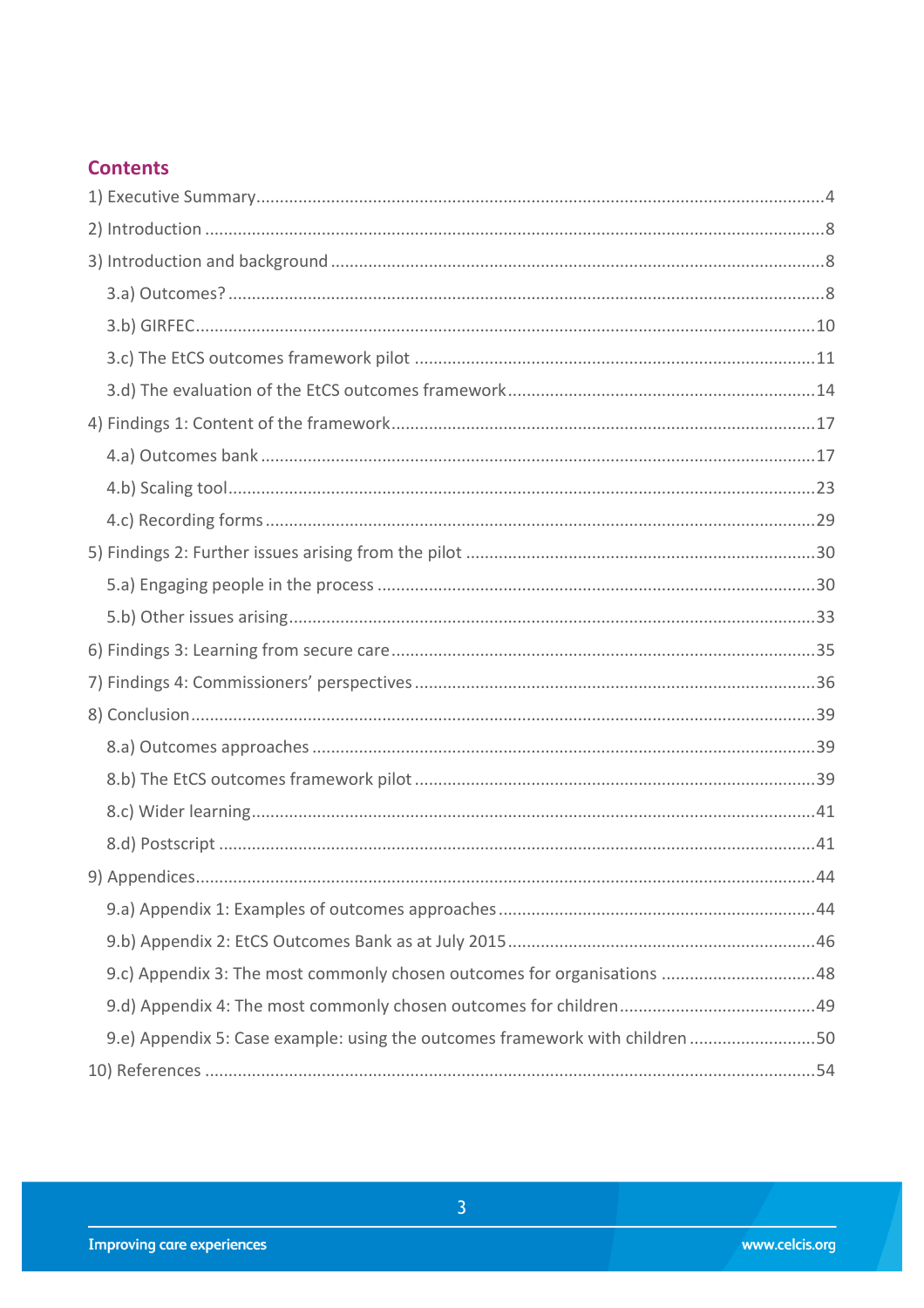## **Contents**

| 9.e) Appendix 5: Case example: using the outcomes framework with children 50 |  |
|------------------------------------------------------------------------------|--|
|                                                                              |  |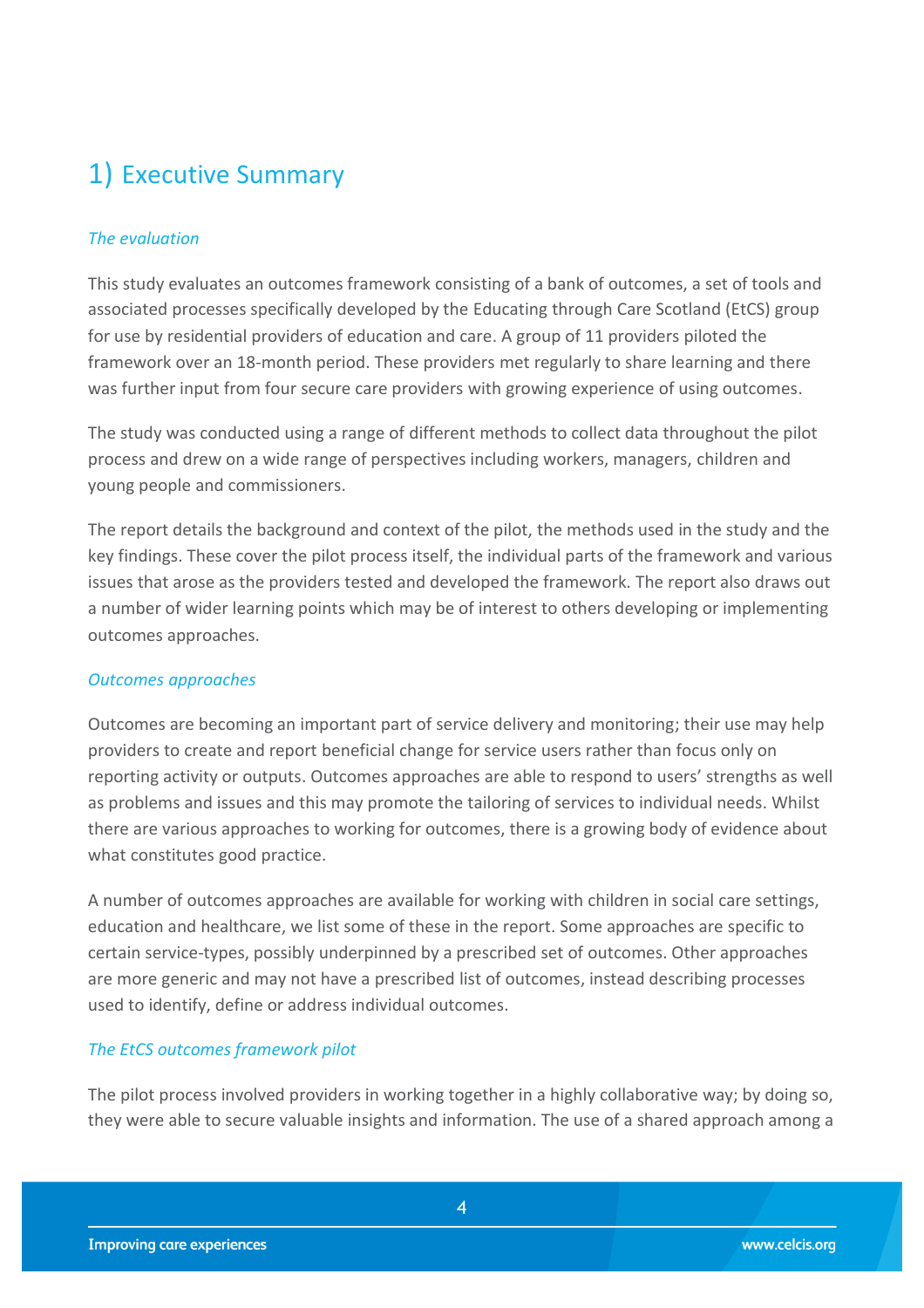## <span id="page-3-0"></span>1) Executive Summary

#### *The evaluation*

This study evaluates an outcomes framework consisting of a bank of outcomes, a set of tools and associated processes specifically developed by the Educating through Care Scotland (EtCS) group for use by residential providers of education and care. A group of 11 providers piloted the framework over an 18-month period. These providers met regularly to share learning and there was further input from four secure care providers with growing experience of using outcomes.

The study was conducted using a range of different methods to collect data throughout the pilot process and drew on a wide range of perspectives including workers, managers, children and young people and commissioners.

The report details the background and context of the pilot, the methods used in the study and the key findings. These cover the pilot process itself, the individual parts of the framework and various issues that arose as the providers tested and developed the framework. The report also draws out a number of wider learning points which may be of interest to others developing or implementing outcomes approaches.

#### *Outcomes approaches*

Outcomes are becoming an important part of service delivery and monitoring; their use may help providers to create and report beneficial change for service users rather than focus only on reporting activity or outputs. Outcomes approaches are able to respond to users' strengths as well as problems and issues and this may promote the tailoring of services to individual needs. Whilst there are various approaches to working for outcomes, there is a growing body of evidence about what constitutes good practice.

A number of outcomes approaches are available for working with children in social care settings, education and healthcare, we list some of these in the report. Some approaches are specific to certain service-types, possibly underpinned by a prescribed set of outcomes. Other approaches are more generic and may not have a prescribed list of outcomes, instead describing processes used to identify, define or address individual outcomes.

#### *The EtCS outcomes framework pilot*

The pilot process involved providers in working together in a highly collaborative way; by doing so, they were able to secure valuable insights and information. The use of a shared approach among a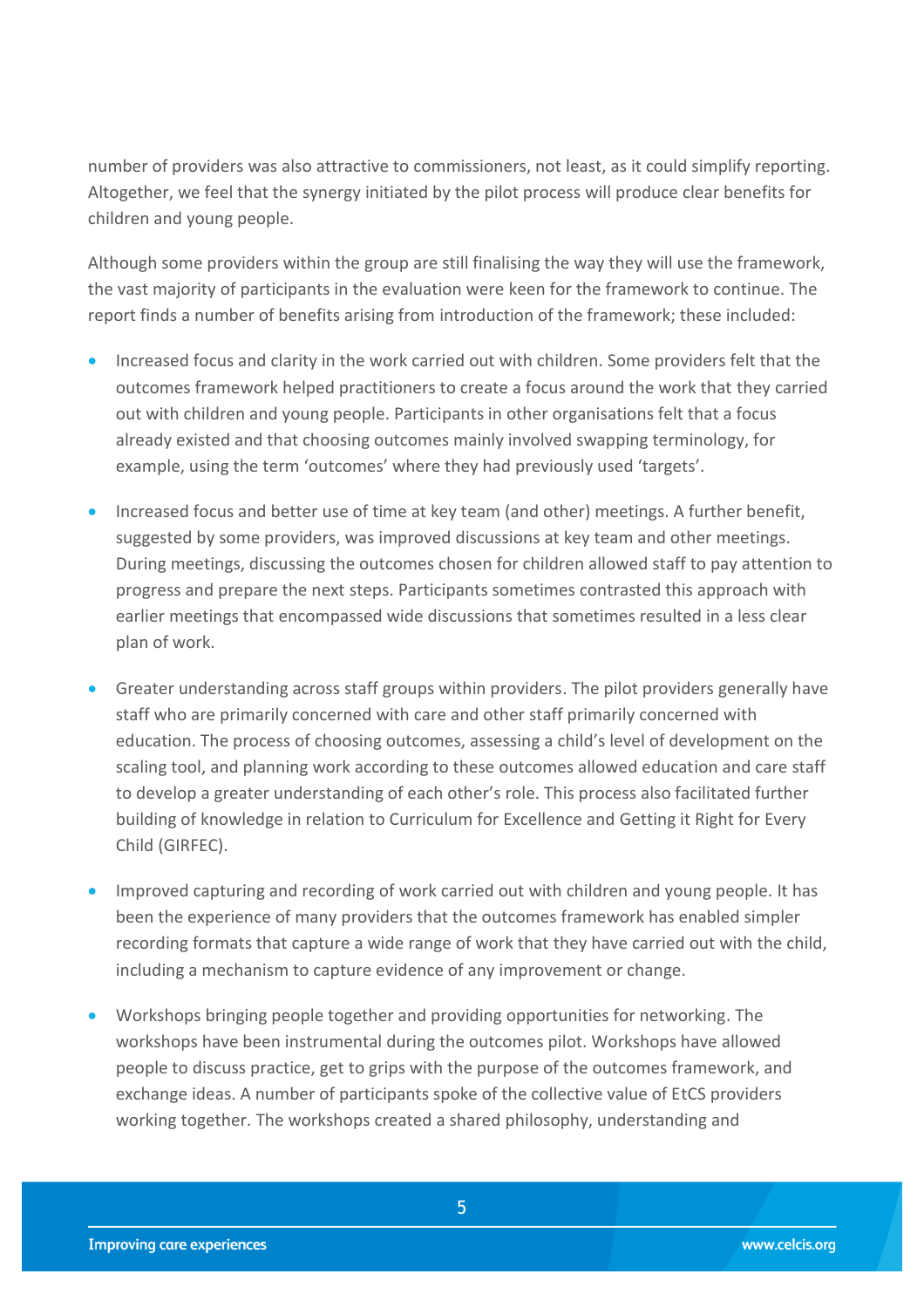number of providers was also attractive to commissioners, not least, as it could simplify reporting. Altogether, we feel that the synergy initiated by the pilot process will produce clear benefits for children and young people.

Although some providers within the group are still finalising the way they will use the framework, the vast majority of participants in the evaluation were keen for the framework to continue. The report finds a number of benefits arising from introduction of the framework; these included:

- **Increased focus and clarity in the work carried out with children. Some providers felt that the** outcomes framework helped practitioners to create a focus around the work that they carried out with children and young people. Participants in other organisations felt that a focus already existed and that choosing outcomes mainly involved swapping terminology, for example, using the term 'outcomes' where they had previously used 'targets'.
- Increased focus and better use of time at key team (and other) meetings. A further benefit, suggested by some providers, was improved discussions at key team and other meetings. During meetings, discussing the outcomes chosen for children allowed staff to pay attention to progress and prepare the next steps. Participants sometimes contrasted this approach with earlier meetings that encompassed wide discussions that sometimes resulted in a less clear plan of work.
- Greater understanding across staff groups within providers. The pilot providers generally have staff who are primarily concerned with care and other staff primarily concerned with education. The process of choosing outcomes, assessing a child's level of development on the scaling tool, and planning work according to these outcomes allowed education and care staff to develop a greater understanding of each other's role. This process also facilitated further building of knowledge in relation to Curriculum for Excellence and Getting it Right for Every Child (GIRFEC).
- Improved capturing and recording of work carried out with children and young people. It has been the experience of many providers that the outcomes framework has enabled simpler recording formats that capture a wide range of work that they have carried out with the child, including a mechanism to capture evidence of any improvement or change.
- Workshops bringing people together and providing opportunities for networking. The workshops have been instrumental during the outcomes pilot. Workshops have allowed people to discuss practice, get to grips with the purpose of the outcomes framework, and exchange ideas. A number of participants spoke of the collective value of EtCS providers working together. The workshops created a shared philosophy, understanding and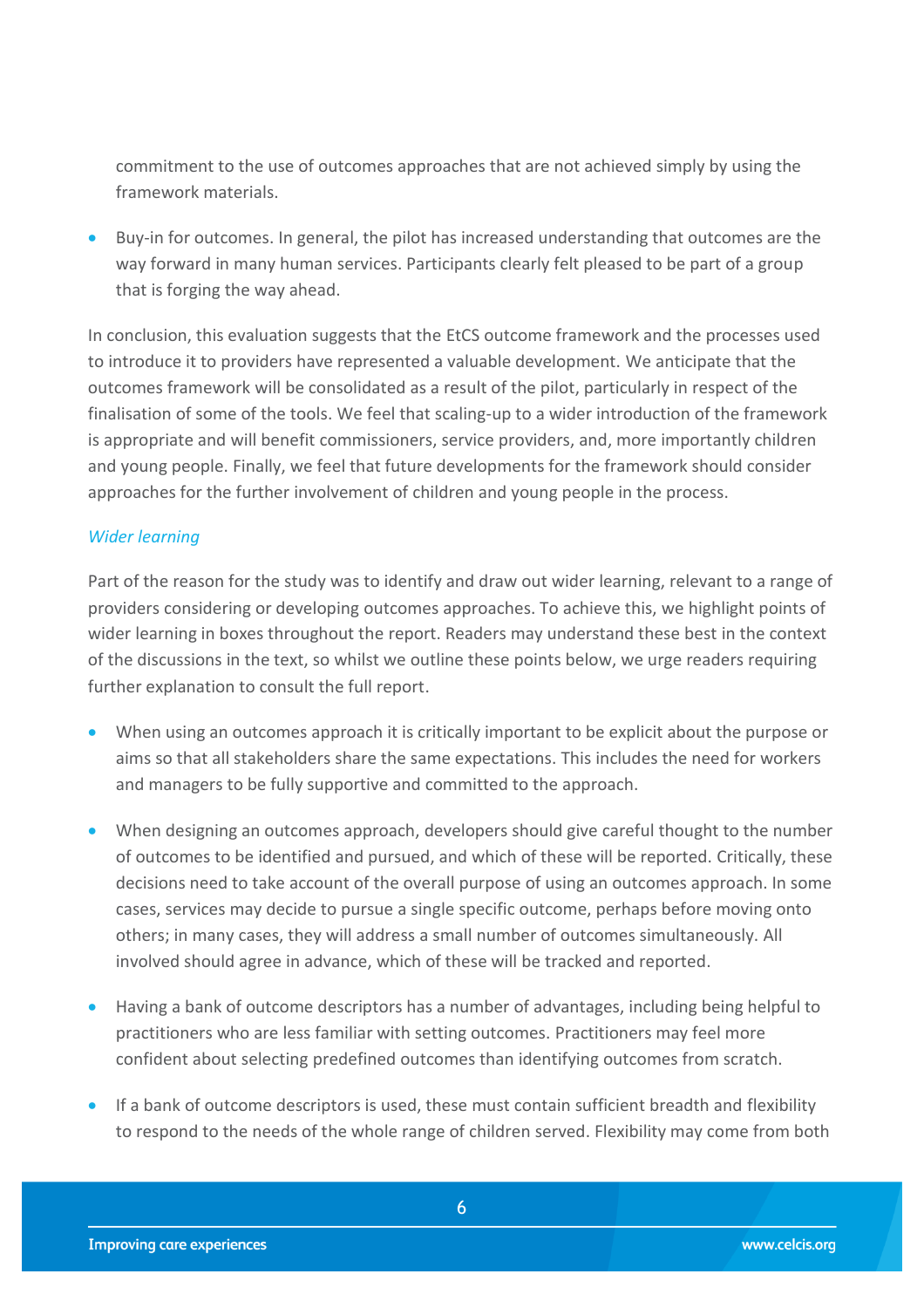commitment to the use of outcomes approaches that are not achieved simply by using the framework materials.

 Buy-in for outcomes. In general, the pilot has increased understanding that outcomes are the way forward in many human services. Participants clearly felt pleased to be part of a group that is forging the way ahead.

In conclusion, this evaluation suggests that the EtCS outcome framework and the processes used to introduce it to providers have represented a valuable development. We anticipate that the outcomes framework will be consolidated as a result of the pilot, particularly in respect of the finalisation of some of the tools. We feel that scaling-up to a wider introduction of the framework is appropriate and will benefit commissioners, service providers, and, more importantly children and young people. Finally, we feel that future developments for the framework should consider approaches for the further involvement of children and young people in the process.

#### *Wider learning*

Part of the reason for the study was to identify and draw out wider learning, relevant to a range of providers considering or developing outcomes approaches. To achieve this, we highlight points of wider learning in boxes throughout the report. Readers may understand these best in the context of the discussions in the text, so whilst we outline these points below, we urge readers requiring further explanation to consult the full report.

- When using an outcomes approach it is critically important to be explicit about the purpose or aims so that all stakeholders share the same expectations. This includes the need for workers and managers to be fully supportive and committed to the approach.
- When designing an outcomes approach, developers should give careful thought to the number of outcomes to be identified and pursued, and which of these will be reported. Critically, these decisions need to take account of the overall purpose of using an outcomes approach. In some cases, services may decide to pursue a single specific outcome, perhaps before moving onto others; in many cases, they will address a small number of outcomes simultaneously. All involved should agree in advance, which of these will be tracked and reported.
- Having a bank of outcome descriptors has a number of advantages, including being helpful to practitioners who are less familiar with setting outcomes. Practitioners may feel more confident about selecting predefined outcomes than identifying outcomes from scratch.
- **If a bank of outcome descriptors is used, these must contain sufficient breadth and flexibility** to respond to the needs of the whole range of children served. Flexibility may come from both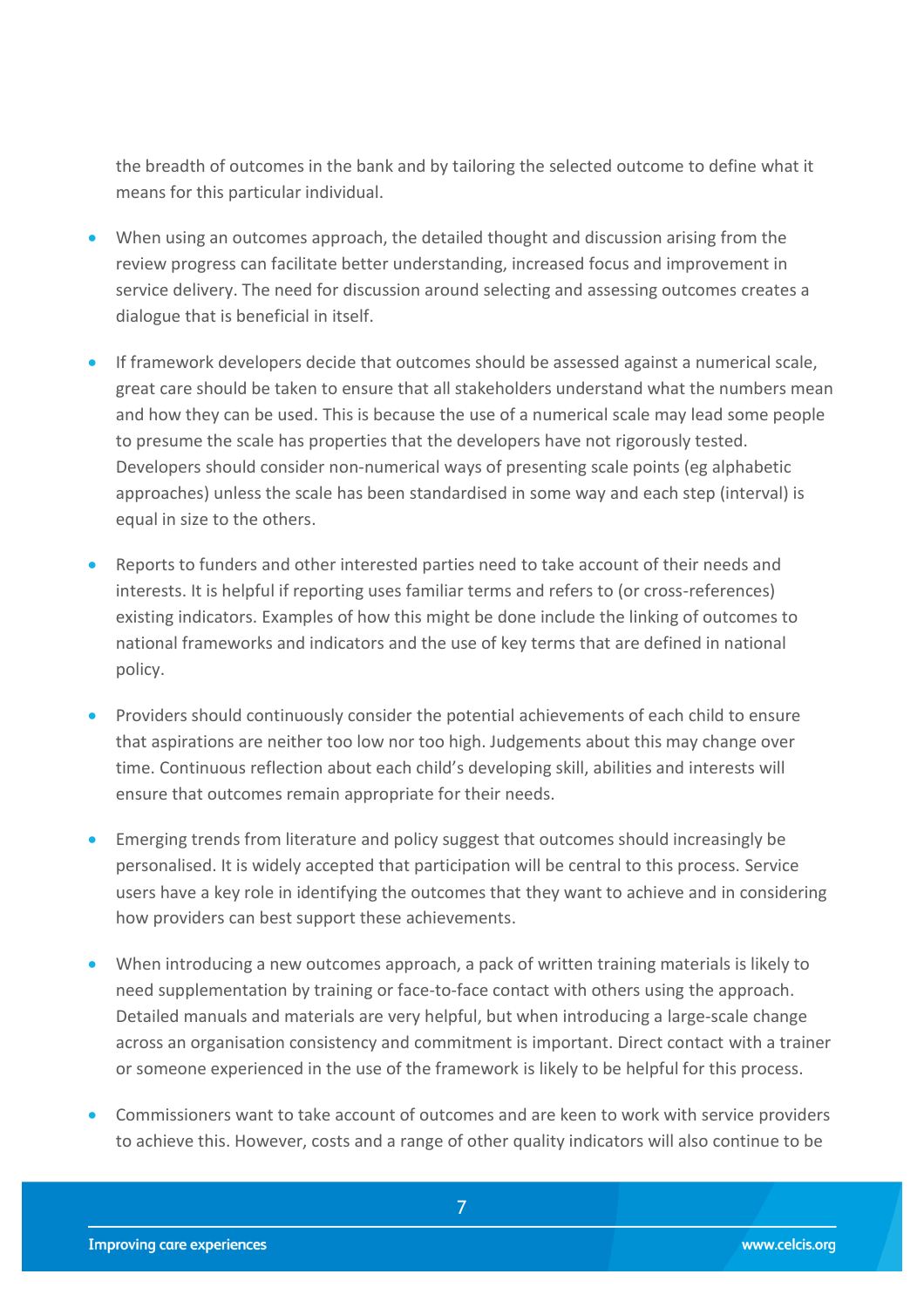the breadth of outcomes in the bank and by tailoring the selected outcome to define what it means for this particular individual.

- When using an outcomes approach, the detailed thought and discussion arising from the review progress can facilitate better understanding, increased focus and improvement in service delivery. The need for discussion around selecting and assessing outcomes creates a dialogue that is beneficial in itself.
- If framework developers decide that outcomes should be assessed against a numerical scale, great care should be taken to ensure that all stakeholders understand what the numbers mean and how they can be used. This is because the use of a numerical scale may lead some people to presume the scale has properties that the developers have not rigorously tested. Developers should consider non-numerical ways of presenting scale points (eg alphabetic approaches) unless the scale has been standardised in some way and each step (interval) is equal in size to the others.
- Reports to funders and other interested parties need to take account of their needs and interests. It is helpful if reporting uses familiar terms and refers to (or cross-references) existing indicators. Examples of how this might be done include the linking of outcomes to national frameworks and indicators and the use of key terms that are defined in national policy.
- **•** Providers should continuously consider the potential achievements of each child to ensure that aspirations are neither too low nor too high. Judgements about this may change over time. Continuous reflection about each child's developing skill, abilities and interests will ensure that outcomes remain appropriate for their needs.
- Emerging trends from literature and policy suggest that outcomes should increasingly be personalised. It is widely accepted that participation will be central to this process. Service users have a key role in identifying the outcomes that they want to achieve and in considering how providers can best support these achievements.
- When introducing a new outcomes approach, a pack of written training materials is likely to need supplementation by training or face-to-face contact with others using the approach. Detailed manuals and materials are very helpful, but when introducing a large-scale change across an organisation consistency and commitment is important. Direct contact with a trainer or someone experienced in the use of the framework is likely to be helpful for this process.
- Commissioners want to take account of outcomes and are keen to work with service providers to achieve this. However, costs and a range of other quality indicators will also continue to be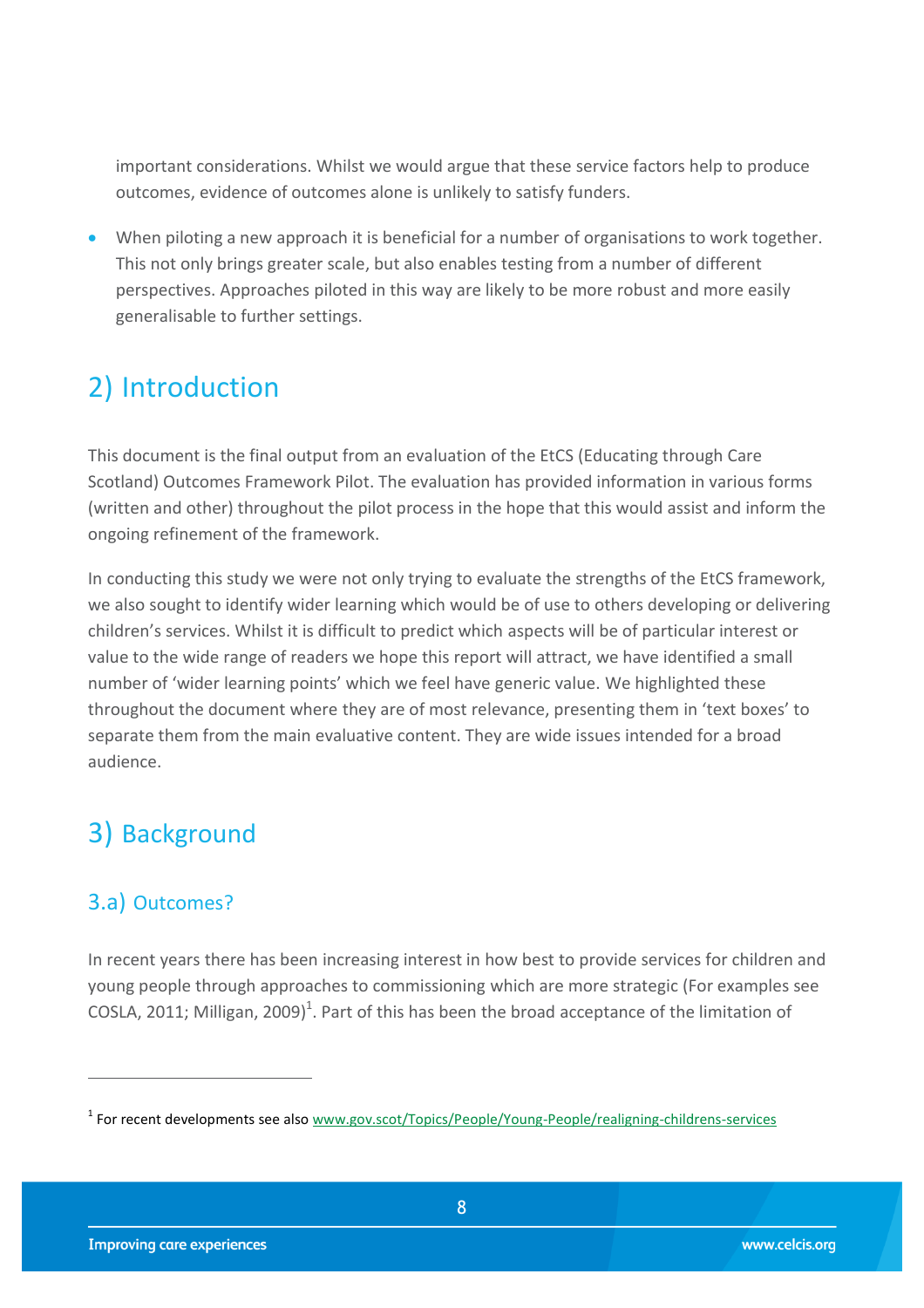important considerations. Whilst we would argue that these service factors help to produce outcomes, evidence of outcomes alone is unlikely to satisfy funders.

 When piloting a new approach it is beneficial for a number of organisations to work together. This not only brings greater scale, but also enables testing from a number of different perspectives. Approaches piloted in this way are likely to be more robust and more easily generalisable to further settings.

## <span id="page-7-0"></span>2) Introduction

This document is the final output from an evaluation of the EtCS (Educating through Care Scotland) Outcomes Framework Pilot. The evaluation has provided information in various forms (written and other) throughout the pilot process in the hope that this would assist and inform the ongoing refinement of the framework.

In conducting this study we were not only trying to evaluate the strengths of the EtCS framework, we also sought to identify wider learning which would be of use to others developing or delivering children's services. Whilst it is difficult to predict which aspects will be of particular interest or value to the wide range of readers we hope this report will attract, we have identified a small number of 'wider learning points' which we feel have generic value. We highlighted these throughout the document where they are of most relevance, presenting them in 'text boxes' to separate them from the main evaluative content. They are wide issues intended for a broad audience.

## <span id="page-7-1"></span>3) Background

## <span id="page-7-2"></span>3.a) Outcomes?

 $\overline{a}$ 

In recent years there has been increasing interest in how best to provide services for children and young people through approaches to commissioning which are more strategic (For examples see [COSLA, 2011;](#page-53-1) [Milligan, 2009\)](#page-53-2)<sup>1</sup>. Part of this has been the broad acceptance of the limitation of

<sup>&</sup>lt;sup>1</sup> For recent developments see also [www.gov.scot/Topics/People/Young-People/realigning-childrens-services](http://www.gov.scot/Topics/People/Young-People/realigning-childrens-services)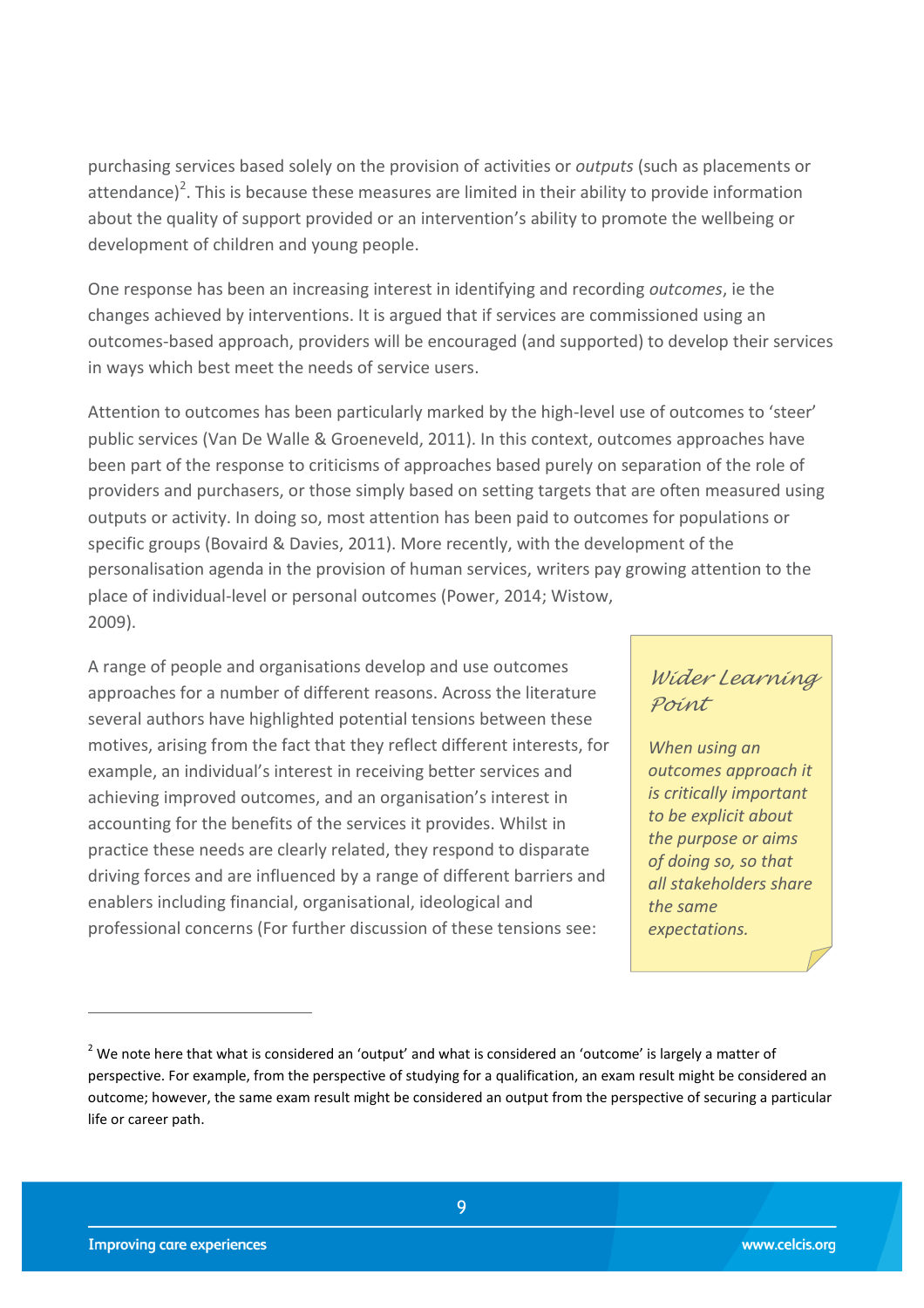purchasing services based solely on the provision of activities or *outputs* (such as placements or attendance)<sup>2</sup>. This is because these measures are limited in their ability to provide information about the quality of support provided or an intervention's ability to promote the wellbeing or development of children and young people.

One response has been an increasing interest in identifying and recording *outcomes*, ie the changes achieved by interventions. It is argued that if services are commissioned using an outcomes-based approach, providers will be encouraged (and supported) to develop their services in ways which best meet the needs of service users.

Attention to outcomes has been particularly marked by the high-level use of outcomes to 'steer' public services [\(Van De Walle & Groeneveld, 2011\)](#page-53-3). In this context, outcomes approaches have been part of the response to criticisms of approaches based purely on separation of the role of providers and purchasers, or those simply based on setting targets that are often measured using outputs or activity. In doing so, most attention has been paid to outcomes for populations or specific groups [\(Bovaird & Davies, 2011\)](#page-53-4). More recently, with the development of the personalisation agenda in the provision of human services, writers pay growing attention to the place of individual-level or personal outcomes [\(Power, 2014;](#page-53-5) [Wistow,](#page-53-6)  [2009\)](#page-53-6).

A range of people and organisations develop and use outcomes approaches for a number of different reasons. Across the literature several authors have highlighted potential tensions between these motives, arising from the fact that they reflect different interests, for example, an individual's interest in receiving better services and achieving improved outcomes, and an organisation's interest in accounting for the benefits of the services it provides. Whilst in practice these needs are clearly related, they respond to disparate driving forces and are influenced by a range of different barriers and enablers including financial, organisational, ideological and professional concerns (For further discussion of these tensions see:

### *Wider Learning Point*

*When using an outcomes approach it is critically important to be explicit about the purpose or aims of doing so, so that all stakeholders share the same expectations.*

 $2$  We note here that what is considered an 'output' and what is considered an 'outcome' is largely a matter of perspective. For example, from the perspective of studying for a qualification, an exam result might be considered an outcome; however, the same exam result might be considered an output from the perspective of securing a particular life or career path.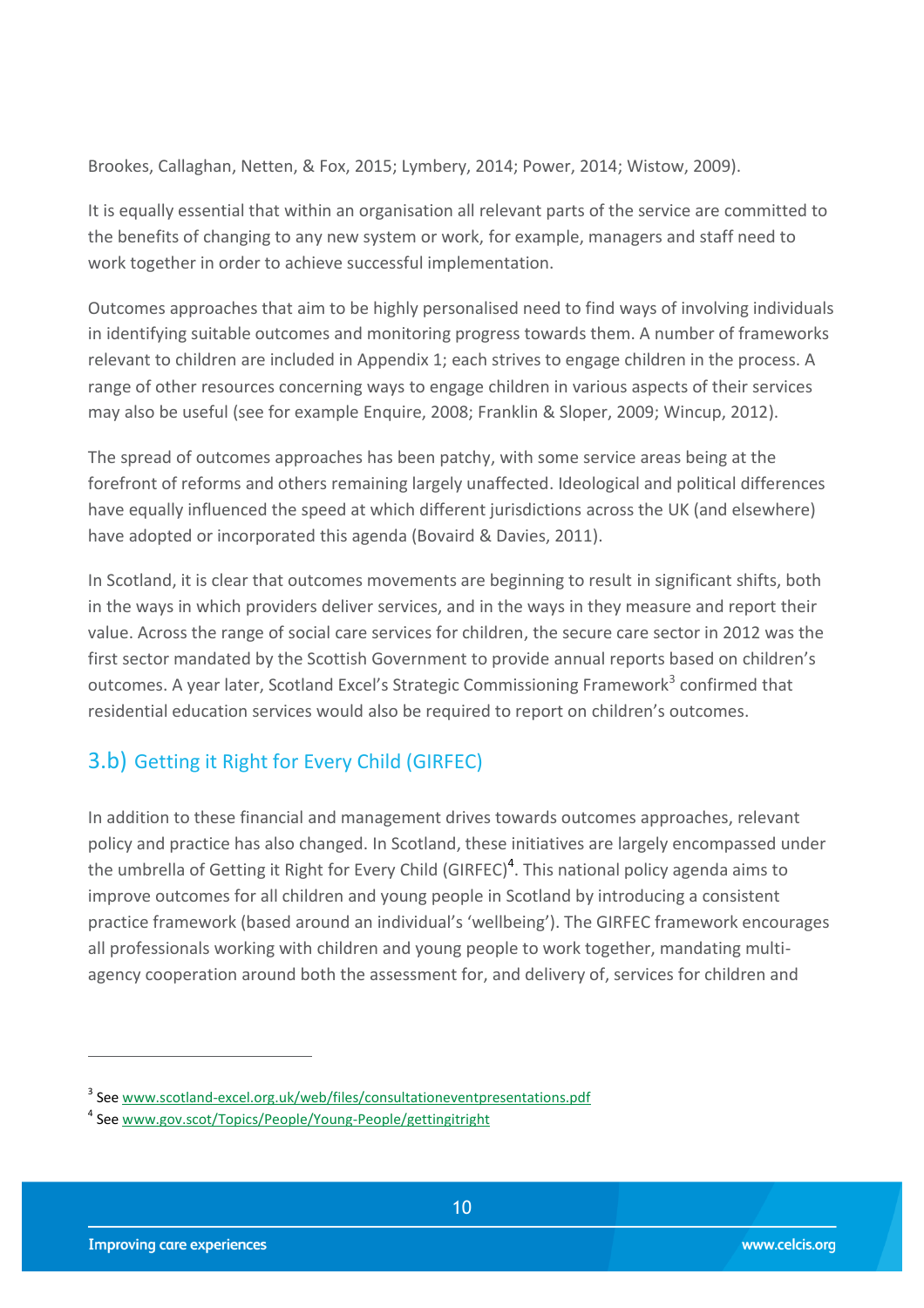Brookes, Callaghan, Netten, & Fox, 2015; Lymbery, 2014; Power, 2014; Wistow, 2009).

It is equally essential that within an organisation all relevant parts of the service are committed to the benefits of changing to any new system or work, for example, managers and staff need to work together in order to achieve successful implementation.

Outcomes approaches that aim to be highly personalised need to find ways of involving individuals in identifying suitable outcomes and monitoring progress towards them. A number of frameworks relevant to children are included in Appendix 1; each strives to engage children in the process. A range of other resources concerning ways to engage children in various aspects of their services may also be useful (see for example [Enquire, 2008;](#page-53-7) [Franklin & Sloper, 2009;](#page-53-8) [Wincup, 2012\)](#page-53-9).

The spread of outcomes approaches has been patchy, with some service areas being at the forefront of reforms and others remaining largely unaffected. Ideological and political differences have equally influenced the speed at which different jurisdictions across the UK (and elsewhere) have adopted or incorporated this agenda [\(Bovaird & Davies, 2011\)](#page-53-4).

In Scotland, it is clear that outcomes movements are beginning to result in significant shifts, both in the ways in which providers deliver services, and in the ways in they measure and report their value. Across the range of social care services for children, the secure care sector in 2012 was the first sector mandated by the Scottish Government to provide annual reports based on children's outcomes. A year later, Scotland Excel's Strategic Commissioning Framework<sup>3</sup> confirmed that residential education services would also be required to report on children's outcomes.

## <span id="page-9-0"></span>3.b) Getting it Right for Every Child (GIRFEC)

In addition to these financial and management drives towards outcomes approaches, relevant policy and practice has also changed. In Scotland, these initiatives are largely encompassed under the umbrella of Getting it Right for Every Child (GIRFEC)<sup>4</sup>. This national policy agenda aims to improve outcomes for all children and young people in Scotland by introducing a consistent practice framework (based around an individual's 'wellbeing'). The GIRFEC framework encourages all professionals working with children and young people to work together, mandating multiagency cooperation around both the assessment for, and delivery of, services for children and

<sup>&</sup>lt;sup>3</sup> See [www.scotland-excel.org.uk/web/files/consultationeventpresentations.pdf](http://www.scotland-excel.org.uk/web/files/consultationeventpresentations.pdf)

<sup>4</sup> See [www.gov.scot/Topics/People/Young-People/gettingitright](http://www.gov.scot/Topics/People/Young-People/gettingitright)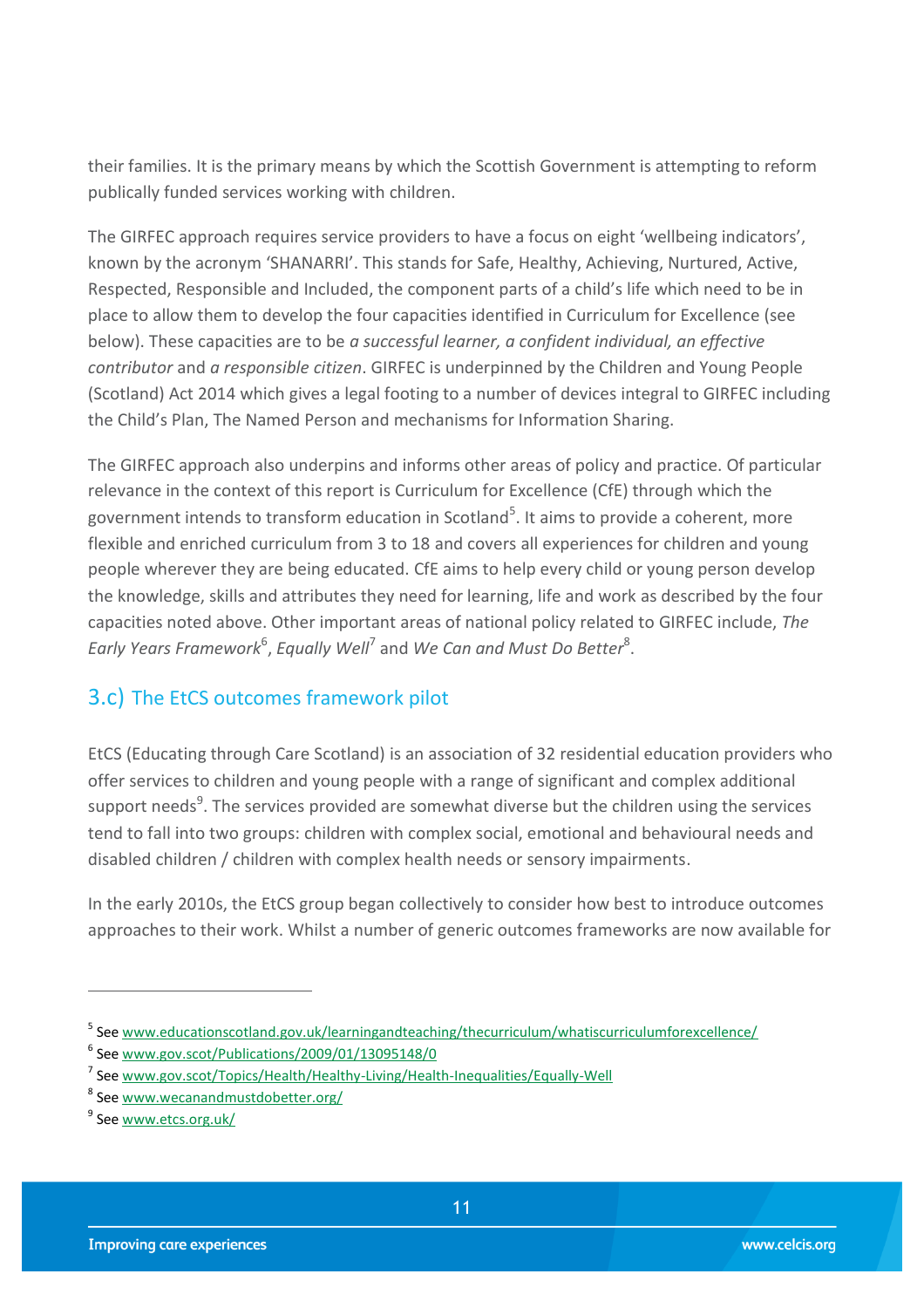their families. It is the primary means by which the Scottish Government is attempting to reform publically funded services working with children.

The GIRFEC approach requires service providers to have a focus on eight 'wellbeing indicators', known by the acronym 'SHANARRI'. This stands for Safe, Healthy, Achieving, Nurtured, Active, Respected, Responsible and Included, the component parts of a child's life which need to be in place to allow them to develop the four capacities identified in Curriculum for Excellence (see below). These capacities are to be *a successful learner, a confident individual, an effective contributor* and *a responsible citizen*. GIRFEC is underpinned by the Children and Young People (Scotland) Act 2014 which gives a legal footing to a number of devices integral to GIRFEC including the Child's Plan, The Named Person and mechanisms for Information Sharing.

The GIRFEC approach also underpins and informs other areas of policy and practice. Of particular relevance in the context of this report is Curriculum for Excellence (CfE) through which the government intends to transform education in Scotland<sup>5</sup>. It aims to provide a coherent, more flexible and enriched curriculum from 3 to 18 and covers all experiences for children and young people wherever they are being educated. CfE aims to help every child or young person develop the knowledge, skills and attributes they need for learning, life and work as described by the four capacities noted above. Other important areas of national policy related to GIRFEC include, *The*  Early Years Framework<sup>6</sup>, Equally Well<sup>7</sup> and We Can and Must Do Better<sup>8</sup>.

## <span id="page-10-0"></span>3.c) The EtCS outcomes framework pilot

EtCS (Educating through Care Scotland) is an association of 32 residential education providers who offer services to children and young people with a range of significant and complex additional support needs<sup>9</sup>. The services provided are somewhat diverse but the children using the services tend to fall into two groups: children with complex social, emotional and behavioural needs and disabled children / children with complex health needs or sensory impairments.

In the early 2010s, the EtCS group began collectively to consider how best to introduce outcomes approaches to their work. Whilst a number of generic outcomes frameworks are now available for

<sup>&</sup>lt;sup>5</sup> See www.educationscotland.gov.uk/learningandteaching/thecurriculum/whatiscurriculumforexcellence/

<sup>6</sup> See [www.gov.scot/Publications/2009/01/13095148/0](http://www.gov.scot/Publications/2009/01/13095148/0)

<sup>&</sup>lt;sup>7</sup> See [www.gov.scot/Topics/Health/Healthy-Living/Health-Inequalities/Equally-Well](http://www.gov.scot/Topics/Health/Healthy-Living/Health-Inequalities/Equally-Well)

<sup>&</sup>lt;sup>8</sup> See [www.wecanandmustdobetter.org/](http://www.wecanandmustdobetter.org/)

<sup>&</sup>lt;sup>9</sup> See <u>www.etcs.org.uk/</u>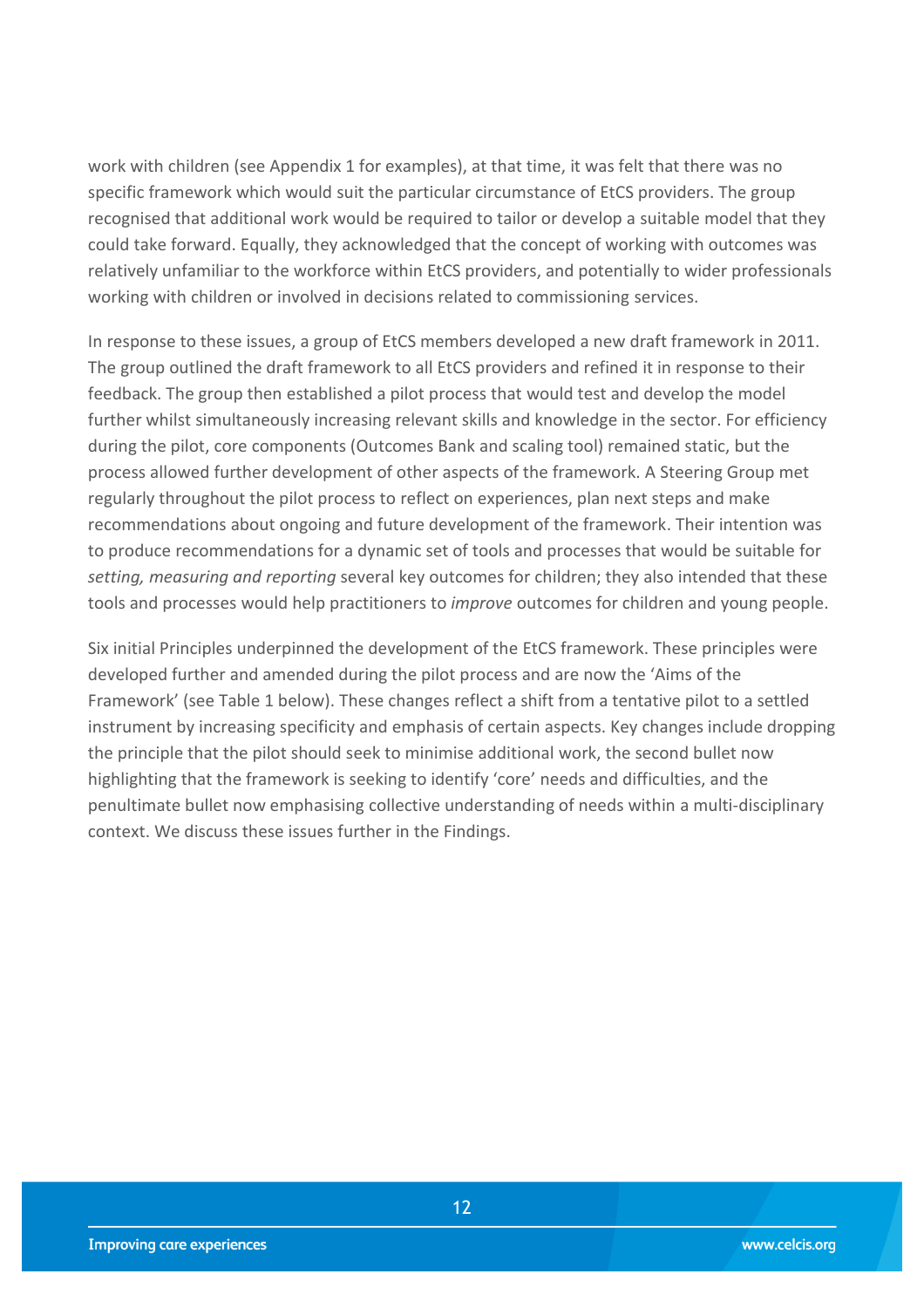work with children (see Appendix 1 for examples), at that time, it was felt that there was no specific framework which would suit the particular circumstance of EtCS providers. The group recognised that additional work would be required to tailor or develop a suitable model that they could take forward. Equally, they acknowledged that the concept of working with outcomes was relatively unfamiliar to the workforce within EtCS providers, and potentially to wider professionals working with children or involved in decisions related to commissioning services.

In response to these issues, a group of EtCS members developed a new draft framework in 2011. The group outlined the draft framework to all EtCS providers and refined it in response to their feedback. The group then established a pilot process that would test and develop the model further whilst simultaneously increasing relevant skills and knowledge in the sector. For efficiency during the pilot, core components (Outcomes Bank and scaling tool) remained static, but the process allowed further development of other aspects of the framework. A Steering Group met regularly throughout the pilot process to reflect on experiences, plan next steps and make recommendations about ongoing and future development of the framework. Their intention was to produce recommendations for a dynamic set of tools and processes that would be suitable for *setting, measuring and reporting* several key outcomes for children; they also intended that these tools and processes would help practitioners to *improve* outcomes for children and young people.

Six initial Principles underpinned the development of the EtCS framework. These principles were developed further and amended during the pilot process and are now the 'Aims of the Framework' (see Table 1 below). These changes reflect a shift from a tentative pilot to a settled instrument by increasing specificity and emphasis of certain aspects. Key changes include dropping the principle that the pilot should seek to minimise additional work, the second bullet now highlighting that the framework is seeking to identify 'core' needs and difficulties, and the penultimate bullet now emphasising collective understanding of needs within a multi-disciplinary context. We discuss these issues further in the Findings.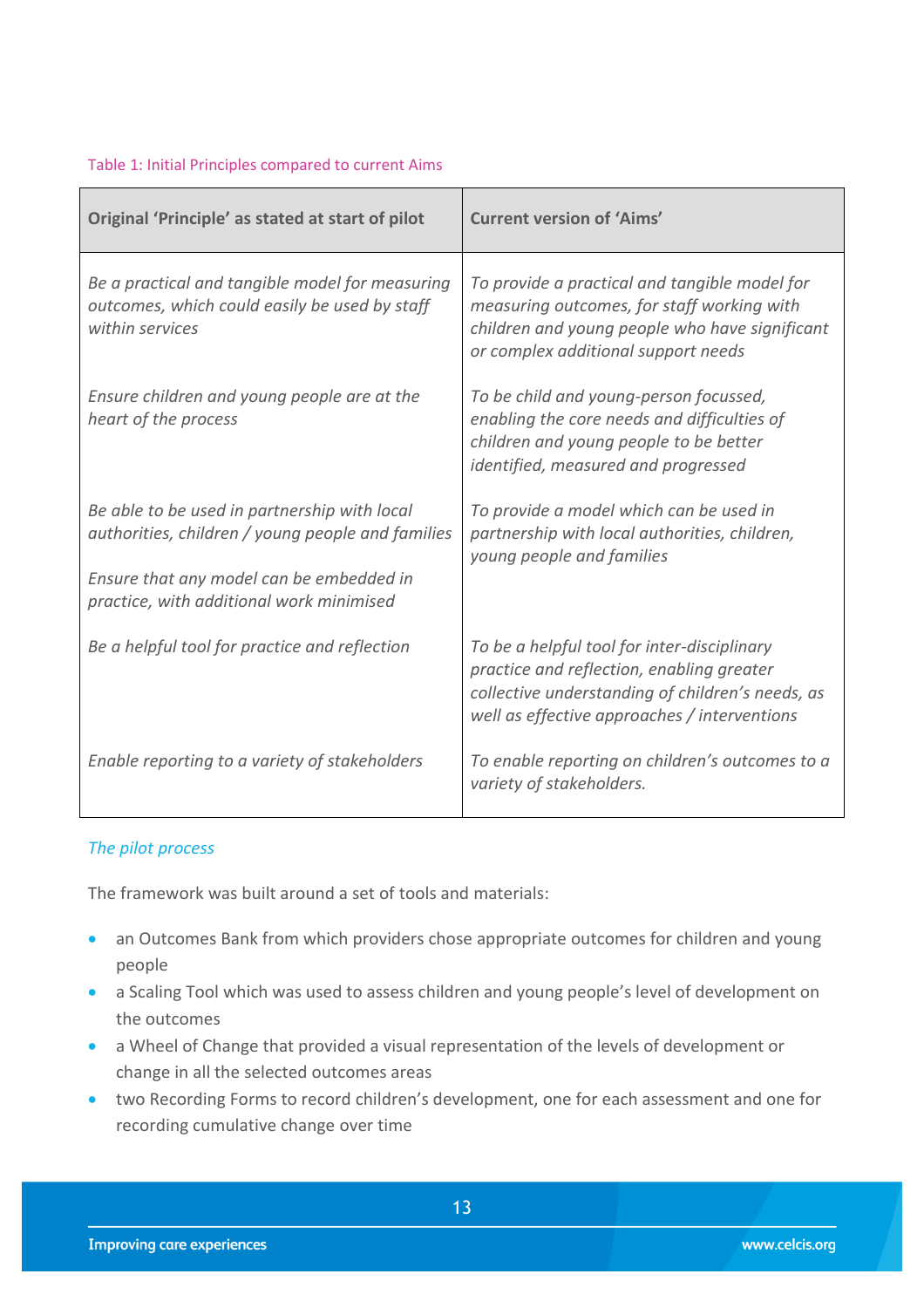#### Table 1: Initial Principles compared to current Aims

| Original 'Principle' as stated at start of pilot                                                                                                                                          | <b>Current version of 'Aims'</b>                                                                                                                                                             |
|-------------------------------------------------------------------------------------------------------------------------------------------------------------------------------------------|----------------------------------------------------------------------------------------------------------------------------------------------------------------------------------------------|
| Be a practical and tangible model for measuring<br>outcomes, which could easily be used by staff<br>within services                                                                       | To provide a practical and tangible model for<br>measuring outcomes, for staff working with<br>children and young people who have significant<br>or complex additional support needs         |
| Ensure children and young people are at the<br>heart of the process                                                                                                                       | To be child and young-person focussed,<br>enabling the core needs and difficulties of<br>children and young people to be better<br>identified, measured and progressed                       |
| Be able to be used in partnership with local<br>authorities, children / young people and families<br>Ensure that any model can be embedded in<br>practice, with additional work minimised | To provide a model which can be used in<br>partnership with local authorities, children,<br>young people and families                                                                        |
| Be a helpful tool for practice and reflection                                                                                                                                             | To be a helpful tool for inter-disciplinary<br>practice and reflection, enabling greater<br>collective understanding of children's needs, as<br>well as effective approaches / interventions |
| Enable reporting to a variety of stakeholders                                                                                                                                             | To enable reporting on children's outcomes to a<br>variety of stakeholders.                                                                                                                  |

#### *The pilot process*

The framework was built around a set of tools and materials:

- an Outcomes Bank from which providers chose appropriate outcomes for children and young people
- a Scaling Tool which was used to assess children and young people's level of development on the outcomes
- a Wheel of Change that provided a visual representation of the levels of development or change in all the selected outcomes areas
- two Recording Forms to record children's development, one for each assessment and one for recording cumulative change over time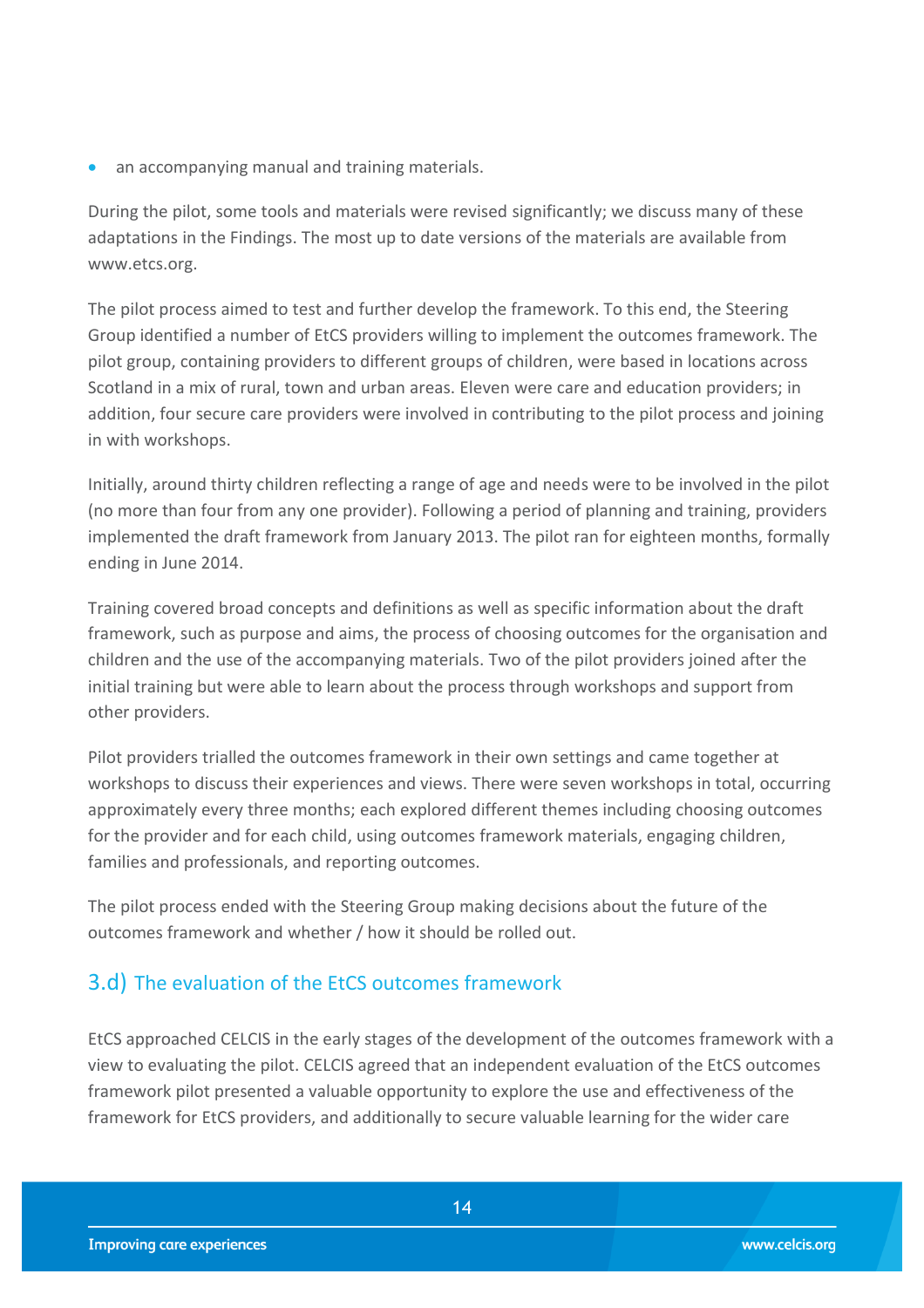• an accompanying manual and training materials.

During the pilot, some tools and materials were revised significantly; we discuss many of these adaptations in the Findings. The most up to date versions of the materials are available from www.etcs.org.

The pilot process aimed to test and further develop the framework. To this end, the Steering Group identified a number of EtCS providers willing to implement the outcomes framework. The pilot group, containing providers to different groups of children, were based in locations across Scotland in a mix of rural, town and urban areas. Eleven were care and education providers; in addition, four secure care providers were involved in contributing to the pilot process and joining in with workshops.

Initially, around thirty children reflecting a range of age and needs were to be involved in the pilot (no more than four from any one provider). Following a period of planning and training, providers implemented the draft framework from January 2013. The pilot ran for eighteen months, formally ending in June 2014.

Training covered broad concepts and definitions as well as specific information about the draft framework, such as purpose and aims, the process of choosing outcomes for the organisation and children and the use of the accompanying materials. Two of the pilot providers joined after the initial training but were able to learn about the process through workshops and support from other providers.

Pilot providers trialled the outcomes framework in their own settings and came together at workshops to discuss their experiences and views. There were seven workshops in total, occurring approximately every three months; each explored different themes including choosing outcomes for the provider and for each child, using outcomes framework materials, engaging children, families and professionals, and reporting outcomes.

The pilot process ended with the Steering Group making decisions about the future of the outcomes framework and whether / how it should be rolled out.

## <span id="page-13-0"></span>3.d) The evaluation of the EtCS outcomes framework

EtCS approached CELCIS in the early stages of the development of the outcomes framework with a view to evaluating the pilot. CELCIS agreed that an independent evaluation of the EtCS outcomes framework pilot presented a valuable opportunity to explore the use and effectiveness of the framework for EtCS providers, and additionally to secure valuable learning for the wider care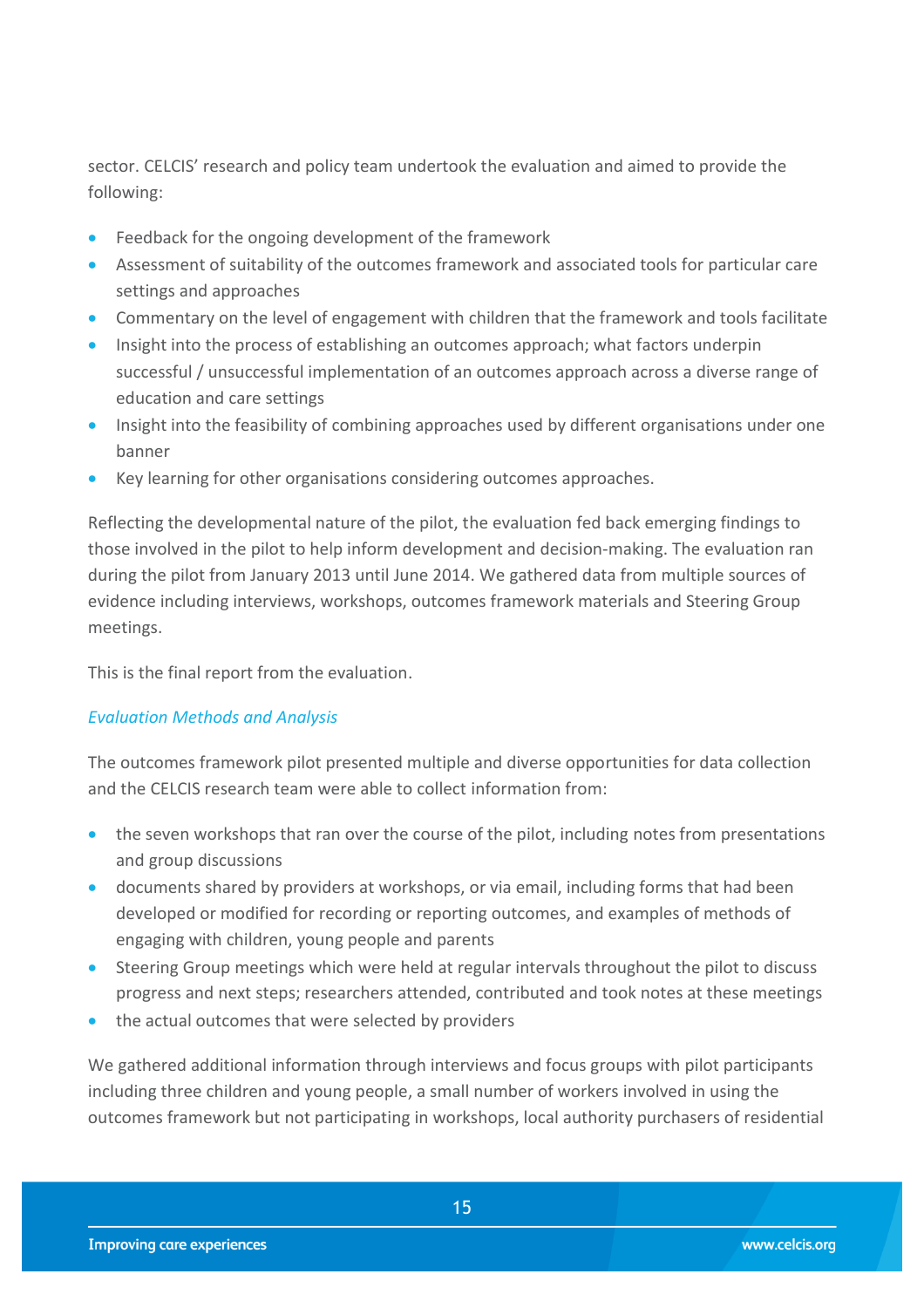sector. CELCIS' research and policy team undertook the evaluation and aimed to provide the following:

- **•** Feedback for the ongoing development of the framework
- Assessment of suitability of the outcomes framework and associated tools for particular care settings and approaches
- Commentary on the level of engagement with children that the framework and tools facilitate
- Insight into the process of establishing an outcomes approach; what factors underpin successful / unsuccessful implementation of an outcomes approach across a diverse range of education and care settings
- Insight into the feasibility of combining approaches used by different organisations under one banner
- Key learning for other organisations considering outcomes approaches.

Reflecting the developmental nature of the pilot, the evaluation fed back emerging findings to those involved in the pilot to help inform development and decision-making. The evaluation ran during the pilot from January 2013 until June 2014. We gathered data from multiple sources of evidence including interviews, workshops, outcomes framework materials and Steering Group meetings.

This is the final report from the evaluation.

#### *Evaluation Methods and Analysis*

The outcomes framework pilot presented multiple and diverse opportunities for data collection and the CELCIS research team were able to collect information from:

- the seven workshops that ran over the course of the pilot, including notes from presentations and group discussions
- documents shared by providers at workshops, or via email, including forms that had been developed or modified for recording or reporting outcomes, and examples of methods of engaging with children, young people and parents
- Steering Group meetings which were held at regular intervals throughout the pilot to discuss progress and next steps; researchers attended, contributed and took notes at these meetings
- the actual outcomes that were selected by providers

We gathered additional information through interviews and focus groups with pilot participants including three children and young people, a small number of workers involved in using the outcomes framework but not participating in workshops, local authority purchasers of residential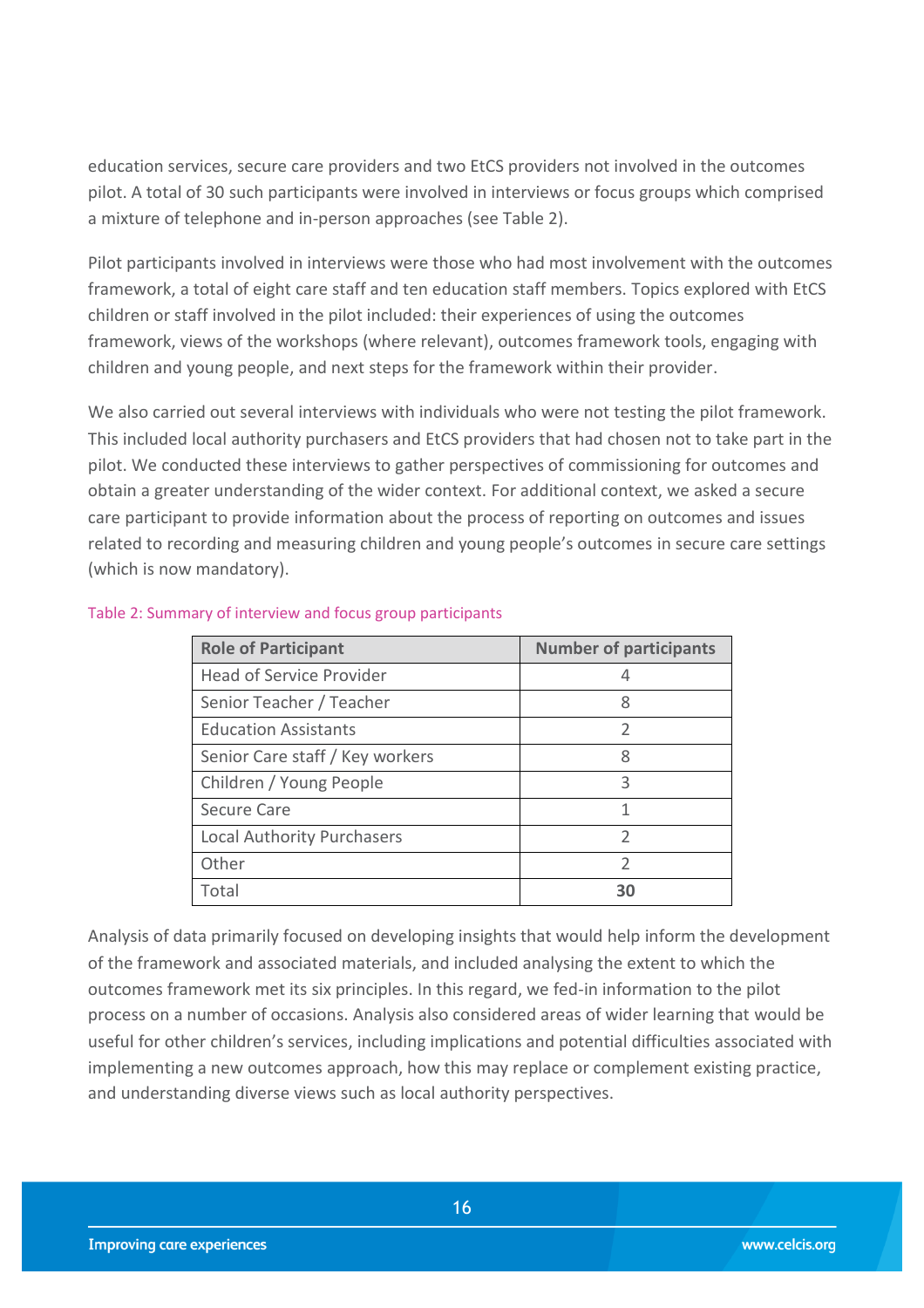education services, secure care providers and two EtCS providers not involved in the outcomes pilot. A total of 30 such participants were involved in interviews or focus groups which comprised a mixture of telephone and in-person approaches (see Table 2).

Pilot participants involved in interviews were those who had most involvement with the outcomes framework, a total of eight care staff and ten education staff members. Topics explored with EtCS children or staff involved in the pilot included: their experiences of using the outcomes framework, views of the workshops (where relevant), outcomes framework tools, engaging with children and young people, and next steps for the framework within their provider.

We also carried out several interviews with individuals who were not testing the pilot framework. This included local authority purchasers and EtCS providers that had chosen not to take part in the pilot. We conducted these interviews to gather perspectives of commissioning for outcomes and obtain a greater understanding of the wider context. For additional context, we asked a secure care participant to provide information about the process of reporting on outcomes and issues related to recording and measuring children and young people's outcomes in secure care settings (which is now mandatory).

| <b>Role of Participant</b>        | <b>Number of participants</b> |
|-----------------------------------|-------------------------------|
| <b>Head of Service Provider</b>   |                               |
| Senior Teacher / Teacher          | 8                             |
| <b>Education Assistants</b>       | $\overline{2}$                |
| Senior Care staff / Key workers   | 8                             |
| Children / Young People           | ς                             |
| <b>Secure Care</b>                |                               |
| <b>Local Authority Purchasers</b> | $\mathfrak{D}$                |
| Other                             | $\mathcal{P}$                 |
| Total                             | RС                            |

#### Table 2: Summary of interview and focus group participants

Analysis of data primarily focused on developing insights that would help inform the development of the framework and associated materials, and included analysing the extent to which the outcomes framework met its six principles. In this regard, we fed-in information to the pilot process on a number of occasions. Analysis also considered areas of wider learning that would be useful for other children's services, including implications and potential difficulties associated with implementing a new outcomes approach, how this may replace or complement existing practice, and understanding diverse views such as local authority perspectives.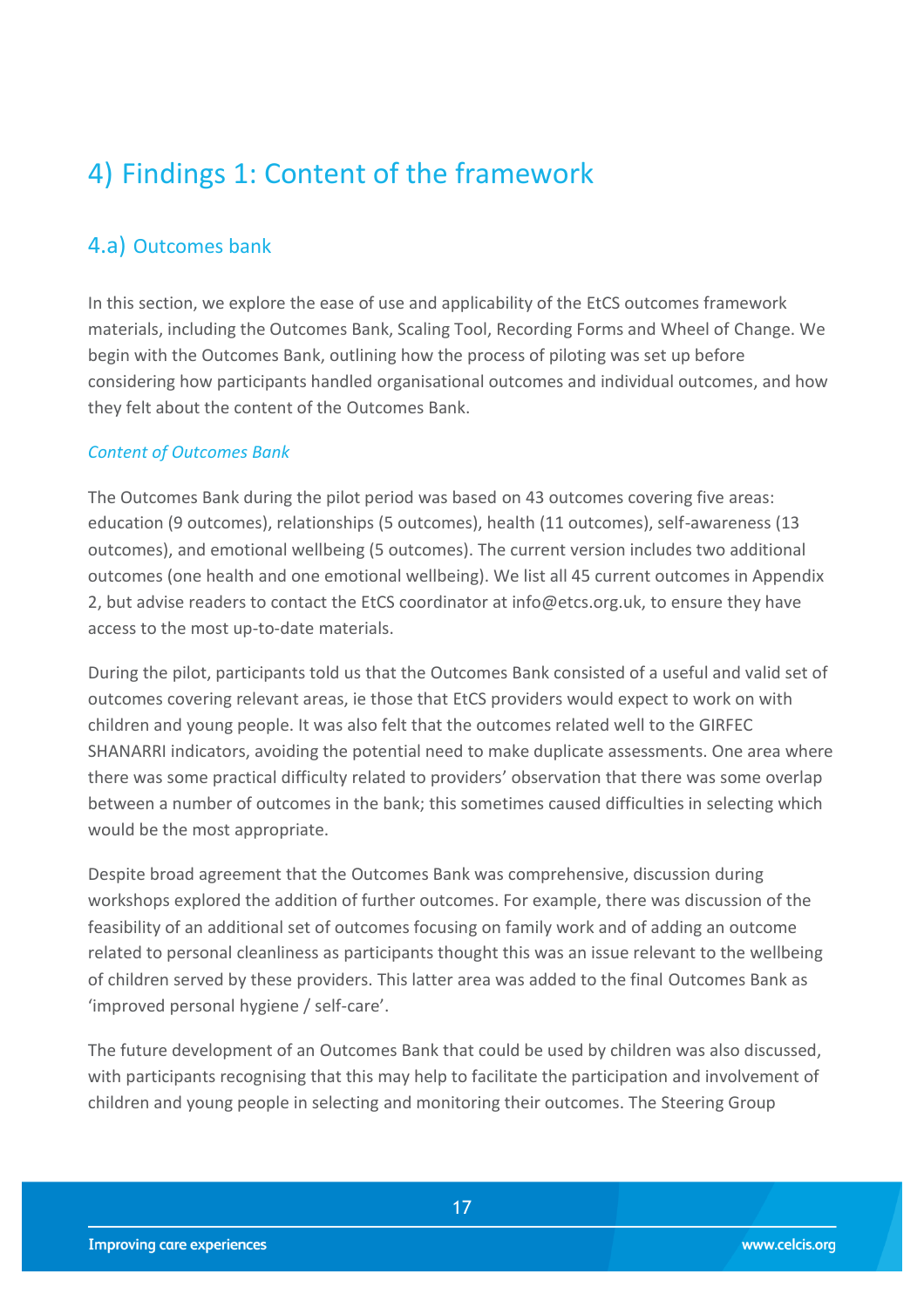## <span id="page-16-0"></span>4) Findings 1: Content of the framework

## <span id="page-16-1"></span>4.a) Outcomes bank

In this section, we explore the ease of use and applicability of the EtCS outcomes framework materials, including the Outcomes Bank, Scaling Tool, Recording Forms and Wheel of Change. We begin with the Outcomes Bank, outlining how the process of piloting was set up before considering how participants handled organisational outcomes and individual outcomes, and how they felt about the content of the Outcomes Bank.

#### *Content of Outcomes Bank*

The Outcomes Bank during the pilot period was based on 43 outcomes covering five areas: education (9 outcomes), relationships (5 outcomes), health (11 outcomes), self-awareness (13 outcomes), and emotional wellbeing (5 outcomes). The current version includes two additional outcomes (one health and one emotional wellbeing). We list all 45 current outcomes in Appendix 2, but advise readers to contact the EtCS coordinator at info@etcs.org.uk, to ensure they have access to the most up-to-date materials.

During the pilot, participants told us that the Outcomes Bank consisted of a useful and valid set of outcomes covering relevant areas, ie those that EtCS providers would expect to work on with children and young people. It was also felt that the outcomes related well to the GIRFEC SHANARRI indicators, avoiding the potential need to make duplicate assessments. One area where there was some practical difficulty related to providers' observation that there was some overlap between a number of outcomes in the bank; this sometimes caused difficulties in selecting which would be the most appropriate.

Despite broad agreement that the Outcomes Bank was comprehensive, discussion during workshops explored the addition of further outcomes. For example, there was discussion of the feasibility of an additional set of outcomes focusing on family work and of adding an outcome related to personal cleanliness as participants thought this was an issue relevant to the wellbeing of children served by these providers. This latter area was added to the final Outcomes Bank as 'improved personal hygiene / self-care'.

The future development of an Outcomes Bank that could be used by children was also discussed, with participants recognising that this may help to facilitate the participation and involvement of children and young people in selecting and monitoring their outcomes. The Steering Group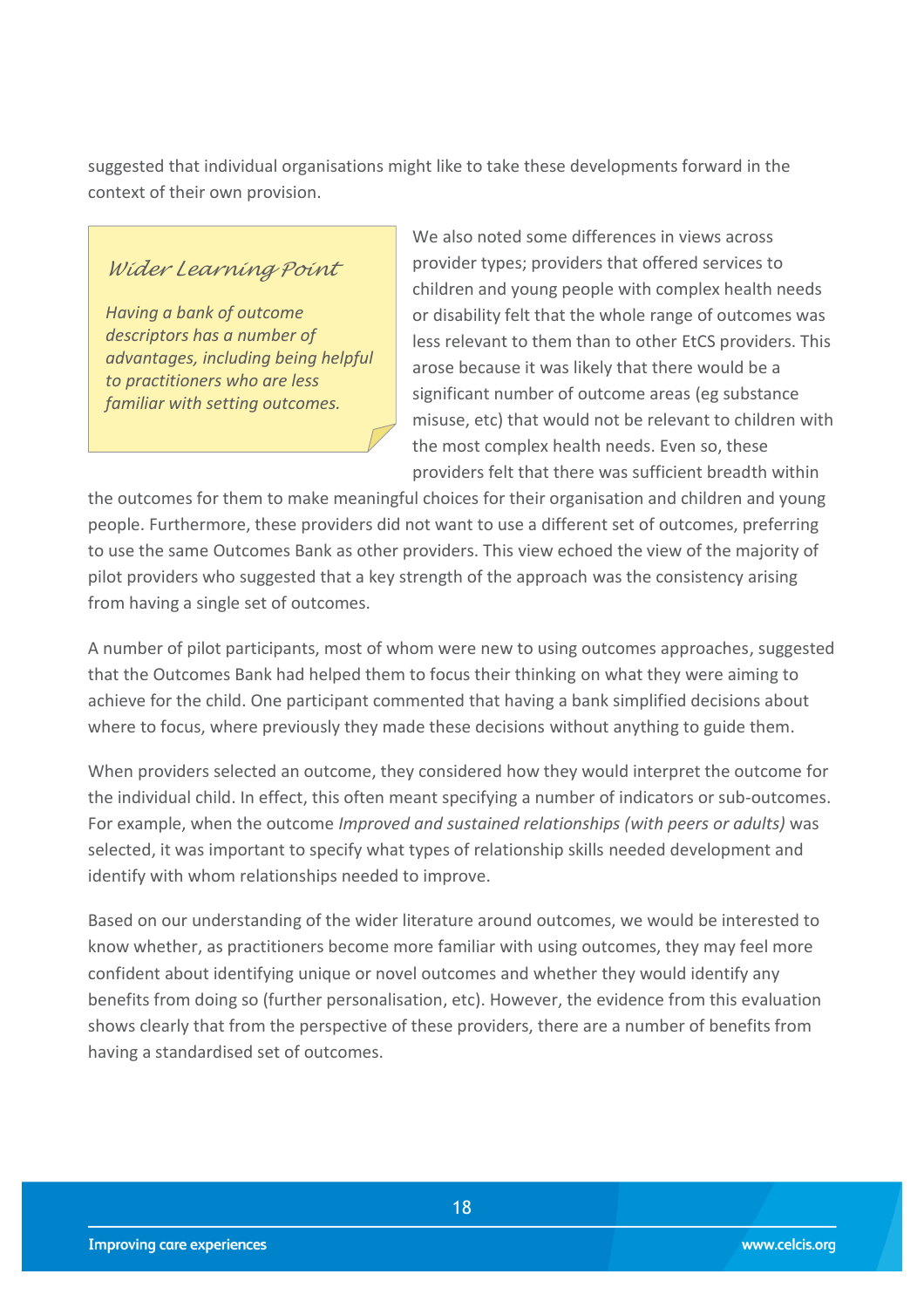suggested that individual organisations might like to take these developments forward in the context of their own provision.

#### *Wider Learning Point*

*Having a bank of outcome descriptors has a number of advantages, including being helpful to practitioners who are less familiar with setting outcomes.*

We also noted some differences in views across provider types; providers that offered services to children and young people with complex health needs or disability felt that the whole range of outcomes was less relevant to them than to other EtCS providers. This arose because it was likely that there would be a significant number of outcome areas (eg substance misuse, etc) that would not be relevant to children with the most complex health needs. Even so, these providers felt that there was sufficient breadth within

the outcomes for them to make meaningful choices for their organisation and children and young people. Furthermore, these providers did not want to use a different set of outcomes, preferring to use the same Outcomes Bank as other providers. This view echoed the view of the majority of pilot providers who suggested that a key strength of the approach was the consistency arising from having a single set of outcomes.

A number of pilot participants, most of whom were new to using outcomes approaches, suggested that the Outcomes Bank had helped them to focus their thinking on what they were aiming to achieve for the child. One participant commented that having a bank simplified decisions about where to focus, where previously they made these decisions without anything to guide them.

When providers selected an outcome, they considered how they would interpret the outcome for the individual child. In effect, this often meant specifying a number of indicators or sub-outcomes. For example, when the outcome *Improved and sustained relationships (with peers or adults)* was selected, it was important to specify what types of relationship skills needed development and identify with whom relationships needed to improve.

Based on our understanding of the wider literature around outcomes, we would be interested to know whether, as practitioners become more familiar with using outcomes, they may feel more confident about identifying unique or novel outcomes and whether they would identify any benefits from doing so (further personalisation, etc). However, the evidence from this evaluation shows clearly that from the perspective of these providers, there are a number of benefits from having a standardised set of outcomes.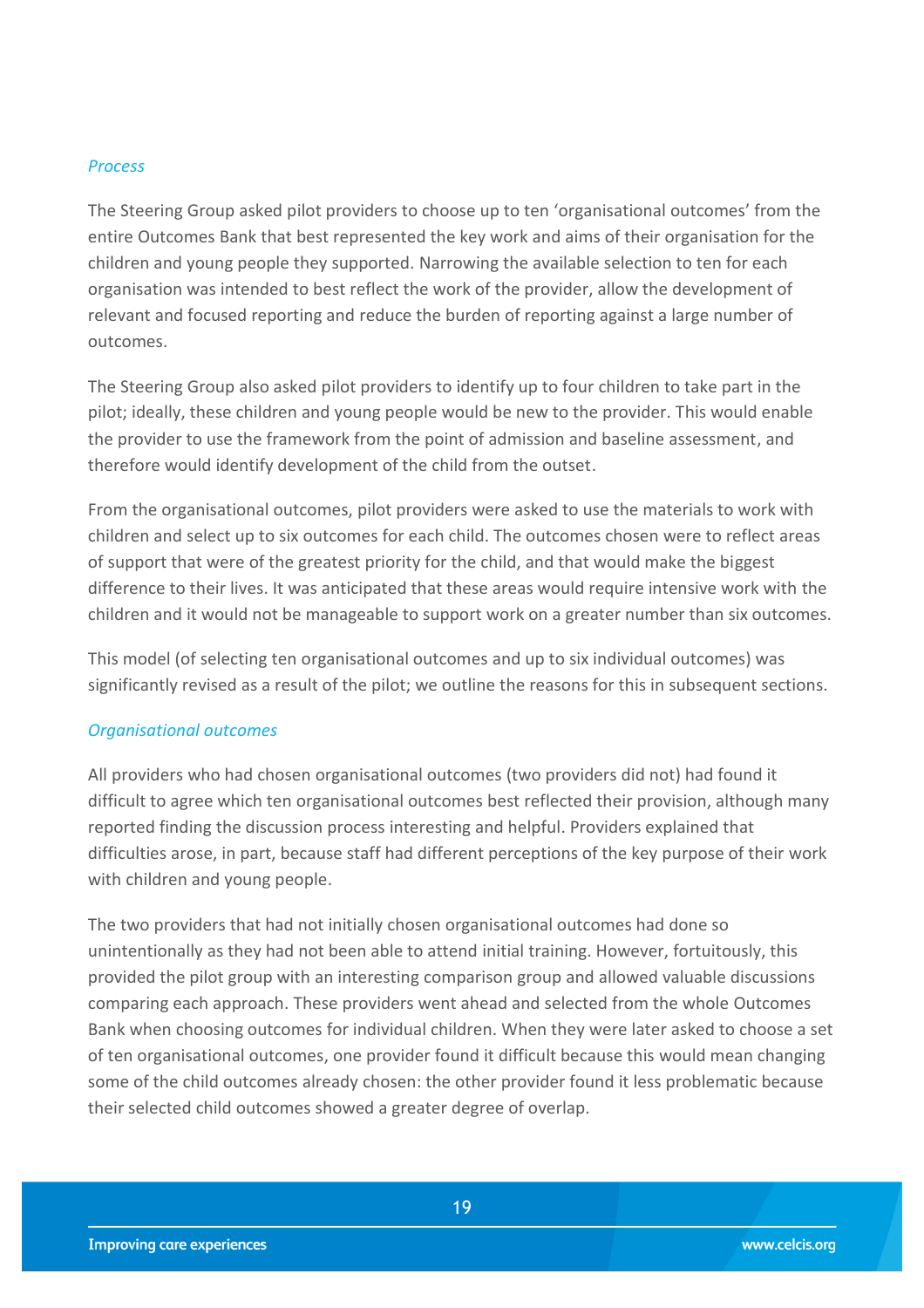#### *Process*

The Steering Group asked pilot providers to choose up to ten 'organisational outcomes' from the entire Outcomes Bank that best represented the key work and aims of their organisation for the children and young people they supported. Narrowing the available selection to ten for each organisation was intended to best reflect the work of the provider, allow the development of relevant and focused reporting and reduce the burden of reporting against a large number of outcomes.

The Steering Group also asked pilot providers to identify up to four children to take part in the pilot; ideally, these children and young people would be new to the provider. This would enable the provider to use the framework from the point of admission and baseline assessment, and therefore would identify development of the child from the outset.

From the organisational outcomes, pilot providers were asked to use the materials to work with children and select up to six outcomes for each child. The outcomes chosen were to reflect areas of support that were of the greatest priority for the child, and that would make the biggest difference to their lives. It was anticipated that these areas would require intensive work with the children and it would not be manageable to support work on a greater number than six outcomes.

This model (of selecting ten organisational outcomes and up to six individual outcomes) was significantly revised as a result of the pilot; we outline the reasons for this in subsequent sections.

#### *Organisational outcomes*

All providers who had chosen organisational outcomes (two providers did not) had found it difficult to agree which ten organisational outcomes best reflected their provision, although many reported finding the discussion process interesting and helpful. Providers explained that difficulties arose, in part, because staff had different perceptions of the key purpose of their work with children and young people.

The two providers that had not initially chosen organisational outcomes had done so unintentionally as they had not been able to attend initial training. However, fortuitously, this provided the pilot group with an interesting comparison group and allowed valuable discussions comparing each approach. These providers went ahead and selected from the whole Outcomes Bank when choosing outcomes for individual children. When they were later asked to choose a set of ten organisational outcomes, one provider found it difficult because this would mean changing some of the child outcomes already chosen: the other provider found it less problematic because their selected child outcomes showed a greater degree of overlap.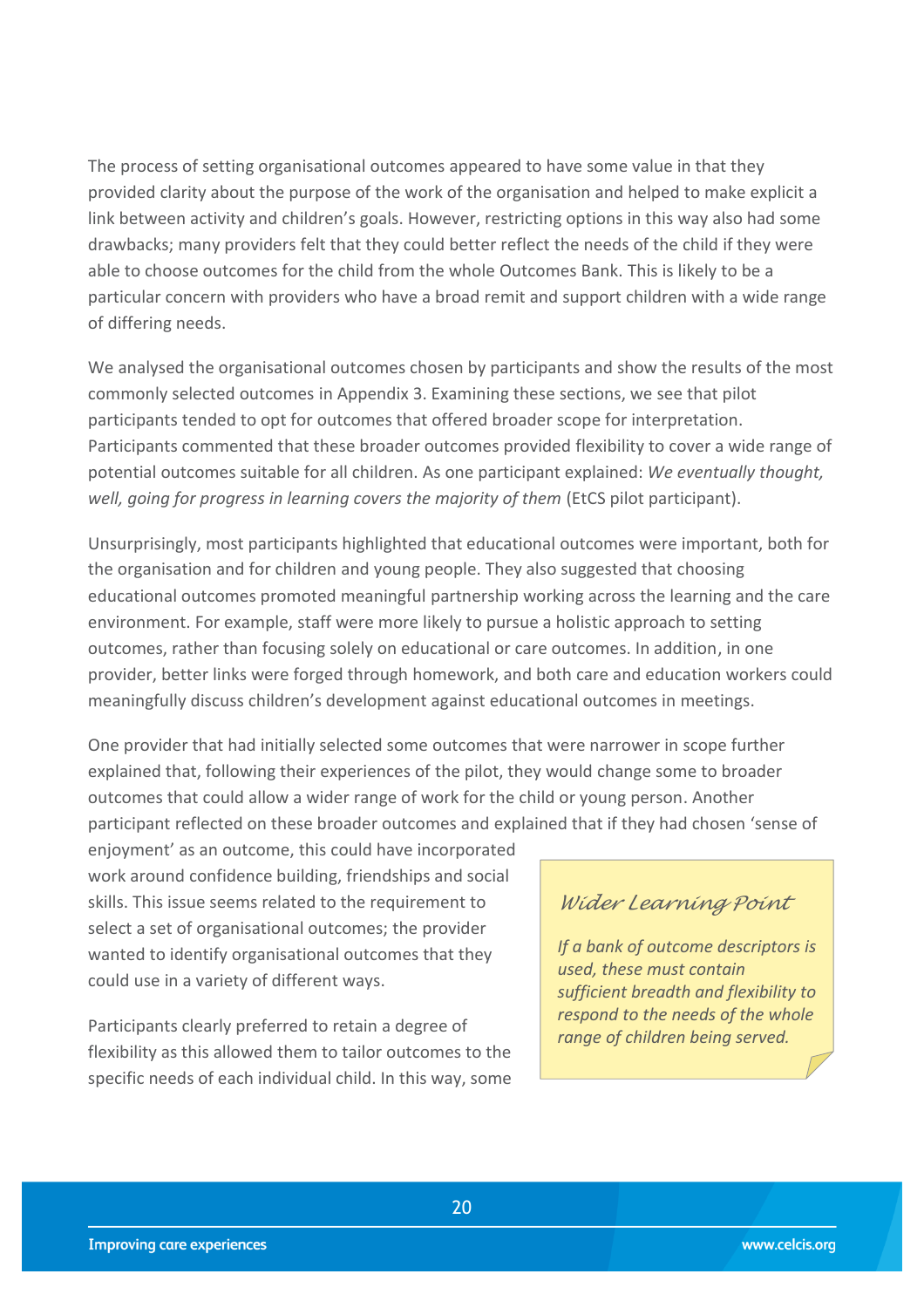The process of setting organisational outcomes appeared to have some value in that they provided clarity about the purpose of the work of the organisation and helped to make explicit a link between activity and children's goals. However, restricting options in this way also had some drawbacks; many providers felt that they could better reflect the needs of the child if they were able to choose outcomes for the child from the whole Outcomes Bank. This is likely to be a particular concern with providers who have a broad remit and support children with a wide range of differing needs.

We analysed the organisational outcomes chosen by participants and show the results of the most commonly selected outcomes in Appendix 3. Examining these sections, we see that pilot participants tended to opt for outcomes that offered broader scope for interpretation. Participants commented that these broader outcomes provided flexibility to cover a wide range of potential outcomes suitable for all children. As one participant explained: *We eventually thought, well, going for progress in learning covers the majority of them (EtCS pilot participant).* 

Unsurprisingly, most participants highlighted that educational outcomes were important, both for the organisation and for children and young people. They also suggested that choosing educational outcomes promoted meaningful partnership working across the learning and the care environment. For example, staff were more likely to pursue a holistic approach to setting outcomes, rather than focusing solely on educational or care outcomes. In addition, in one provider, better links were forged through homework, and both care and education workers could meaningfully discuss children's development against educational outcomes in meetings.

One provider that had initially selected some outcomes that were narrower in scope further explained that, following their experiences of the pilot, they would change some to broader outcomes that could allow a wider range of work for the child or young person. Another participant reflected on these broader outcomes and explained that if they had chosen 'sense of

enjoyment' as an outcome, this could have incorporated work around confidence building, friendships and social skills. This issue seems related to the requirement to select a set of organisational outcomes; the provider wanted to identify organisational outcomes that they could use in a variety of different ways.

Participants clearly preferred to retain a degree of flexibility as this allowed them to tailor outcomes to the specific needs of each individual child. In this way, some

### *Wider Learning Point*

*If a bank of outcome descriptors is used, these must contain sufficient breadth and flexibility to respond to the needs of the whole range of children being served.*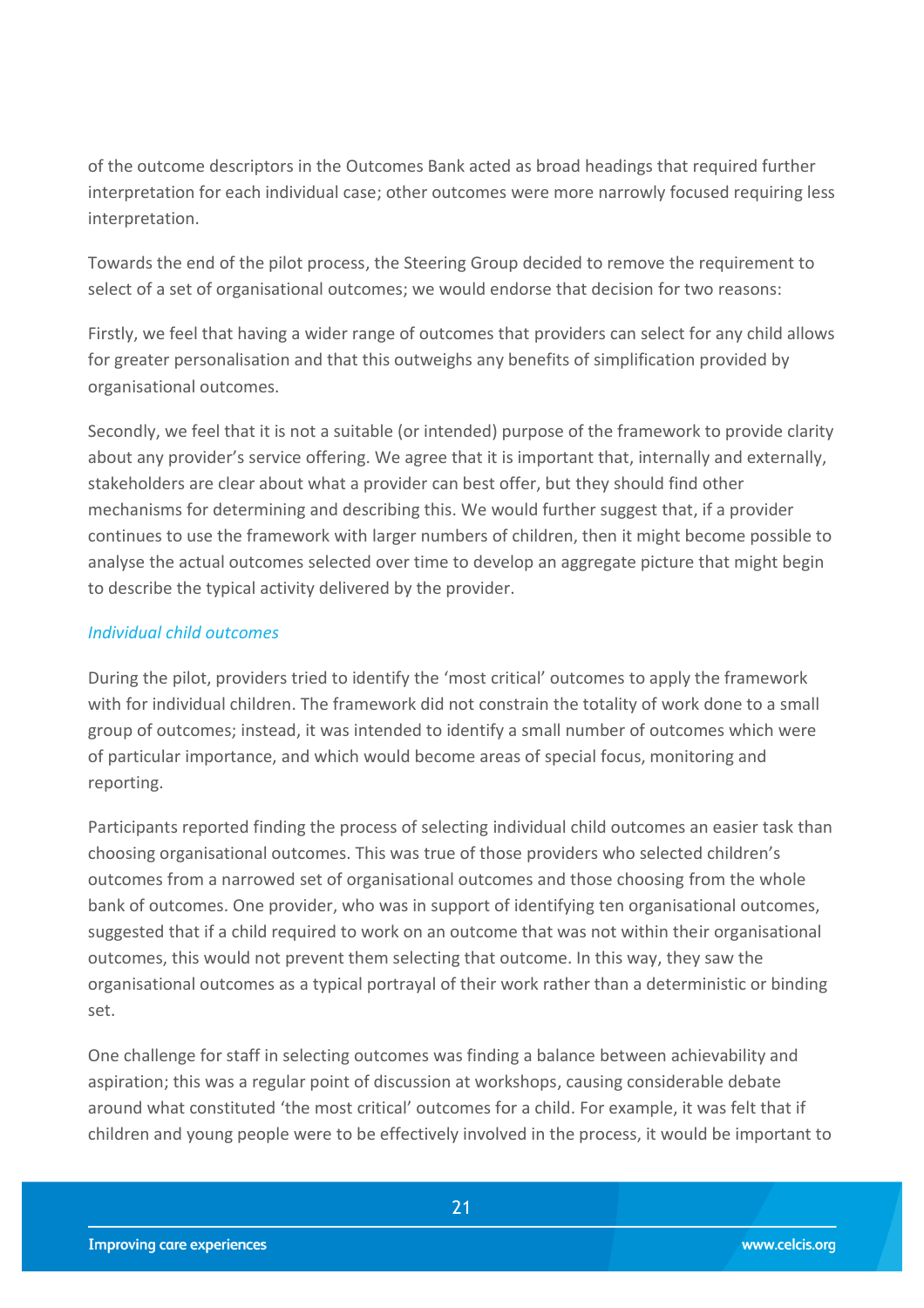of the outcome descriptors in the Outcomes Bank acted as broad headings that required further interpretation for each individual case; other outcomes were more narrowly focused requiring less interpretation.

Towards the end of the pilot process, the Steering Group decided to remove the requirement to select of a set of organisational outcomes; we would endorse that decision for two reasons:

Firstly, we feel that having a wider range of outcomes that providers can select for any child allows for greater personalisation and that this outweighs any benefits of simplification provided by organisational outcomes.

Secondly, we feel that it is not a suitable (or intended) purpose of the framework to provide clarity about any provider's service offering. We agree that it is important that, internally and externally, stakeholders are clear about what a provider can best offer, but they should find other mechanisms for determining and describing this. We would further suggest that, if a provider continues to use the framework with larger numbers of children, then it might become possible to analyse the actual outcomes selected over time to develop an aggregate picture that might begin to describe the typical activity delivered by the provider.

#### *Individual child outcomes*

During the pilot, providers tried to identify the 'most critical' outcomes to apply the framework with for individual children. The framework did not constrain the totality of work done to a small group of outcomes; instead, it was intended to identify a small number of outcomes which were of particular importance, and which would become areas of special focus, monitoring and reporting.

Participants reported finding the process of selecting individual child outcomes an easier task than choosing organisational outcomes. This was true of those providers who selected children's outcomes from a narrowed set of organisational outcomes and those choosing from the whole bank of outcomes. One provider, who was in support of identifying ten organisational outcomes, suggested that if a child required to work on an outcome that was not within their organisational outcomes, this would not prevent them selecting that outcome. In this way, they saw the organisational outcomes as a typical portrayal of their work rather than a deterministic or binding set.

One challenge for staff in selecting outcomes was finding a balance between achievability and aspiration; this was a regular point of discussion at workshops, causing considerable debate around what constituted 'the most critical' outcomes for a child. For example, it was felt that if children and young people were to be effectively involved in the process, it would be important to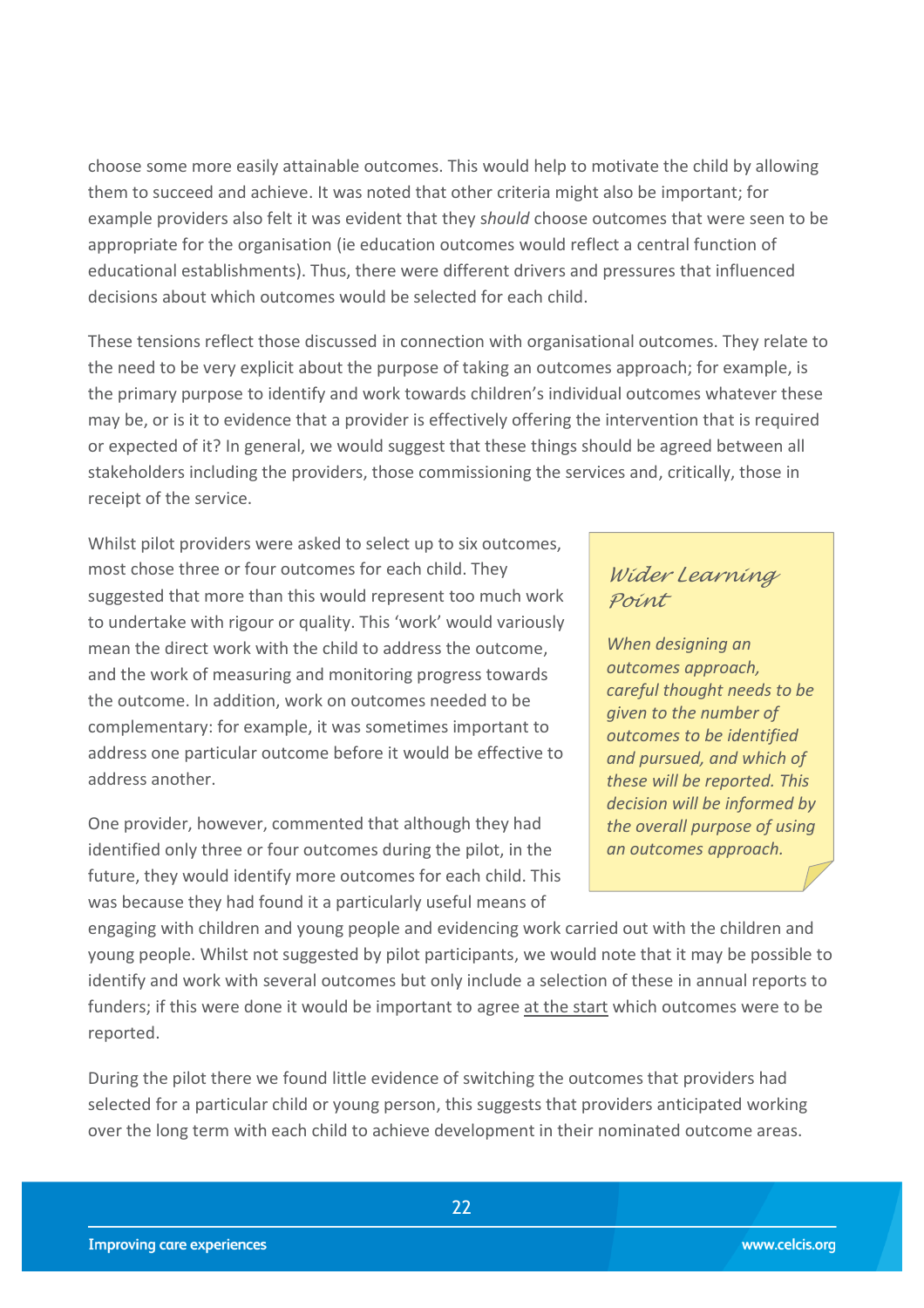choose some more easily attainable outcomes. This would help to motivate the child by allowing them to succeed and achieve. It was noted that other criteria might also be important; for example providers also felt it was evident that they s*hould* choose outcomes that were seen to be appropriate for the organisation (ie education outcomes would reflect a central function of educational establishments). Thus, there were different drivers and pressures that influenced decisions about which outcomes would be selected for each child.

These tensions reflect those discussed in connection with organisational outcomes. They relate to the need to be very explicit about the purpose of taking an outcomes approach; for example, is the primary purpose to identify and work towards children's individual outcomes whatever these may be, or is it to evidence that a provider is effectively offering the intervention that is required or expected of it? In general, we would suggest that these things should be agreed between all stakeholders including the providers, those commissioning the services and, critically, those in receipt of the service.

Whilst pilot providers were asked to select up to six outcomes, most chose three or four outcomes for each child. They suggested that more than this would represent too much work to undertake with rigour or quality. This 'work' would variously mean the direct work with the child to address the outcome, and the work of measuring and monitoring progress towards the outcome. In addition, work on outcomes needed to be complementary: for example, it was sometimes important to address one particular outcome before it would be effective to address another.

One provider, however, commented that although they had identified only three or four outcomes during the pilot, in the future, they would identify more outcomes for each child. This was because they had found it a particularly useful means of

### *Wider Learning Point*

*When designing an outcomes approach, careful thought needs to be given to the number of outcomes to be identified and pursued, and which of these will be reported. This decision will be informed by the overall purpose of using an outcomes approach.*

engaging with children and young people and evidencing work carried out with the children and young people. Whilst not suggested by pilot participants, we would note that it may be possible to identify and work with several outcomes but only include a selection of these in annual reports to funders; if this were done it would be important to agree at the start which outcomes were to be reported.

During the pilot there we found little evidence of switching the outcomes that providers had selected for a particular child or young person, this suggests that providers anticipated working over the long term with each child to achieve development in their nominated outcome areas.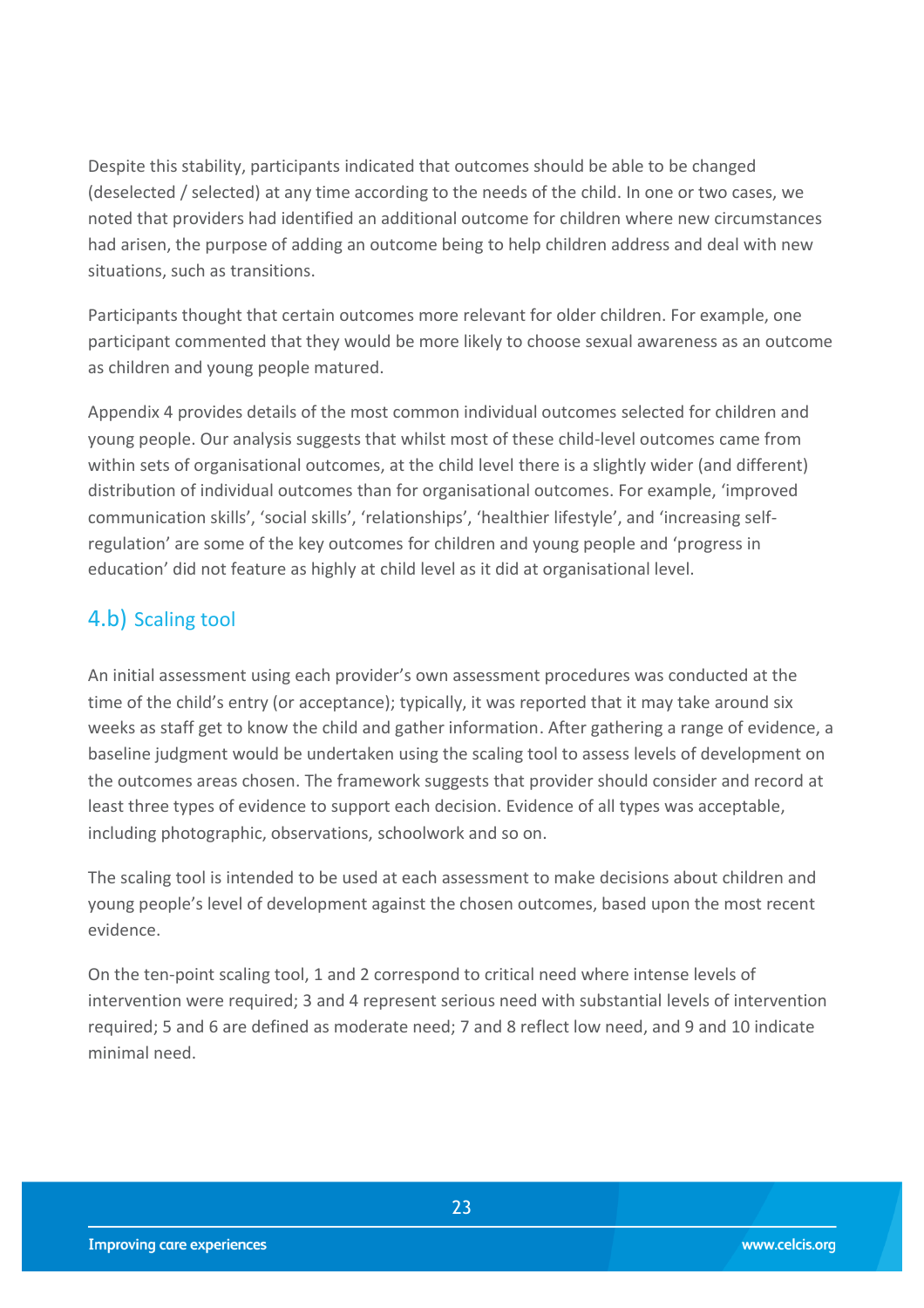Despite this stability, participants indicated that outcomes should be able to be changed (deselected / selected) at any time according to the needs of the child. In one or two cases, we noted that providers had identified an additional outcome for children where new circumstances had arisen, the purpose of adding an outcome being to help children address and deal with new situations, such as transitions.

Participants thought that certain outcomes more relevant for older children. For example, one participant commented that they would be more likely to choose sexual awareness as an outcome as children and young people matured.

Appendix 4 provides details of the most common individual outcomes selected for children and young people. Our analysis suggests that whilst most of these child-level outcomes came from within sets of organisational outcomes, at the child level there is a slightly wider (and different) distribution of individual outcomes than for organisational outcomes. For example, 'improved communication skills', 'social skills', 'relationships', 'healthier lifestyle', and 'increasing selfregulation' are some of the key outcomes for children and young people and 'progress in education' did not feature as highly at child level as it did at organisational level.

## <span id="page-22-0"></span>4.b) Scaling tool

An initial assessment using each provider's own assessment procedures was conducted at the time of the child's entry (or acceptance); typically, it was reported that it may take around six weeks as staff get to know the child and gather information. After gathering a range of evidence, a baseline judgment would be undertaken using the scaling tool to assess levels of development on the outcomes areas chosen. The framework suggests that provider should consider and record at least three types of evidence to support each decision. Evidence of all types was acceptable, including photographic, observations, schoolwork and so on.

The scaling tool is intended to be used at each assessment to make decisions about children and young people's level of development against the chosen outcomes, based upon the most recent evidence.

On the ten-point scaling tool, 1 and 2 correspond to critical need where intense levels of intervention were required; 3 and 4 represent serious need with substantial levels of intervention required; 5 and 6 are defined as moderate need; 7 and 8 reflect low need, and 9 and 10 indicate minimal need.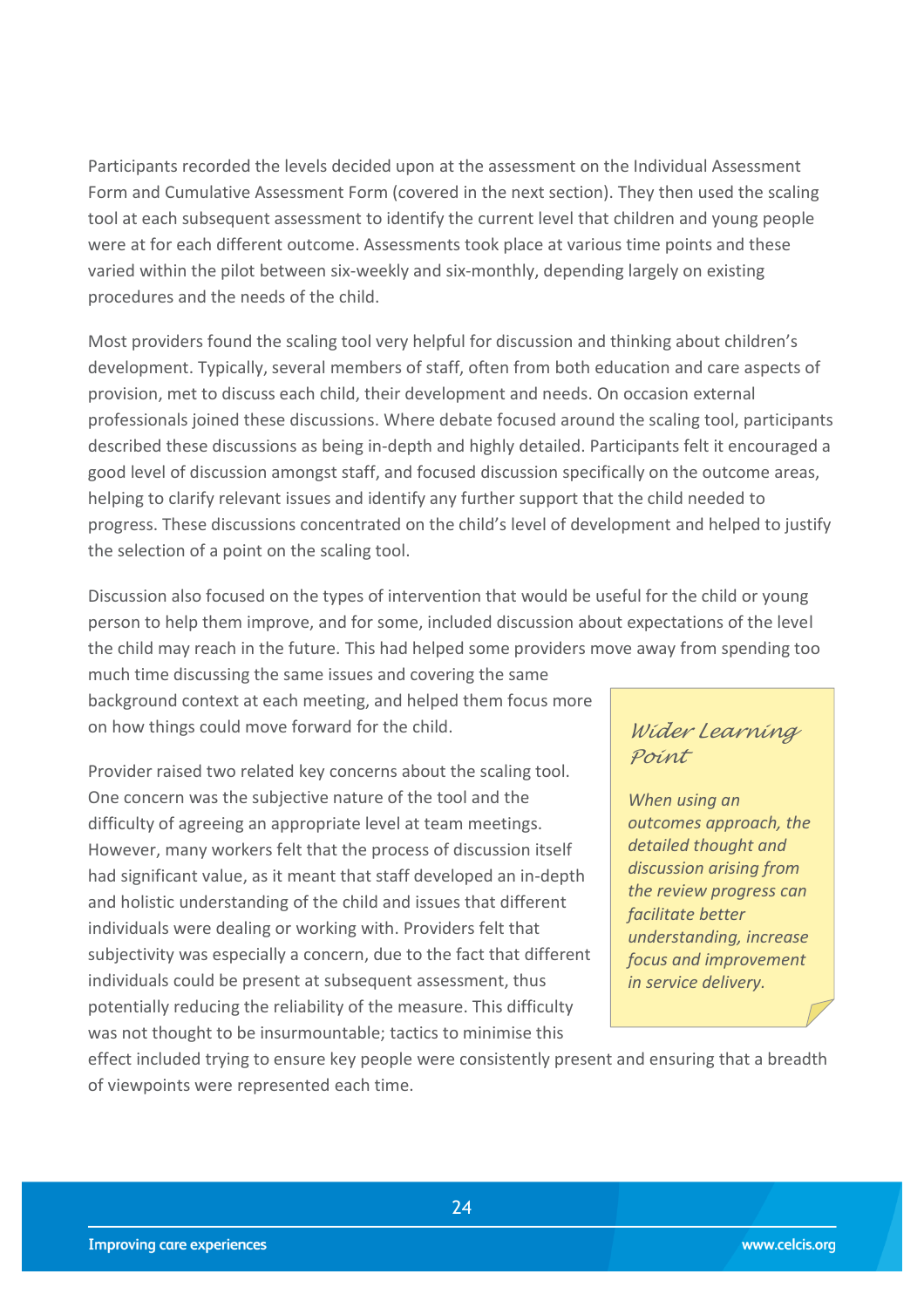Participants recorded the levels decided upon at the assessment on the Individual Assessment Form and Cumulative Assessment Form (covered in the next section). They then used the scaling tool at each subsequent assessment to identify the current level that children and young people were at for each different outcome. Assessments took place at various time points and these varied within the pilot between six-weekly and six-monthly, depending largely on existing procedures and the needs of the child.

Most providers found the scaling tool very helpful for discussion and thinking about children's development. Typically, several members of staff, often from both education and care aspects of provision, met to discuss each child, their development and needs. On occasion external professionals joined these discussions. Where debate focused around the scaling tool, participants described these discussions as being in-depth and highly detailed. Participants felt it encouraged a good level of discussion amongst staff, and focused discussion specifically on the outcome areas, helping to clarify relevant issues and identify any further support that the child needed to progress. These discussions concentrated on the child's level of development and helped to justify the selection of a point on the scaling tool.

Discussion also focused on the types of intervention that would be useful for the child or young person to help them improve, and for some, included discussion about expectations of the level the child may reach in the future. This had helped some providers move away from spending too much time discussing the same issues and covering the same

background context at each meeting, and helped them focus more on how things could move forward for the child.

Provider raised two related key concerns about the scaling tool. One concern was the subjective nature of the tool and the difficulty of agreeing an appropriate level at team meetings. However, many workers felt that the process of discussion itself had significant value, as it meant that staff developed an in-depth and holistic understanding of the child and issues that different individuals were dealing or working with. Providers felt that subjectivity was especially a concern, due to the fact that different individuals could be present at subsequent assessment, thus potentially reducing the reliability of the measure. This difficulty was not thought to be insurmountable; tactics to minimise this

### *Wider Learning Point*

*When using an outcomes approach, the detailed thought and discussion arising from the review progress can facilitate better understanding, increase focus and improvement in service delivery.*

effect included trying to ensure key people were consistently present and ensuring that a breadth of viewpoints were represented each time.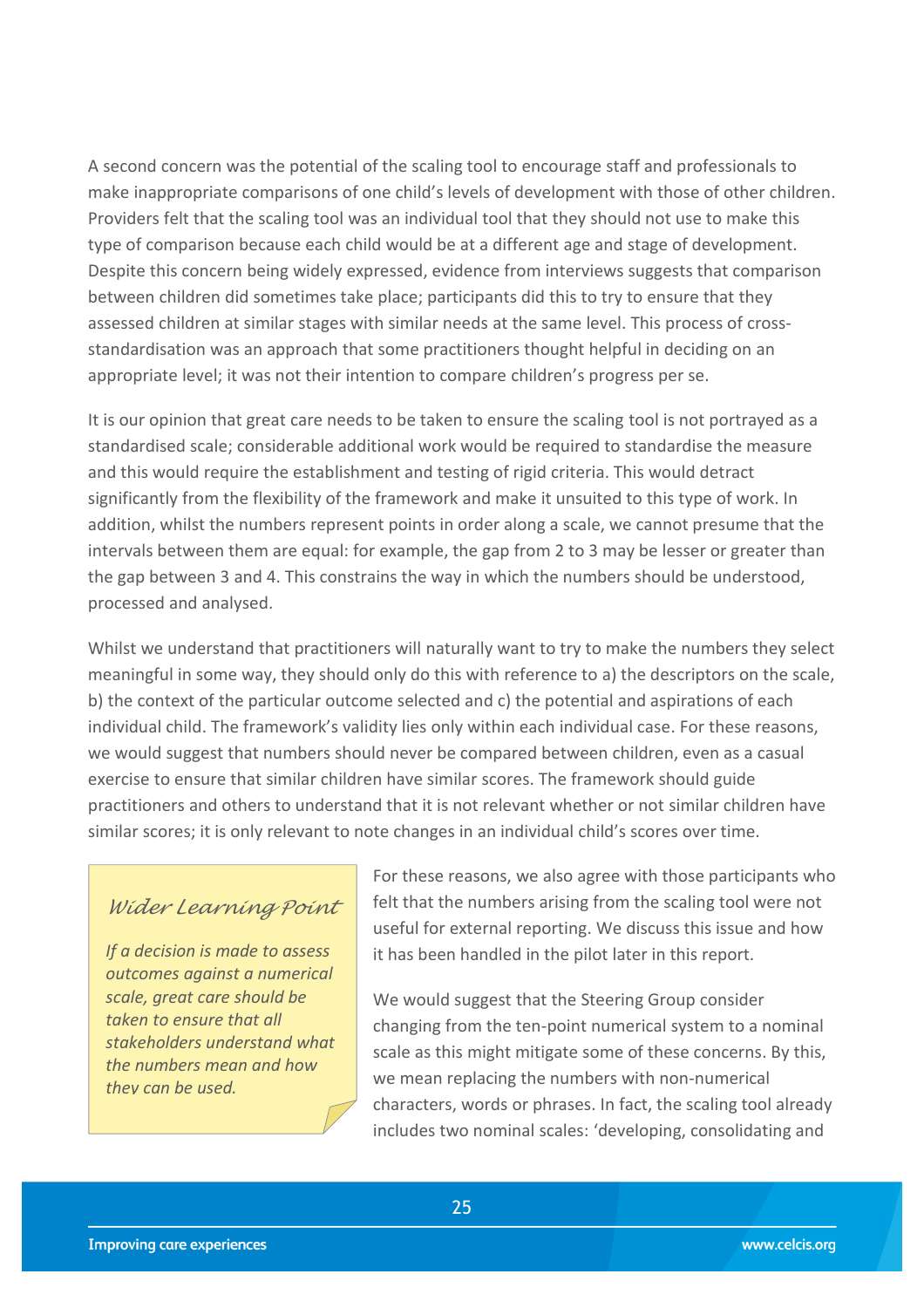A second concern was the potential of the scaling tool to encourage staff and professionals to make inappropriate comparisons of one child's levels of development with those of other children. Providers felt that the scaling tool was an individual tool that they should not use to make this type of comparison because each child would be at a different age and stage of development. Despite this concern being widely expressed, evidence from interviews suggests that comparison between children did sometimes take place; participants did this to try to ensure that they assessed children at similar stages with similar needs at the same level. This process of crossstandardisation was an approach that some practitioners thought helpful in deciding on an appropriate level; it was not their intention to compare children's progress per se.

It is our opinion that great care needs to be taken to ensure the scaling tool is not portrayed as a standardised scale; considerable additional work would be required to standardise the measure and this would require the establishment and testing of rigid criteria. This would detract significantly from the flexibility of the framework and make it unsuited to this type of work. In addition, whilst the numbers represent points in order along a scale, we cannot presume that the intervals between them are equal: for example, the gap from 2 to 3 may be lesser or greater than the gap between 3 and 4. This constrains the way in which the numbers should be understood, processed and analysed.

Whilst we understand that practitioners will naturally want to try to make the numbers they select meaningful in some way, they should only do this with reference to a) the descriptors on the scale, b) the context of the particular outcome selected and c) the potential and aspirations of each individual child. The framework's validity lies only within each individual case. For these reasons, we would suggest that numbers should never be compared between children, even as a casual exercise to ensure that similar children have similar scores. The framework should guide practitioners and others to understand that it is not relevant whether or not similar children have similar scores; it is only relevant to note changes in an individual child's scores over time.

#### *Wider Learning Point*

*If a decision is made to assess outcomes against a numerical scale, great care should be taken to ensure that all stakeholders understand what the numbers mean and how they can be used.*

For these reasons, we also agree with those participants who felt that the numbers arising from the scaling tool were not useful for external reporting. We discuss this issue and how it has been handled in the pilot later in this report.

We would suggest that the Steering Group consider changing from the ten-point numerical system to a nominal scale as this might mitigate some of these concerns. By this, we mean replacing the numbers with non-numerical characters, words or phrases. In fact, the scaling tool already includes two nominal scales: 'developing, consolidating and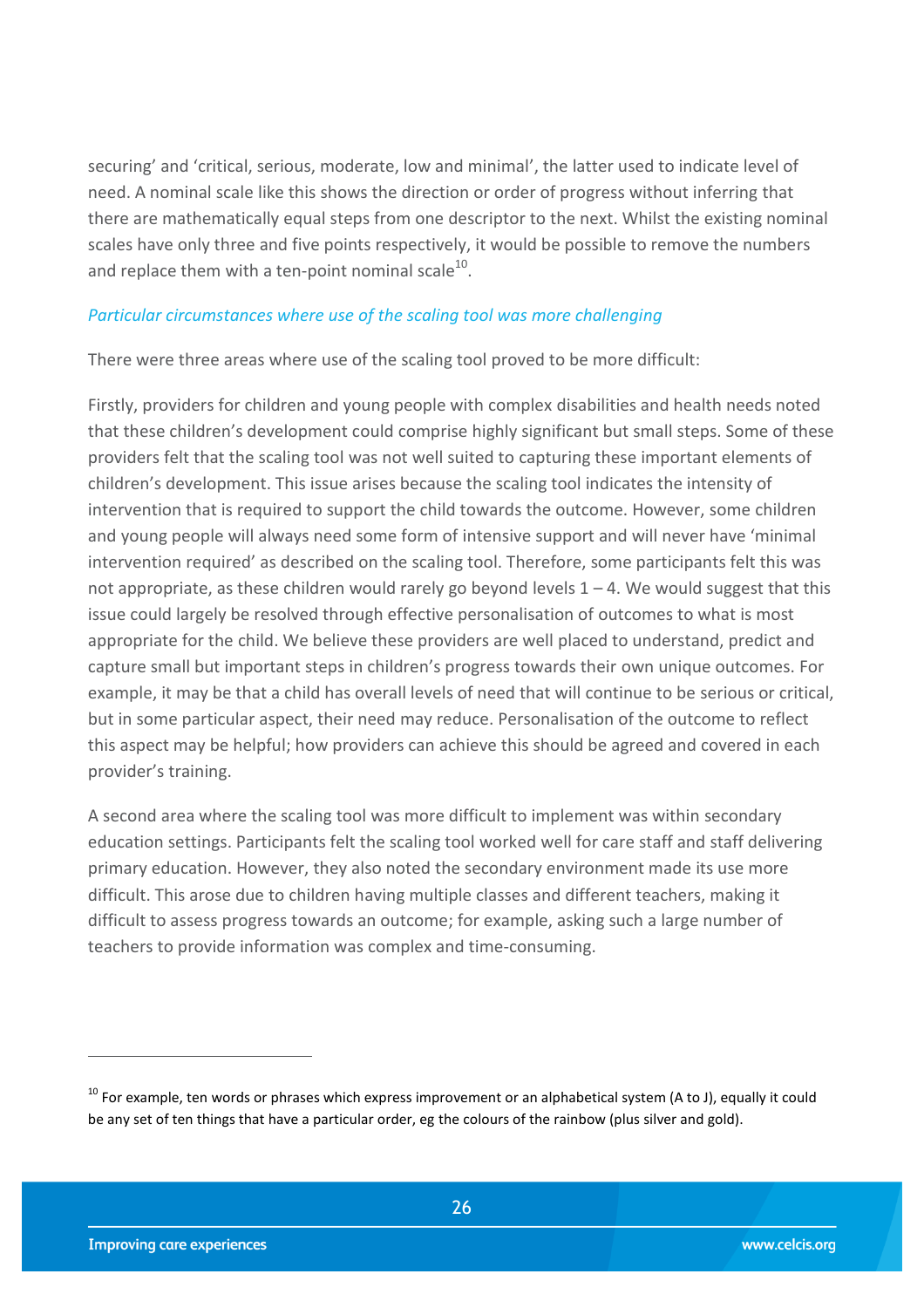securing' and 'critical, serious, moderate, low and minimal', the latter used to indicate level of need. A nominal scale like this shows the direction or order of progress without inferring that there are mathematically equal steps from one descriptor to the next. Whilst the existing nominal scales have only three and five points respectively, it would be possible to remove the numbers and replace them with a ten-point nominal scale<sup>10</sup>.

#### *Particular circumstances where use of the scaling tool was more challenging*

There were three areas where use of the scaling tool proved to be more difficult:

Firstly, providers for children and young people with complex disabilities and health needs noted that these children's development could comprise highly significant but small steps. Some of these providers felt that the scaling tool was not well suited to capturing these important elements of children's development. This issue arises because the scaling tool indicates the intensity of intervention that is required to support the child towards the outcome. However, some children and young people will always need some form of intensive support and will never have 'minimal intervention required' as described on the scaling tool. Therefore, some participants felt this was not appropriate, as these children would rarely go beyond levels  $1 - 4$ . We would suggest that this issue could largely be resolved through effective personalisation of outcomes to what is most appropriate for the child. We believe these providers are well placed to understand, predict and capture small but important steps in children's progress towards their own unique outcomes. For example, it may be that a child has overall levels of need that will continue to be serious or critical, but in some particular aspect, their need may reduce. Personalisation of the outcome to reflect this aspect may be helpful; how providers can achieve this should be agreed and covered in each provider's training.

A second area where the scaling tool was more difficult to implement was within secondary education settings. Participants felt the scaling tool worked well for care staff and staff delivering primary education. However, they also noted the secondary environment made its use more difficult. This arose due to children having multiple classes and different teachers, making it difficult to assess progress towards an outcome; for example, asking such a large number of teachers to provide information was complex and time-consuming.

 $10$  For example, ten words or phrases which express improvement or an alphabetical system (A to J), equally it could be any set of ten things that have a particular order, eg the colours of the rainbow (plus silver and gold).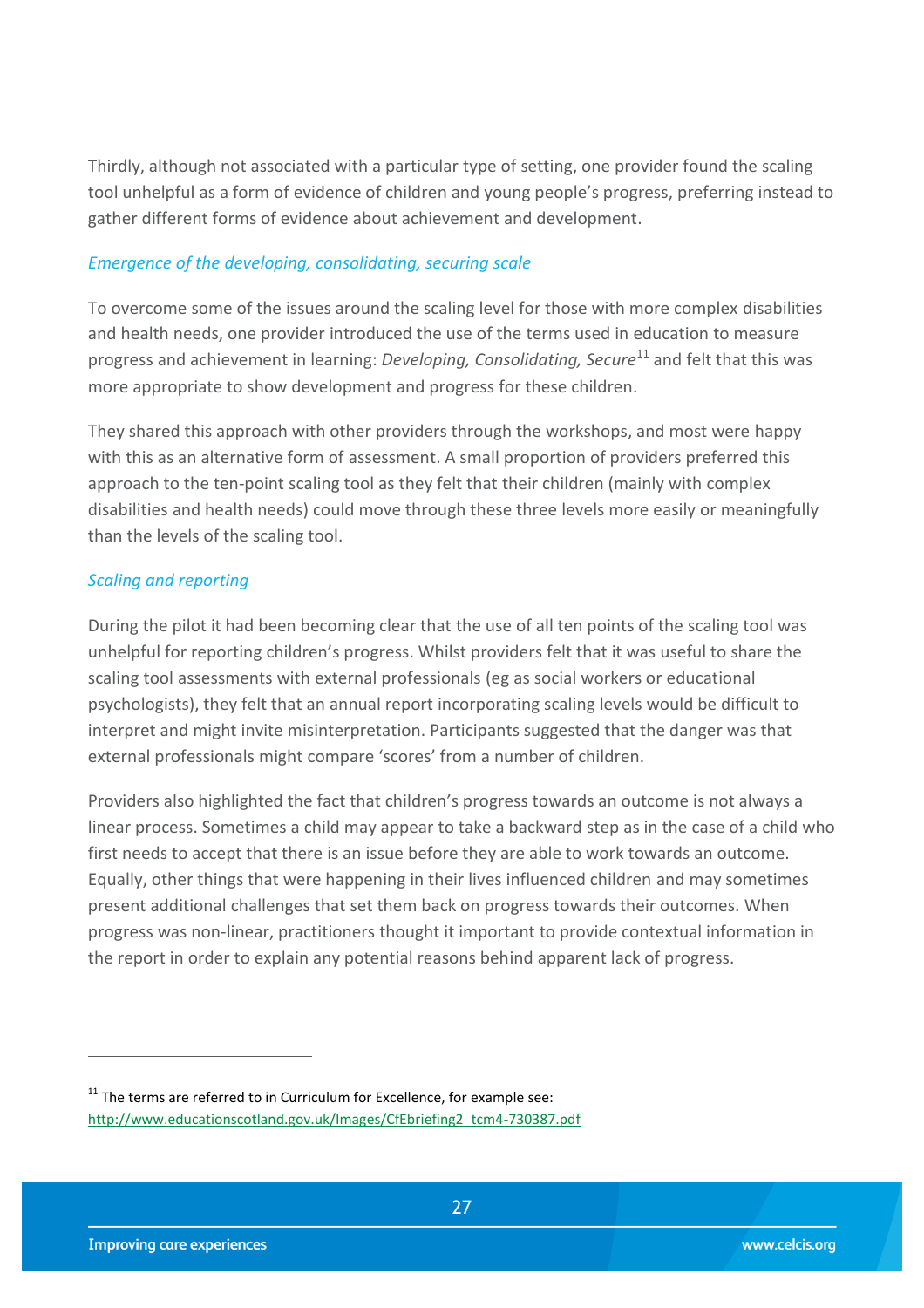Thirdly, although not associated with a particular type of setting, one provider found the scaling tool unhelpful as a form of evidence of children and young people's progress, preferring instead to gather different forms of evidence about achievement and development.

#### *Emergence of the developing, consolidating, securing scale*

To overcome some of the issues around the scaling level for those with more complex disabilities and health needs, one provider introduced the use of the terms used in education to measure progress and achievement in learning: *Developing, Consolidating, Secure* <sup>11</sup> and felt that this was more appropriate to show development and progress for these children.

They shared this approach with other providers through the workshops, and most were happy with this as an alternative form of assessment. A small proportion of providers preferred this approach to the ten-point scaling tool as they felt that their children (mainly with complex disabilities and health needs) could move through these three levels more easily or meaningfully than the levels of the scaling tool.

#### *Scaling and reporting*

During the pilot it had been becoming clear that the use of all ten points of the scaling tool was unhelpful for reporting children's progress. Whilst providers felt that it was useful to share the scaling tool assessments with external professionals (eg as social workers or educational psychologists), they felt that an annual report incorporating scaling levels would be difficult to interpret and might invite misinterpretation. Participants suggested that the danger was that external professionals might compare 'scores' from a number of children.

Providers also highlighted the fact that children's progress towards an outcome is not always a linear process. Sometimes a child may appear to take a backward step as in the case of a child who first needs to accept that there is an issue before they are able to work towards an outcome. Equally, other things that were happening in their lives influenced children and may sometimes present additional challenges that set them back on progress towards their outcomes. When progress was non-linear, practitioners thought it important to provide contextual information in the report in order to explain any potential reasons behind apparent lack of progress.

 $11$ <sup>11</sup> The terms are referred to in Curriculum for Excellence, for example see: [http://www.educationscotland.gov.uk/Images/CfEbriefing2\\_tcm4-730387.pdf](http://www.educationscotland.gov.uk/Images/CfEbriefing2_tcm4-730387.pdf)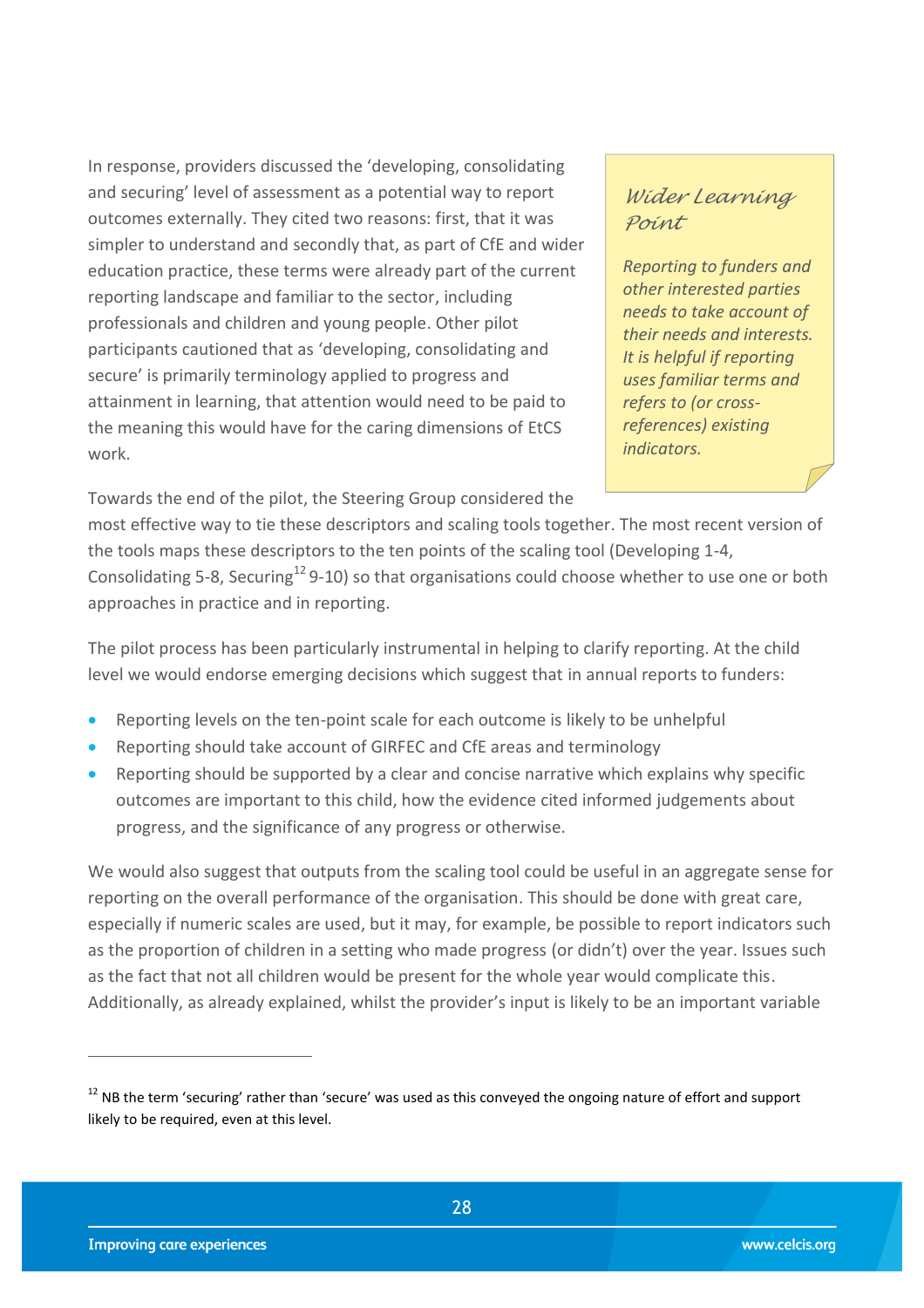In response, providers discussed the 'developing, consolidating and securing' level of assessment as a potential way to report outcomes externally. They cited two reasons: first, that it was simpler to understand and secondly that, as part of CfE and wider education practice, these terms were already part of the current reporting landscape and familiar to the sector, including professionals and children and young people. Other pilot participants cautioned that as 'developing, consolidating and secure' is primarily terminology applied to progress and attainment in learning, that attention would need to be paid to the meaning this would have for the caring dimensions of EtCS work.

### *Wider Learning Point*

*Reporting to funders and other interested parties needs to take account of their needs and interests. It is helpful if reporting uses familiar terms and refers to (or crossreferences) existing indicators.*

Towards the end of the pilot, the Steering Group considered the

most effective way to tie these descriptors and scaling tools together. The most recent version of the tools maps these descriptors to the ten points of the scaling tool (Developing 1-4, Consolidating 5-8, Securing<sup>12</sup> 9-10) so that organisations could choose whether to use one or both approaches in practice and in reporting.

The pilot process has been particularly instrumental in helping to clarify reporting. At the child level we would endorse emerging decisions which suggest that in annual reports to funders:

- Reporting levels on the ten-point scale for each outcome is likely to be unhelpful
- Reporting should take account of GIRFEC and CfE areas and terminology
- Reporting should be supported by a clear and concise narrative which explains why specific outcomes are important to this child, how the evidence cited informed judgements about progress, and the significance of any progress or otherwise.

We would also suggest that outputs from the scaling tool could be useful in an aggregate sense for reporting on the overall performance of the organisation. This should be done with great care, especially if numeric scales are used, but it may, for example, be possible to report indicators such as the proportion of children in a setting who made progress (or didn't) over the year. Issues such as the fact that not all children would be present for the whole year would complicate this. Additionally, as already explained, whilst the provider's input is likely to be an important variable

 $12$  NB the term 'securing' rather than 'secure' was used as this conveyed the ongoing nature of effort and support likely to be required, even at this level.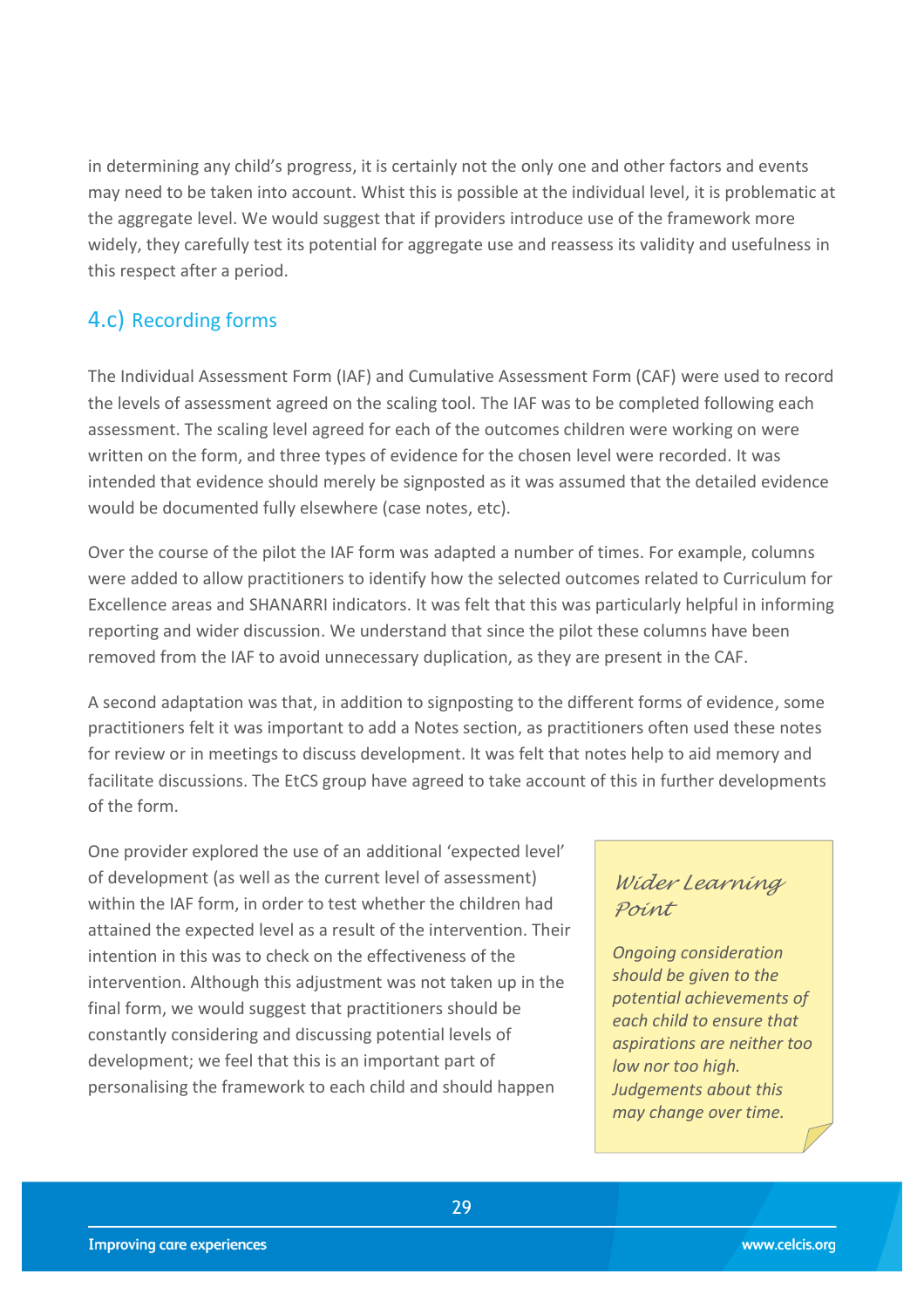in determining any child's progress, it is certainly not the only one and other factors and events may need to be taken into account. Whist this is possible at the individual level, it is problematic at the aggregate level. We would suggest that if providers introduce use of the framework more widely, they carefully test its potential for aggregate use and reassess its validity and usefulness in this respect after a period.

## <span id="page-28-0"></span>4.c) Recording forms

The Individual Assessment Form (IAF) and Cumulative Assessment Form (CAF) were used to record the levels of assessment agreed on the scaling tool. The IAF was to be completed following each assessment. The scaling level agreed for each of the outcomes children were working on were written on the form, and three types of evidence for the chosen level were recorded. It was intended that evidence should merely be signposted as it was assumed that the detailed evidence would be documented fully elsewhere (case notes, etc).

Over the course of the pilot the IAF form was adapted a number of times. For example, columns were added to allow practitioners to identify how the selected outcomes related to Curriculum for Excellence areas and SHANARRI indicators. It was felt that this was particularly helpful in informing reporting and wider discussion. We understand that since the pilot these columns have been removed from the IAF to avoid unnecessary duplication, as they are present in the CAF.

A second adaptation was that, in addition to signposting to the different forms of evidence, some practitioners felt it was important to add a Notes section, as practitioners often used these notes for review or in meetings to discuss development. It was felt that notes help to aid memory and facilitate discussions. The EtCS group have agreed to take account of this in further developments of the form.

One provider explored the use of an additional 'expected level' of development (as well as the current level of assessment) within the IAF form, in order to test whether the children had attained the expected level as a result of the intervention. Their intention in this was to check on the effectiveness of the intervention. Although this adjustment was not taken up in the final form, we would suggest that practitioners should be constantly considering and discussing potential levels of development; we feel that this is an important part of personalising the framework to each child and should happen

### *Wider Learning Point*

*Ongoing consideration should be given to the potential achievements of each child to ensure that aspirations are neither too low nor too high. Judgements about this may change over time.*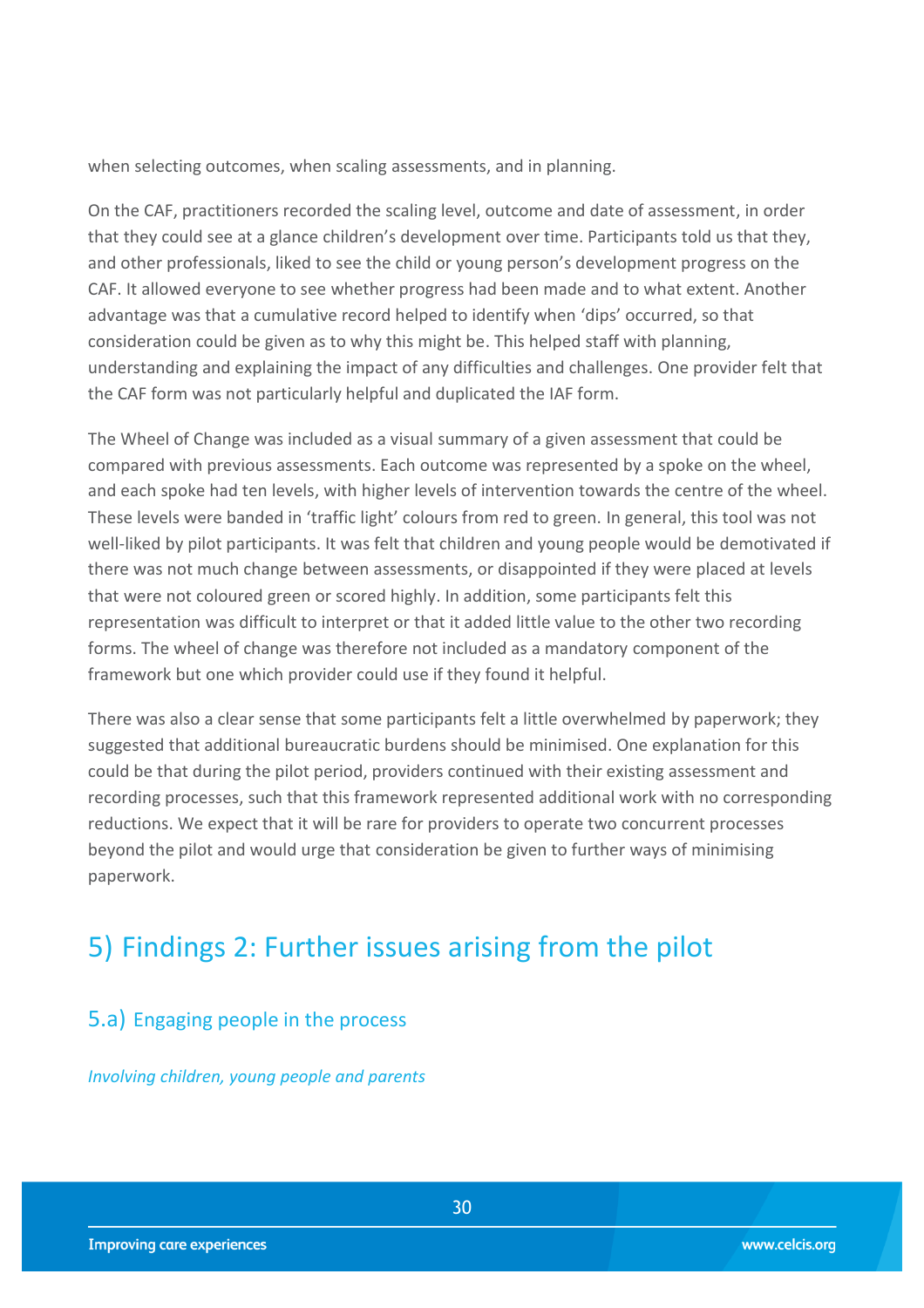when selecting outcomes, when scaling assessments, and in planning.

On the CAF, practitioners recorded the scaling level, outcome and date of assessment, in order that they could see at a glance children's development over time. Participants told us that they, and other professionals, liked to see the child or young person's development progress on the CAF. It allowed everyone to see whether progress had been made and to what extent. Another advantage was that a cumulative record helped to identify when 'dips' occurred, so that consideration could be given as to why this might be. This helped staff with planning, understanding and explaining the impact of any difficulties and challenges. One provider felt that the CAF form was not particularly helpful and duplicated the IAF form.

The Wheel of Change was included as a visual summary of a given assessment that could be compared with previous assessments. Each outcome was represented by a spoke on the wheel, and each spoke had ten levels, with higher levels of intervention towards the centre of the wheel. These levels were banded in 'traffic light' colours from red to green. In general, this tool was not well-liked by pilot participants. It was felt that children and young people would be demotivated if there was not much change between assessments, or disappointed if they were placed at levels that were not coloured green or scored highly. In addition, some participants felt this representation was difficult to interpret or that it added little value to the other two recording forms. The wheel of change was therefore not included as a mandatory component of the framework but one which provider could use if they found it helpful.

There was also a clear sense that some participants felt a little overwhelmed by paperwork; they suggested that additional bureaucratic burdens should be minimised. One explanation for this could be that during the pilot period, providers continued with their existing assessment and recording processes, such that this framework represented additional work with no corresponding reductions. We expect that it will be rare for providers to operate two concurrent processes beyond the pilot and would urge that consideration be given to further ways of minimising paperwork.

## <span id="page-29-0"></span>5) Findings 2: Further issues arising from the pilot

### <span id="page-29-1"></span>5.a) Engaging people in the process

*Involving children, young people and parents*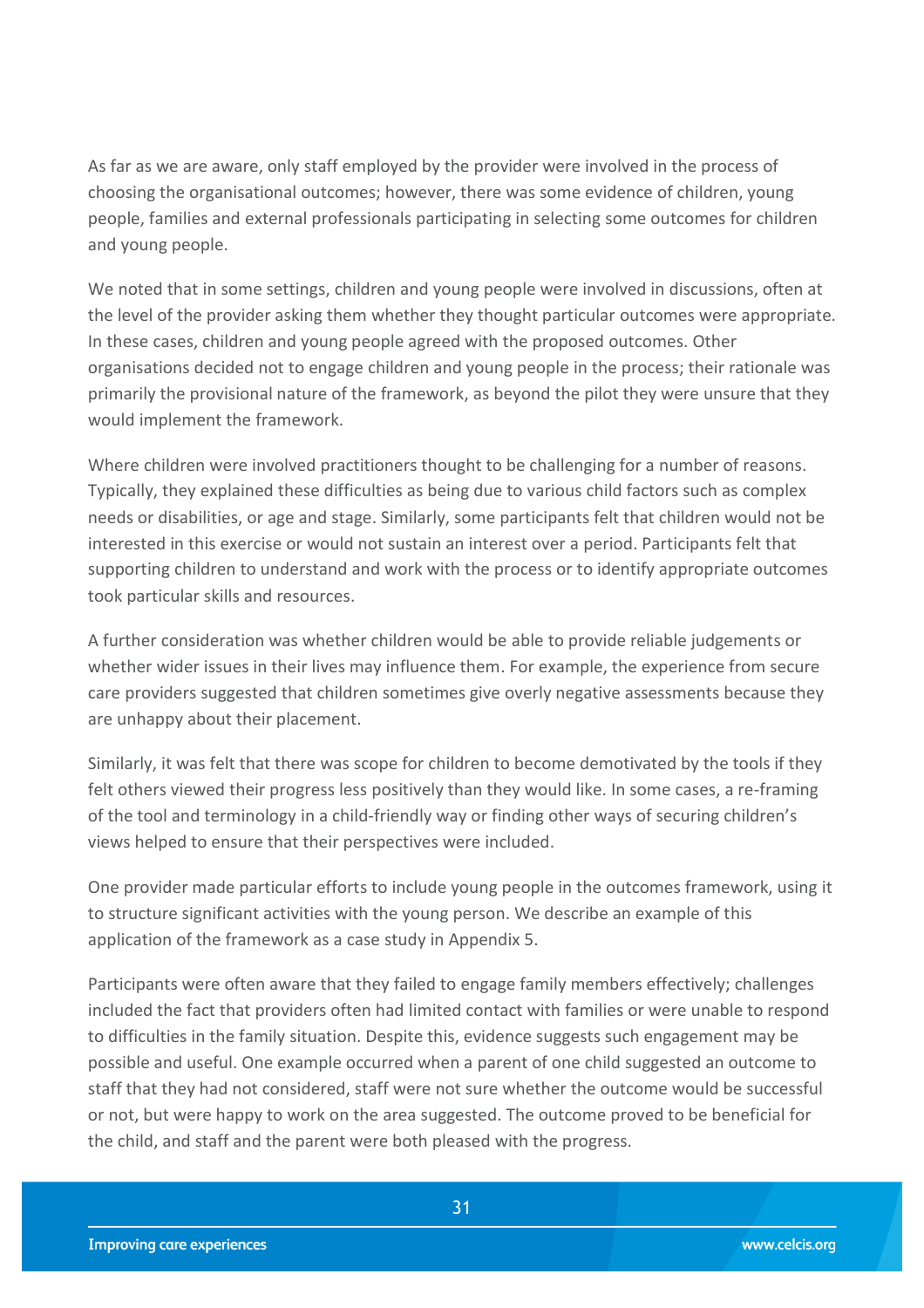As far as we are aware, only staff employed by the provider were involved in the process of choosing the organisational outcomes; however, there was some evidence of children, young people, families and external professionals participating in selecting some outcomes for children and young people.

We noted that in some settings, children and young people were involved in discussions, often at the level of the provider asking them whether they thought particular outcomes were appropriate. In these cases, children and young people agreed with the proposed outcomes. Other organisations decided not to engage children and young people in the process; their rationale was primarily the provisional nature of the framework, as beyond the pilot they were unsure that they would implement the framework.

Where children were involved practitioners thought to be challenging for a number of reasons. Typically, they explained these difficulties as being due to various child factors such as complex needs or disabilities, or age and stage. Similarly, some participants felt that children would not be interested in this exercise or would not sustain an interest over a period. Participants felt that supporting children to understand and work with the process or to identify appropriate outcomes took particular skills and resources.

A further consideration was whether children would be able to provide reliable judgements or whether wider issues in their lives may influence them. For example, the experience from secure care providers suggested that children sometimes give overly negative assessments because they are unhappy about their placement.

Similarly, it was felt that there was scope for children to become demotivated by the tools if they felt others viewed their progress less positively than they would like. In some cases, a re-framing of the tool and terminology in a child-friendly way or finding other ways of securing children's views helped to ensure that their perspectives were included.

One provider made particular efforts to include young people in the outcomes framework, using it to structure significant activities with the young person. We describe an example of this application of the framework as a case study in Appendix 5.

Participants were often aware that they failed to engage family members effectively; challenges included the fact that providers often had limited contact with families or were unable to respond to difficulties in the family situation. Despite this, evidence suggests such engagement may be possible and useful. One example occurred when a parent of one child suggested an outcome to staff that they had not considered, staff were not sure whether the outcome would be successful or not, but were happy to work on the area suggested. The outcome proved to be beneficial for the child, and staff and the parent were both pleased with the progress.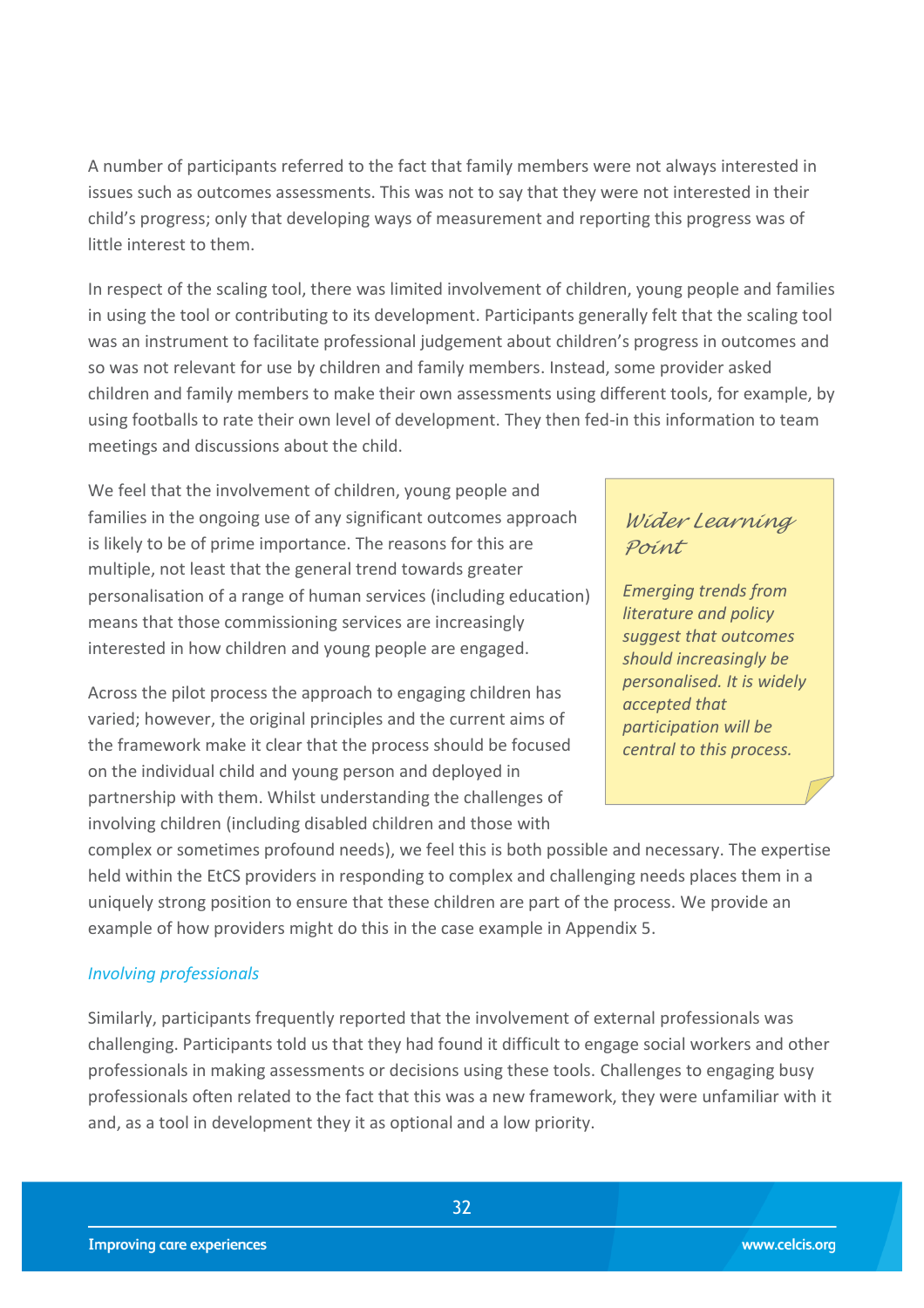A number of participants referred to the fact that family members were not always interested in issues such as outcomes assessments. This was not to say that they were not interested in their child's progress; only that developing ways of measurement and reporting this progress was of little interest to them.

In respect of the scaling tool, there was limited involvement of children, young people and families in using the tool or contributing to its development. Participants generally felt that the scaling tool was an instrument to facilitate professional judgement about children's progress in outcomes and so was not relevant for use by children and family members. Instead, some provider asked children and family members to make their own assessments using different tools, for example, by using footballs to rate their own level of development. They then fed-in this information to team meetings and discussions about the child.

We feel that the involvement of children, young people and families in the ongoing use of any significant outcomes approach is likely to be of prime importance. The reasons for this are multiple, not least that the general trend towards greater personalisation of a range of human services (including education) means that those commissioning services are increasingly interested in how children and young people are engaged.

Across the pilot process the approach to engaging children has varied; however, the original principles and the current aims of the framework make it clear that the process should be focused on the individual child and young person and deployed in partnership with them. Whilst understanding the challenges of involving children (including disabled children and those with

## *Wider Learning Point*

*Emerging trends from literature and policy suggest that outcomes should increasingly be personalised. It is widely accepted that participation will be central to this process.*

complex or sometimes profound needs), we feel this is both possible and necessary. The expertise held within the EtCS providers in responding to complex and challenging needs places them in a uniquely strong position to ensure that these children are part of the process. We provide an example of how providers might do this in the case example in Appendix 5.

#### *Involving professionals*

Similarly, participants frequently reported that the involvement of external professionals was challenging. Participants told us that they had found it difficult to engage social workers and other professionals in making assessments or decisions using these tools. Challenges to engaging busy professionals often related to the fact that this was a new framework, they were unfamiliar with it and, as a tool in development they it as optional and a low priority.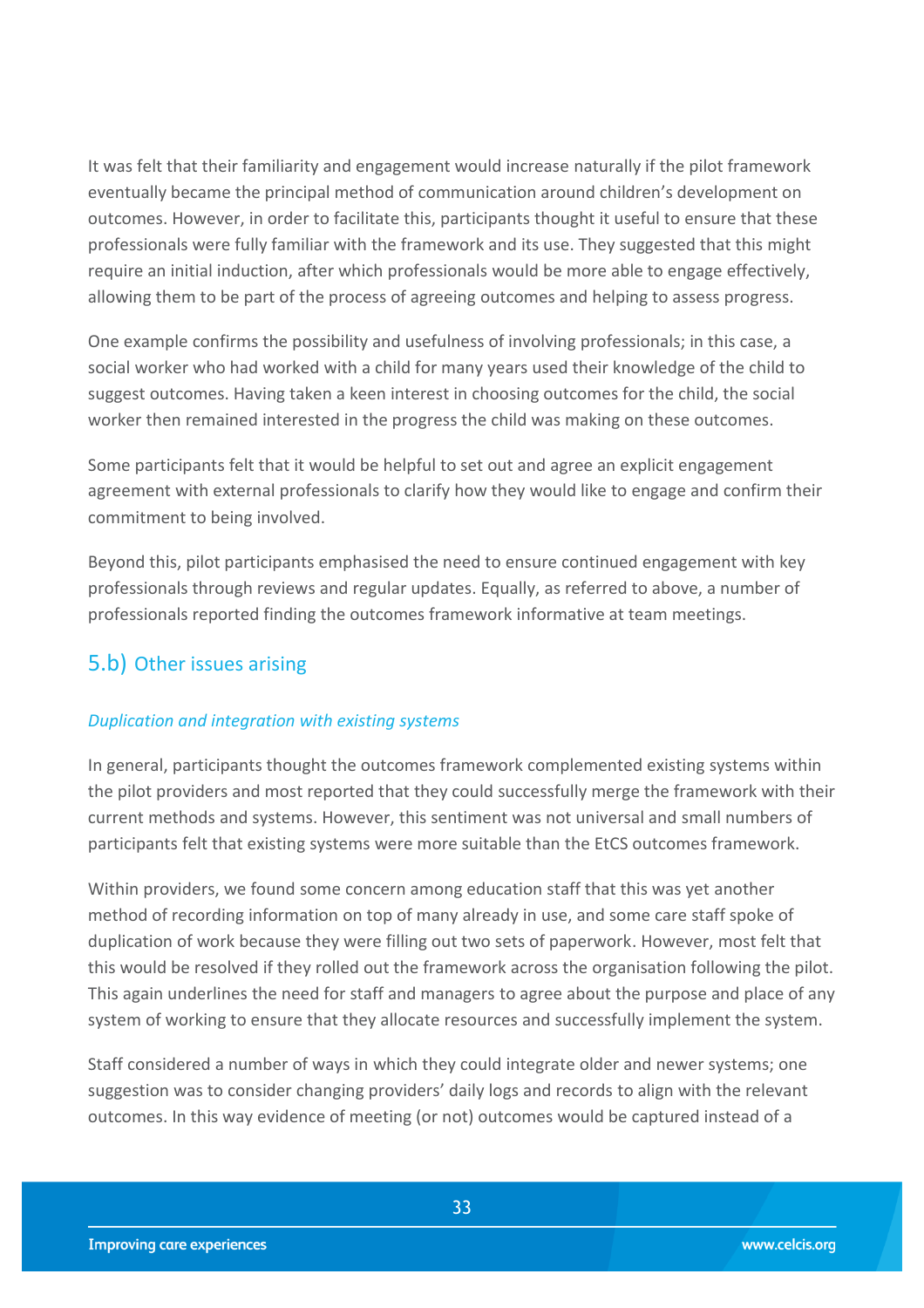It was felt that their familiarity and engagement would increase naturally if the pilot framework eventually became the principal method of communication around children's development on outcomes. However, in order to facilitate this, participants thought it useful to ensure that these professionals were fully familiar with the framework and its use. They suggested that this might require an initial induction, after which professionals would be more able to engage effectively, allowing them to be part of the process of agreeing outcomes and helping to assess progress.

One example confirms the possibility and usefulness of involving professionals; in this case, a social worker who had worked with a child for many years used their knowledge of the child to suggest outcomes. Having taken a keen interest in choosing outcomes for the child, the social worker then remained interested in the progress the child was making on these outcomes.

Some participants felt that it would be helpful to set out and agree an explicit engagement agreement with external professionals to clarify how they would like to engage and confirm their commitment to being involved.

Beyond this, pilot participants emphasised the need to ensure continued engagement with key professionals through reviews and regular updates. Equally, as referred to above, a number of professionals reported finding the outcomes framework informative at team meetings.

## <span id="page-32-0"></span>5.b) Other issues arising

#### *Duplication and integration with existing systems*

In general, participants thought the outcomes framework complemented existing systems within the pilot providers and most reported that they could successfully merge the framework with their current methods and systems. However, this sentiment was not universal and small numbers of participants felt that existing systems were more suitable than the EtCS outcomes framework.

Within providers, we found some concern among education staff that this was yet another method of recording information on top of many already in use, and some care staff spoke of duplication of work because they were filling out two sets of paperwork. However, most felt that this would be resolved if they rolled out the framework across the organisation following the pilot. This again underlines the need for staff and managers to agree about the purpose and place of any system of working to ensure that they allocate resources and successfully implement the system.

Staff considered a number of ways in which they could integrate older and newer systems; one suggestion was to consider changing providers' daily logs and records to align with the relevant outcomes. In this way evidence of meeting (or not) outcomes would be captured instead of a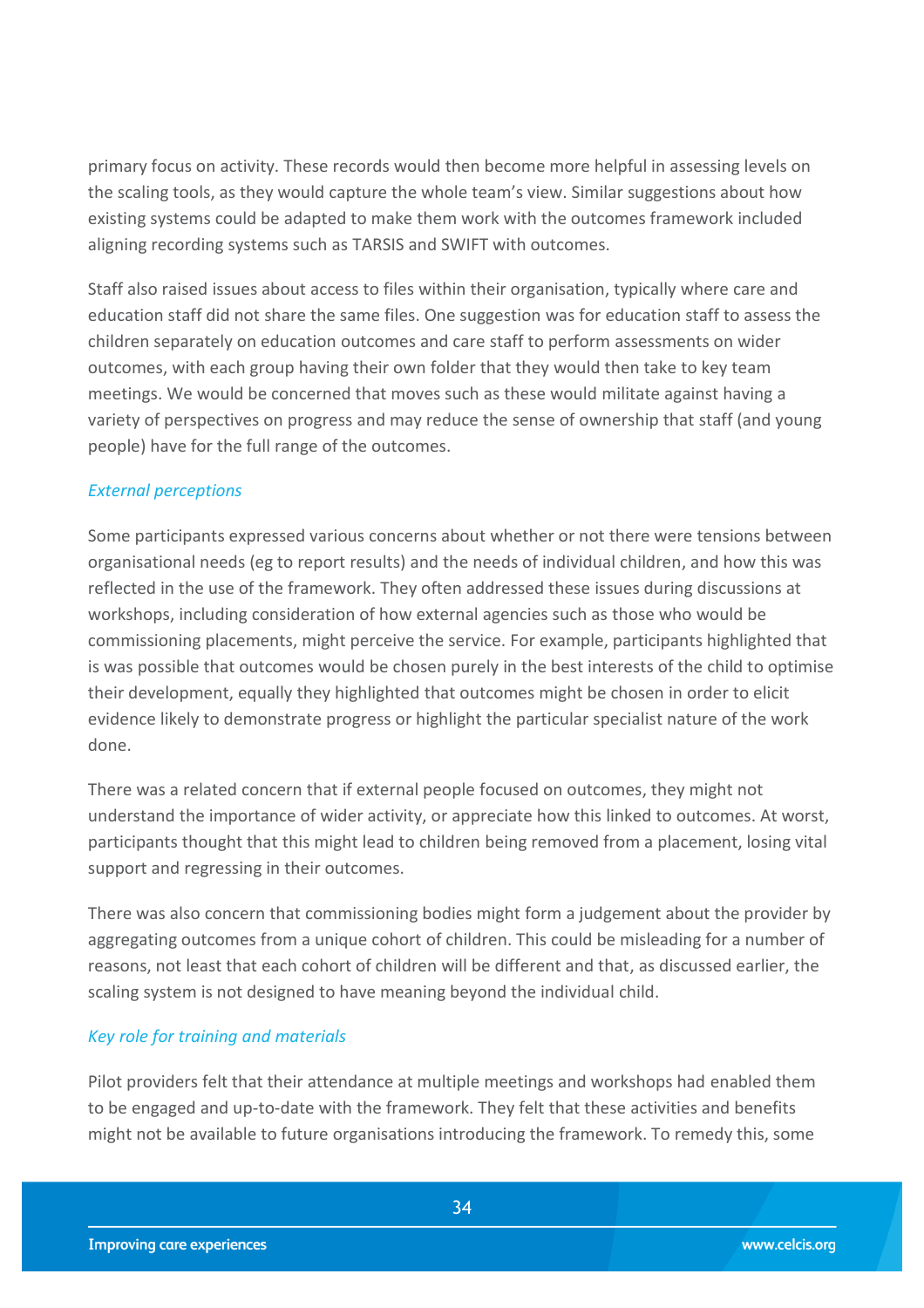primary focus on activity. These records would then become more helpful in assessing levels on the scaling tools, as they would capture the whole team's view. Similar suggestions about how existing systems could be adapted to make them work with the outcomes framework included aligning recording systems such as TARSIS and SWIFT with outcomes.

Staff also raised issues about access to files within their organisation, typically where care and education staff did not share the same files. One suggestion was for education staff to assess the children separately on education outcomes and care staff to perform assessments on wider outcomes, with each group having their own folder that they would then take to key team meetings. We would be concerned that moves such as these would militate against having a variety of perspectives on progress and may reduce the sense of ownership that staff (and young people) have for the full range of the outcomes.

#### *External perceptions*

Some participants expressed various concerns about whether or not there were tensions between organisational needs (eg to report results) and the needs of individual children, and how this was reflected in the use of the framework. They often addressed these issues during discussions at workshops, including consideration of how external agencies such as those who would be commissioning placements, might perceive the service. For example, participants highlighted that is was possible that outcomes would be chosen purely in the best interests of the child to optimise their development, equally they highlighted that outcomes might be chosen in order to elicit evidence likely to demonstrate progress or highlight the particular specialist nature of the work done.

There was a related concern that if external people focused on outcomes, they might not understand the importance of wider activity, or appreciate how this linked to outcomes. At worst, participants thought that this might lead to children being removed from a placement, losing vital support and regressing in their outcomes.

There was also concern that commissioning bodies might form a judgement about the provider by aggregating outcomes from a unique cohort of children. This could be misleading for a number of reasons, not least that each cohort of children will be different and that, as discussed earlier, the scaling system is not designed to have meaning beyond the individual child.

#### *Key role for training and materials*

Pilot providers felt that their attendance at multiple meetings and workshops had enabled them to be engaged and up-to-date with the framework. They felt that these activities and benefits might not be available to future organisations introducing the framework. To remedy this, some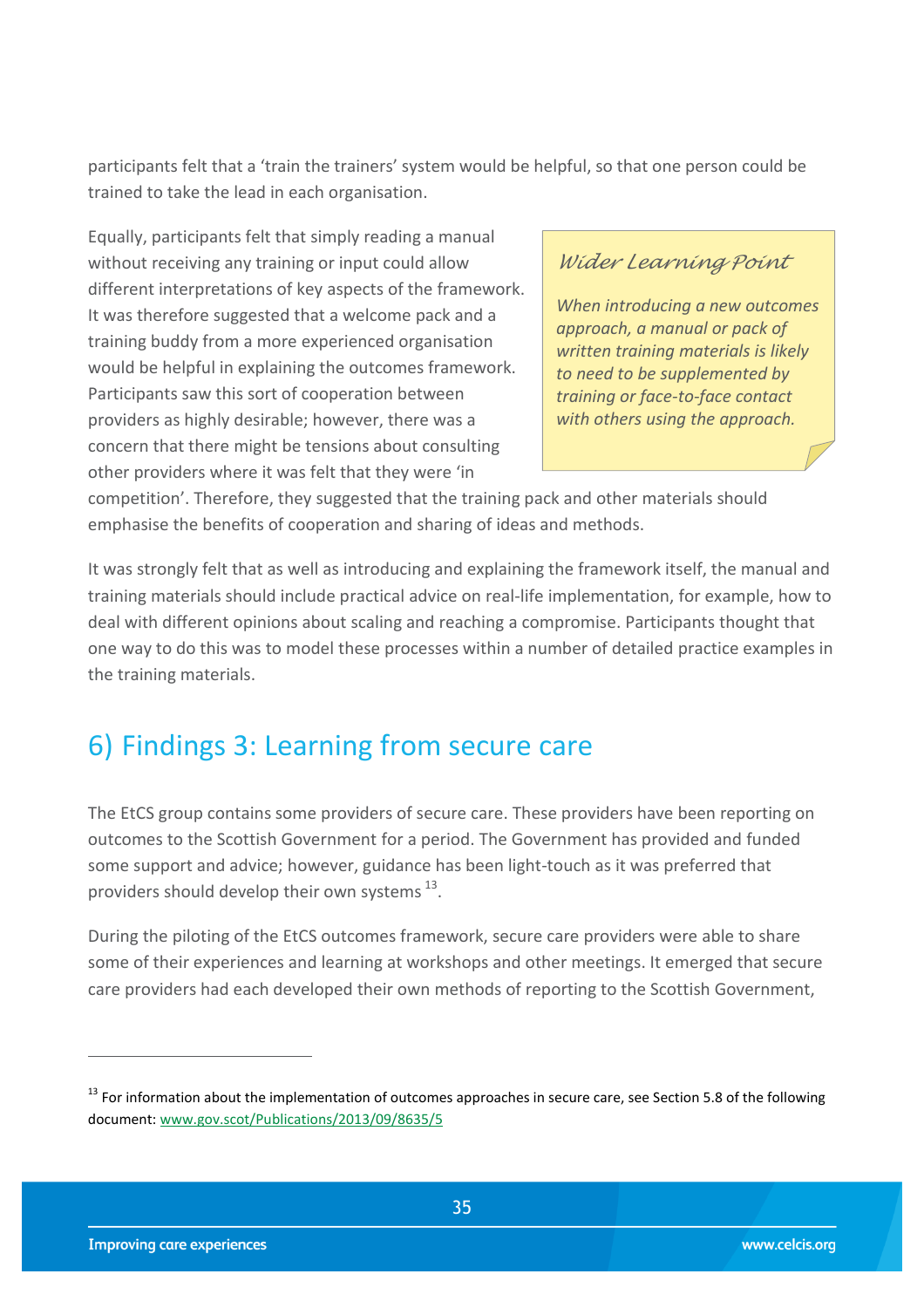participants felt that a 'train the trainers' system would be helpful, so that one person could be trained to take the lead in each organisation.

Equally, participants felt that simply reading a manual without receiving any training or input could allow different interpretations of key aspects of the framework. It was therefore suggested that a welcome pack and a training buddy from a more experienced organisation would be helpful in explaining the outcomes framework. Participants saw this sort of cooperation between providers as highly desirable; however, there was a concern that there might be tensions about consulting other providers where it was felt that they were 'in

## *Wider Learning Point*

*When introducing a new outcomes approach, a manual or pack of written training materials is likely to need to be supplemented by training or face-to-face contact with others using the approach.*

competition'. Therefore, they suggested that the training pack and other materials should emphasise the benefits of cooperation and sharing of ideas and methods.

It was strongly felt that as well as introducing and explaining the framework itself, the manual and training materials should include practical advice on real-life implementation, for example, how to deal with different opinions about scaling and reaching a compromise. Participants thought that one way to do this was to model these processes within a number of detailed practice examples in the training materials.

## <span id="page-34-0"></span>6) Findings 3: Learning from secure care

The EtCS group contains some providers of secure care. These providers have been reporting on outcomes to the Scottish Government for a period. The Government has provided and funded some support and advice; however, guidance has been light-touch as it was preferred that providers should develop their own systems  $^{13}$ .

During the piloting of the EtCS outcomes framework, secure care providers were able to share some of their experiences and learning at workshops and other meetings. It emerged that secure care providers had each developed their own methods of reporting to the Scottish Government,

<sup>&</sup>lt;sup>13</sup> For information about the implementation of outcomes approaches in secure care, see Section 5.8 of the following document: [www.gov.scot/Publications/2013/09/8635/5](http://www.gov.scot/Publications/2013/09/8635/5)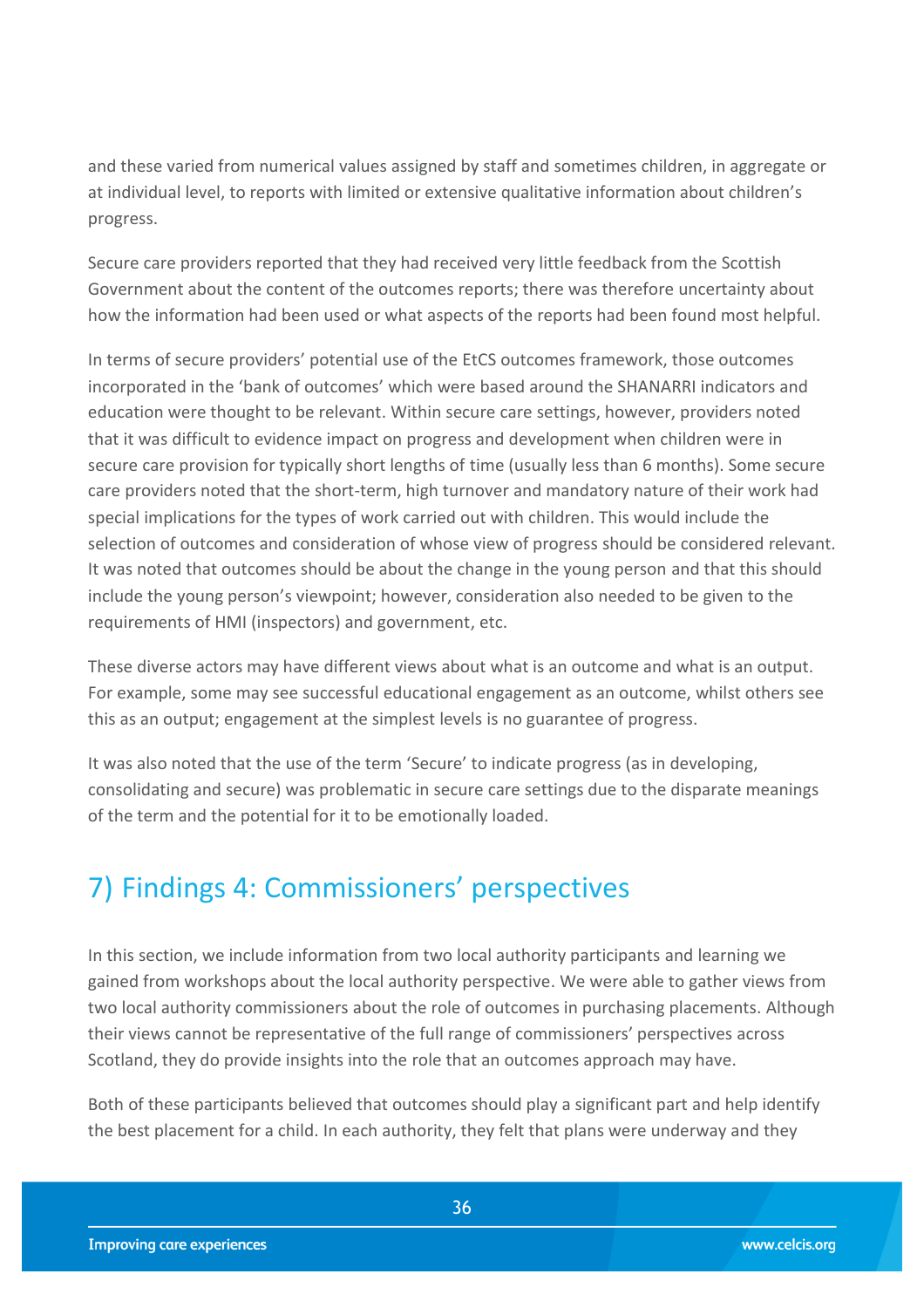and these varied from numerical values assigned by staff and sometimes children, in aggregate or at individual level, to reports with limited or extensive qualitative information about children's progress.

Secure care providers reported that they had received very little feedback from the Scottish Government about the content of the outcomes reports; there was therefore uncertainty about how the information had been used or what aspects of the reports had been found most helpful.

In terms of secure providers' potential use of the EtCS outcomes framework, those outcomes incorporated in the 'bank of outcomes' which were based around the SHANARRI indicators and education were thought to be relevant. Within secure care settings, however, providers noted that it was difficult to evidence impact on progress and development when children were in secure care provision for typically short lengths of time (usually less than 6 months). Some secure care providers noted that the short-term, high turnover and mandatory nature of their work had special implications for the types of work carried out with children. This would include the selection of outcomes and consideration of whose view of progress should be considered relevant. It was noted that outcomes should be about the change in the young person and that this should include the young person's viewpoint; however, consideration also needed to be given to the requirements of HMI (inspectors) and government, etc.

These diverse actors may have different views about what is an outcome and what is an output. For example, some may see successful educational engagement as an outcome, whilst others see this as an output; engagement at the simplest levels is no guarantee of progress.

It was also noted that the use of the term 'Secure' to indicate progress (as in developing, consolidating and secure) was problematic in secure care settings due to the disparate meanings of the term and the potential for it to be emotionally loaded.

## <span id="page-35-0"></span>7) Findings 4: Commissioners' perspectives

In this section, we include information from two local authority participants and learning we gained from workshops about the local authority perspective. We were able to gather views from two local authority commissioners about the role of outcomes in purchasing placements. Although their views cannot be representative of the full range of commissioners' perspectives across Scotland, they do provide insights into the role that an outcomes approach may have.

Both of these participants believed that outcomes should play a significant part and help identify the best placement for a child. In each authority, they felt that plans were underway and they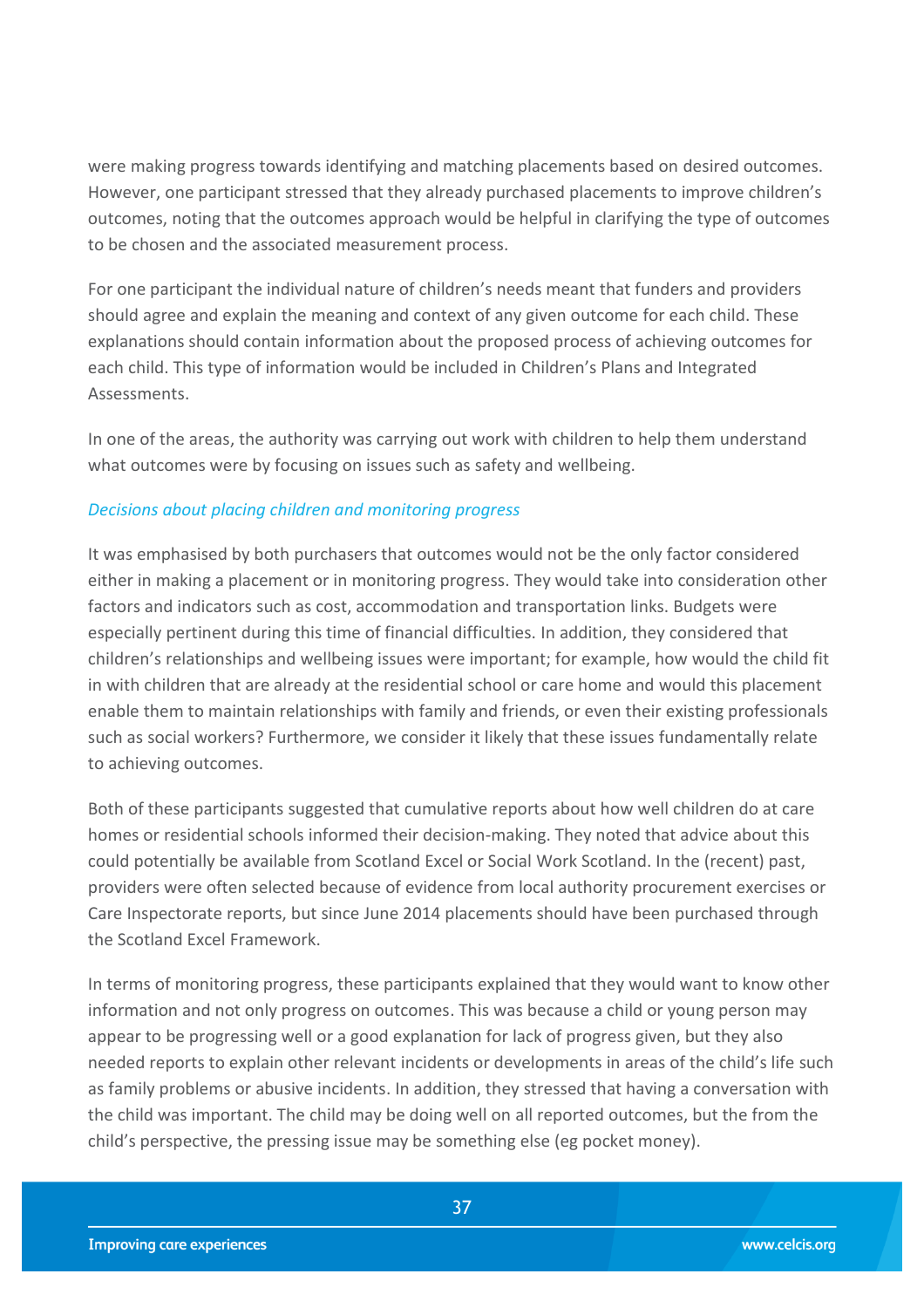were making progress towards identifying and matching placements based on desired outcomes. However, one participant stressed that they already purchased placements to improve children's outcomes, noting that the outcomes approach would be helpful in clarifying the type of outcomes to be chosen and the associated measurement process.

For one participant the individual nature of children's needs meant that funders and providers should agree and explain the meaning and context of any given outcome for each child. These explanations should contain information about the proposed process of achieving outcomes for each child. This type of information would be included in Children's Plans and Integrated Assessments.

In one of the areas, the authority was carrying out work with children to help them understand what outcomes were by focusing on issues such as safety and wellbeing.

#### *Decisions about placing children and monitoring progress*

It was emphasised by both purchasers that outcomes would not be the only factor considered either in making a placement or in monitoring progress. They would take into consideration other factors and indicators such as cost, accommodation and transportation links. Budgets were especially pertinent during this time of financial difficulties. In addition, they considered that children's relationships and wellbeing issues were important; for example, how would the child fit in with children that are already at the residential school or care home and would this placement enable them to maintain relationships with family and friends, or even their existing professionals such as social workers? Furthermore, we consider it likely that these issues fundamentally relate to achieving outcomes.

Both of these participants suggested that cumulative reports about how well children do at care homes or residential schools informed their decision-making. They noted that advice about this could potentially be available from Scotland Excel or Social Work Scotland. In the (recent) past, providers were often selected because of evidence from local authority procurement exercises or Care Inspectorate reports, but since June 2014 placements should have been purchased through the Scotland Excel Framework.

In terms of monitoring progress, these participants explained that they would want to know other information and not only progress on outcomes. This was because a child or young person may appear to be progressing well or a good explanation for lack of progress given, but they also needed reports to explain other relevant incidents or developments in areas of the child's life such as family problems or abusive incidents. In addition, they stressed that having a conversation with the child was important. The child may be doing well on all reported outcomes, but the from the child's perspective, the pressing issue may be something else (eg pocket money).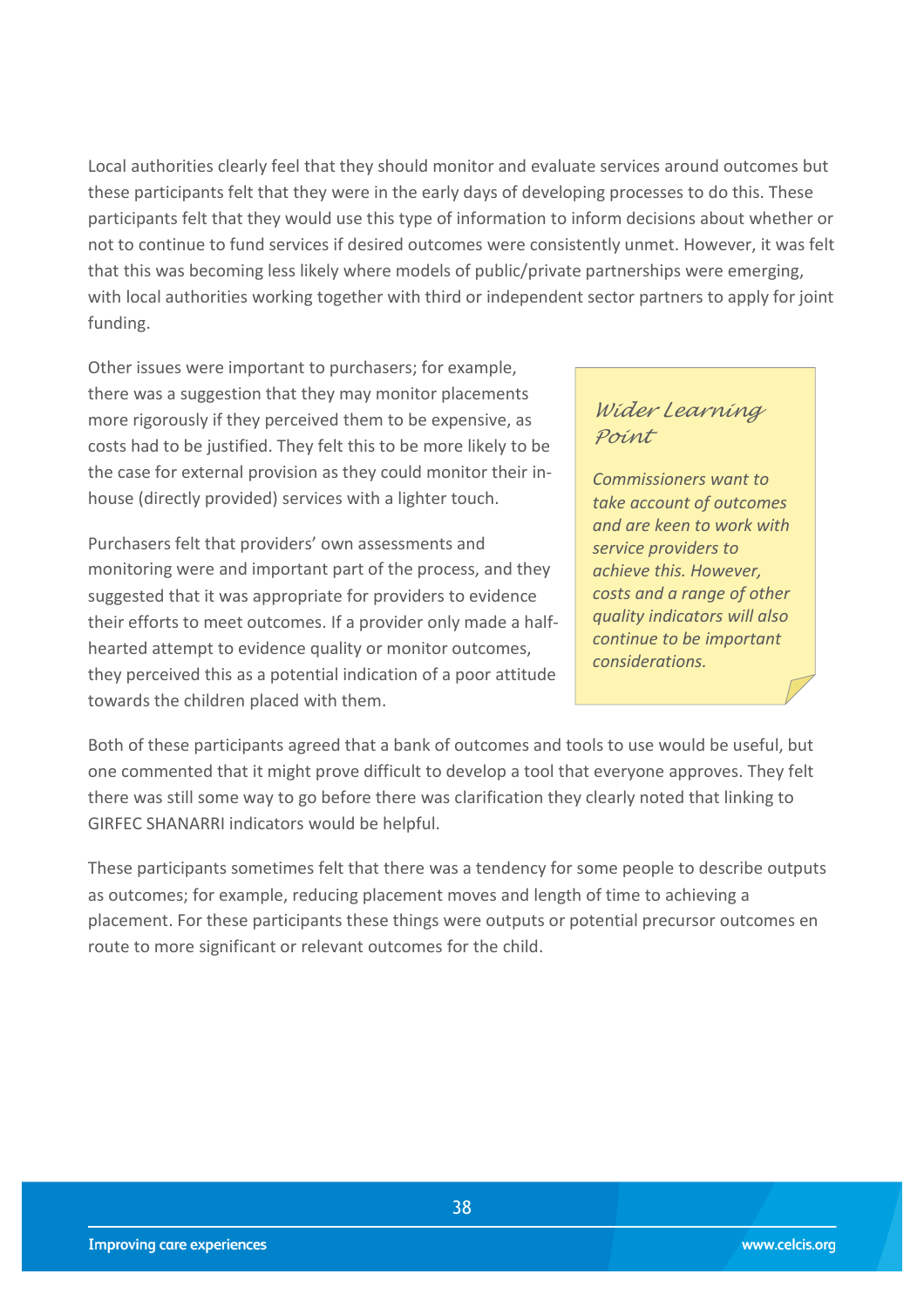Local authorities clearly feel that they should monitor and evaluate services around outcomes but these participants felt that they were in the early days of developing processes to do this. These participants felt that they would use this type of information to inform decisions about whether or not to continue to fund services if desired outcomes were consistently unmet. However, it was felt that this was becoming less likely where models of public/private partnerships were emerging, with local authorities working together with third or independent sector partners to apply for joint funding.

Other issues were important to purchasers; for example, there was a suggestion that they may monitor placements more rigorously if they perceived them to be expensive, as costs had to be justified. They felt this to be more likely to be the case for external provision as they could monitor their inhouse (directly provided) services with a lighter touch.

Purchasers felt that providers' own assessments and monitoring were and important part of the process, and they suggested that it was appropriate for providers to evidence their efforts to meet outcomes. If a provider only made a halfhearted attempt to evidence quality or monitor outcomes, they perceived this as a potential indication of a poor attitude towards the children placed with them.

### *Wider Learning Point*

*Commissioners want to take account of outcomes and are keen to work with service providers to achieve this. However, costs and a range of other quality indicators will also continue to be important considerations.*

Both of these participants agreed that a bank of outcomes and tools to use would be useful, but one commented that it might prove difficult to develop a tool that everyone approves. They felt there was still some way to go before there was clarification they clearly noted that linking to GIRFEC SHANARRI indicators would be helpful.

These participants sometimes felt that there was a tendency for some people to describe outputs as outcomes; for example, reducing placement moves and length of time to achieving a placement. For these participants these things were outputs or potential precursor outcomes en route to more significant or relevant outcomes for the child.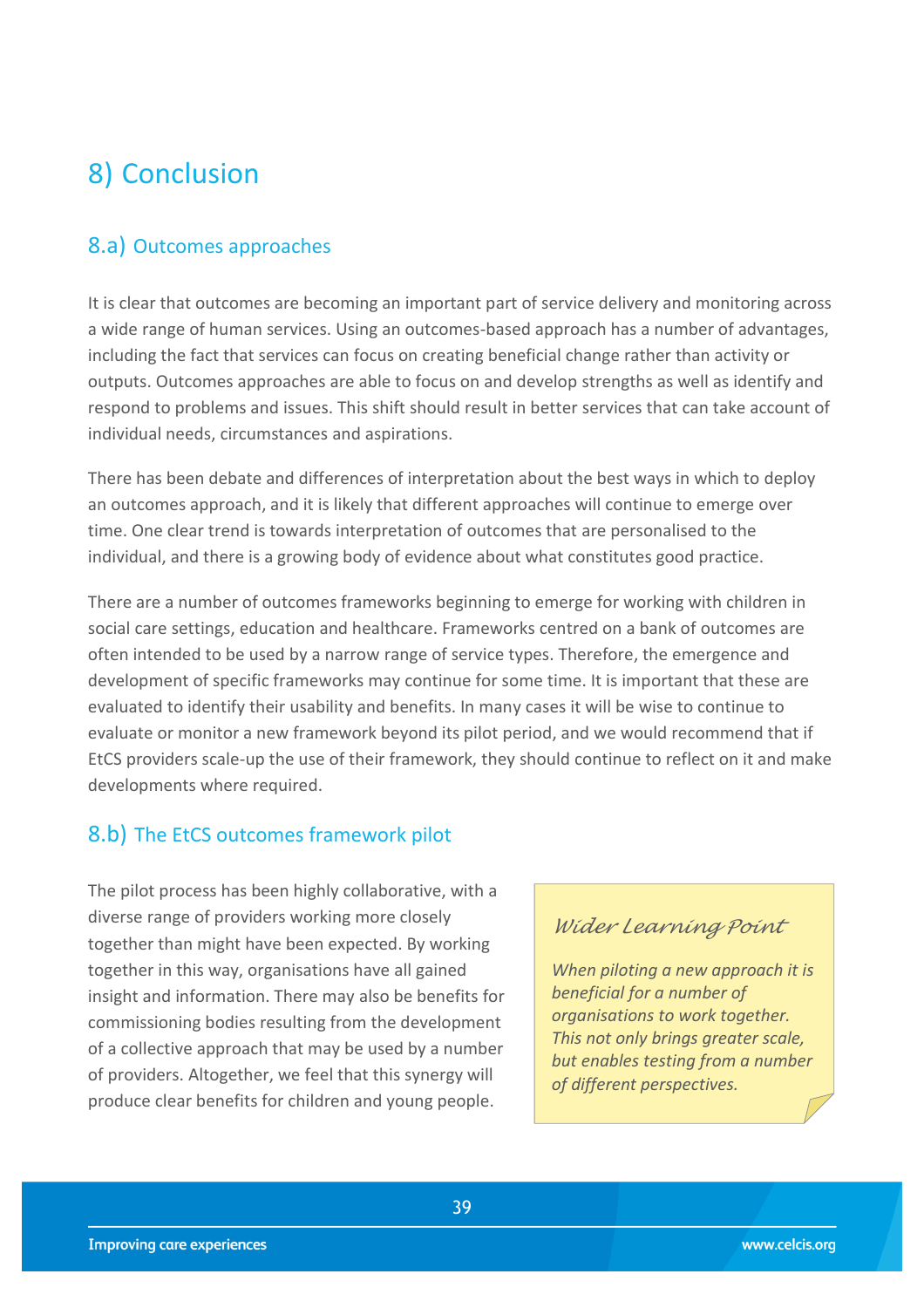## <span id="page-38-0"></span>8) Conclusion

## <span id="page-38-1"></span>8.a) Outcomes approaches

It is clear that outcomes are becoming an important part of service delivery and monitoring across a wide range of human services. Using an outcomes-based approach has a number of advantages, including the fact that services can focus on creating beneficial change rather than activity or outputs. Outcomes approaches are able to focus on and develop strengths as well as identify and respond to problems and issues. This shift should result in better services that can take account of individual needs, circumstances and aspirations.

There has been debate and differences of interpretation about the best ways in which to deploy an outcomes approach, and it is likely that different approaches will continue to emerge over time. One clear trend is towards interpretation of outcomes that are personalised to the individual, and there is a growing body of evidence about what constitutes good practice.

There are a number of outcomes frameworks beginning to emerge for working with children in social care settings, education and healthcare. Frameworks centred on a bank of outcomes are often intended to be used by a narrow range of service types. Therefore, the emergence and development of specific frameworks may continue for some time. It is important that these are evaluated to identify their usability and benefits. In many cases it will be wise to continue to evaluate or monitor a new framework beyond its pilot period, and we would recommend that if EtCS providers scale-up the use of their framework, they should continue to reflect on it and make developments where required.

### <span id="page-38-2"></span>8.b) The EtCS outcomes framework pilot

The pilot process has been highly collaborative, with a diverse range of providers working more closely together than might have been expected. By working together in this way, organisations have all gained insight and information. There may also be benefits for commissioning bodies resulting from the development of a collective approach that may be used by a number of providers. Altogether, we feel that this synergy will produce clear benefits for children and young people.

### *Wider Learning Point*

*When piloting a new approach it is beneficial for a number of organisations to work together. This not only brings greater scale, but enables testing from a number of different perspectives.*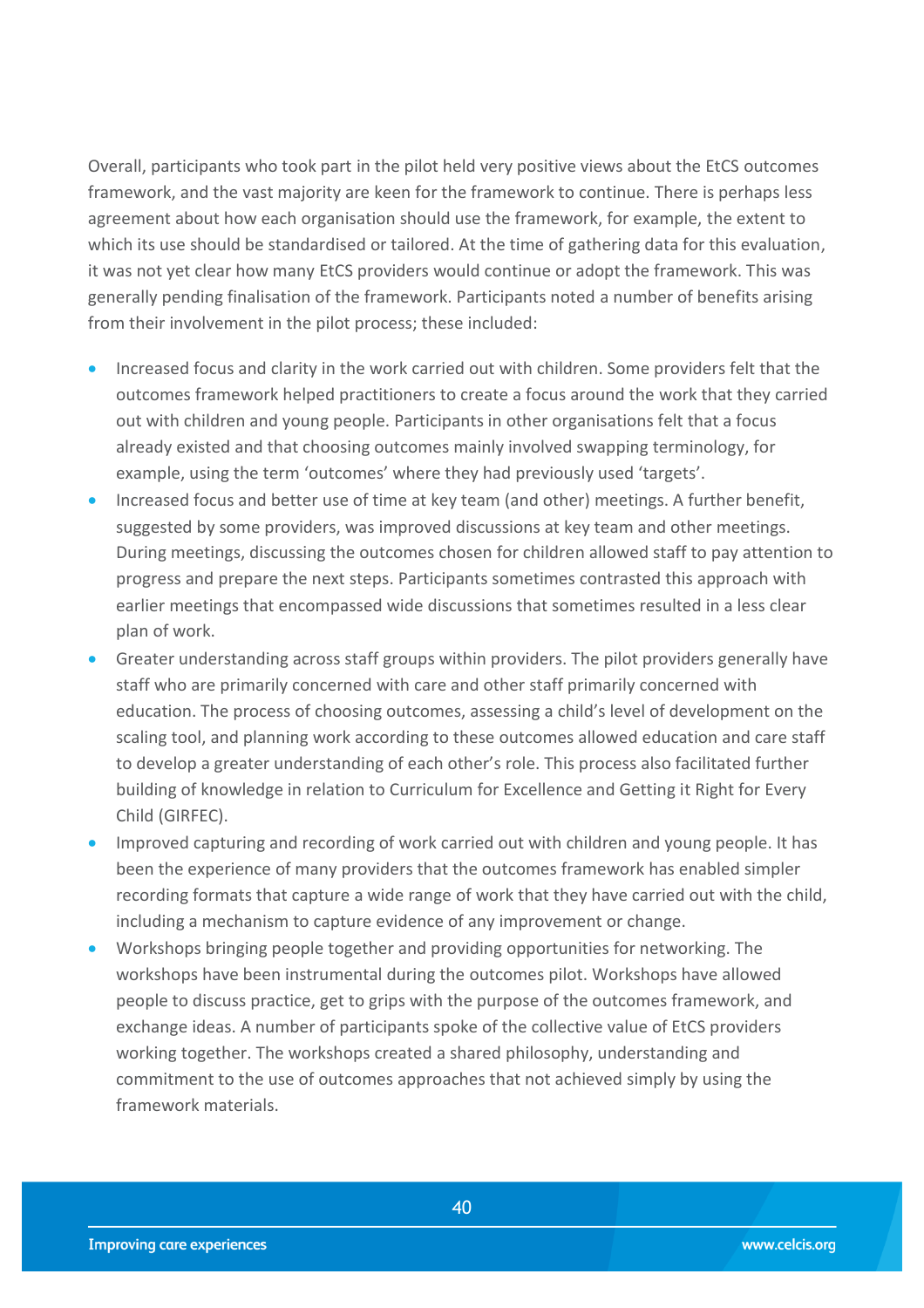Overall, participants who took part in the pilot held very positive views about the EtCS outcomes framework, and the vast majority are keen for the framework to continue. There is perhaps less agreement about how each organisation should use the framework, for example, the extent to which its use should be standardised or tailored. At the time of gathering data for this evaluation, it was not yet clear how many EtCS providers would continue or adopt the framework. This was generally pending finalisation of the framework. Participants noted a number of benefits arising from their involvement in the pilot process; these included:

- **Increased focus and clarity in the work carried out with children. Some providers felt that the** outcomes framework helped practitioners to create a focus around the work that they carried out with children and young people. Participants in other organisations felt that a focus already existed and that choosing outcomes mainly involved swapping terminology, for example, using the term 'outcomes' where they had previously used 'targets'.
- Increased focus and better use of time at key team (and other) meetings. A further benefit, suggested by some providers, was improved discussions at key team and other meetings. During meetings, discussing the outcomes chosen for children allowed staff to pay attention to progress and prepare the next steps. Participants sometimes contrasted this approach with earlier meetings that encompassed wide discussions that sometimes resulted in a less clear plan of work.
- Greater understanding across staff groups within providers. The pilot providers generally have staff who are primarily concerned with care and other staff primarily concerned with education. The process of choosing outcomes, assessing a child's level of development on the scaling tool, and planning work according to these outcomes allowed education and care staff to develop a greater understanding of each other's role. This process also facilitated further building of knowledge in relation to Curriculum for Excellence and Getting it Right for Every Child (GIRFEC).
- Improved capturing and recording of work carried out with children and young people. It has been the experience of many providers that the outcomes framework has enabled simpler recording formats that capture a wide range of work that they have carried out with the child, including a mechanism to capture evidence of any improvement or change.
- Workshops bringing people together and providing opportunities for networking. The workshops have been instrumental during the outcomes pilot. Workshops have allowed people to discuss practice, get to grips with the purpose of the outcomes framework, and exchange ideas. A number of participants spoke of the collective value of EtCS providers working together. The workshops created a shared philosophy, understanding and commitment to the use of outcomes approaches that not achieved simply by using the framework materials.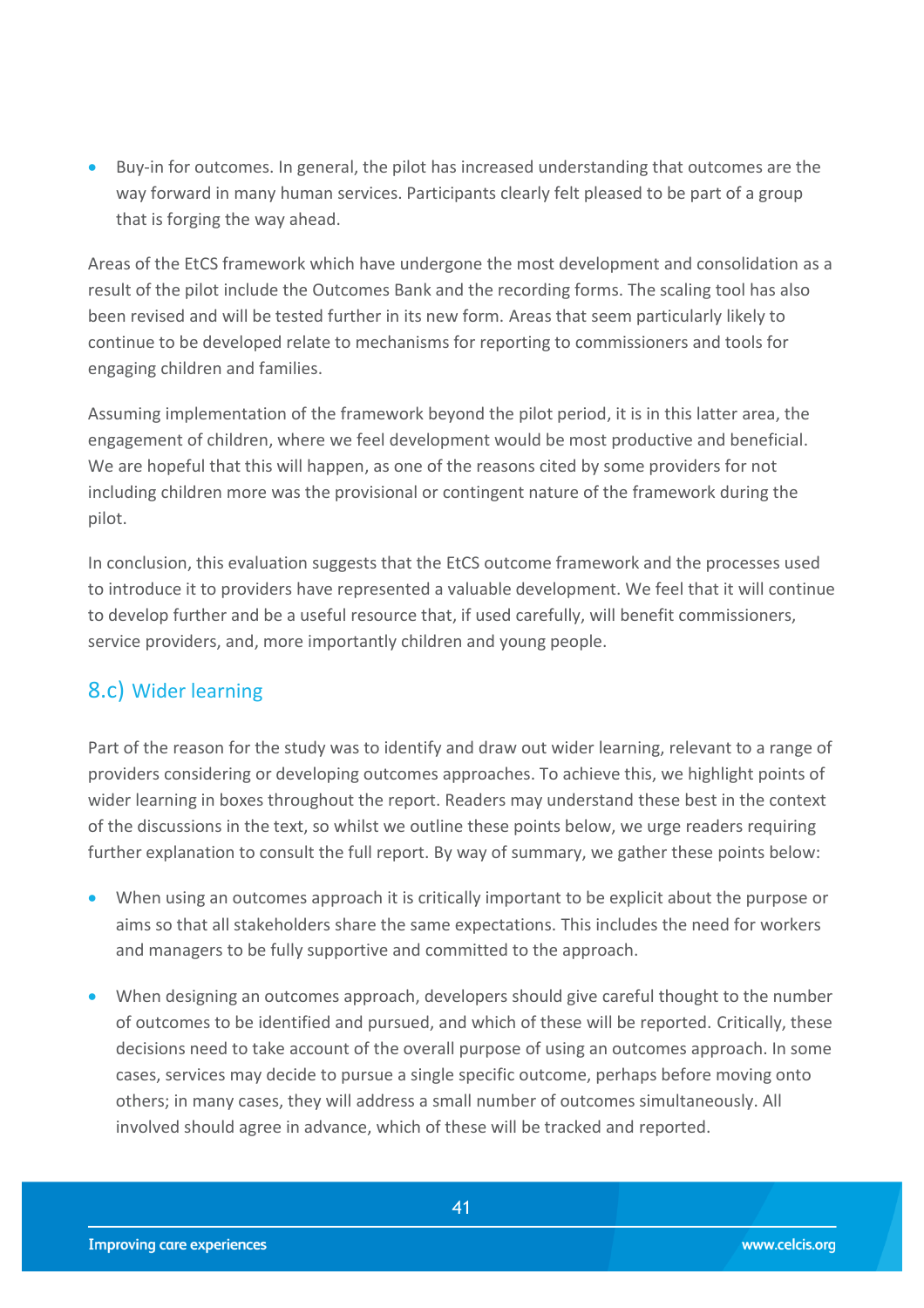Buy-in for outcomes. In general, the pilot has increased understanding that outcomes are the way forward in many human services. Participants clearly felt pleased to be part of a group that is forging the way ahead.

Areas of the EtCS framework which have undergone the most development and consolidation as a result of the pilot include the Outcomes Bank and the recording forms. The scaling tool has also been revised and will be tested further in its new form. Areas that seem particularly likely to continue to be developed relate to mechanisms for reporting to commissioners and tools for engaging children and families.

Assuming implementation of the framework beyond the pilot period, it is in this latter area, the engagement of children, where we feel development would be most productive and beneficial. We are hopeful that this will happen, as one of the reasons cited by some providers for not including children more was the provisional or contingent nature of the framework during the pilot.

In conclusion, this evaluation suggests that the EtCS outcome framework and the processes used to introduce it to providers have represented a valuable development. We feel that it will continue to develop further and be a useful resource that, if used carefully, will benefit commissioners, service providers, and, more importantly children and young people.

## <span id="page-40-0"></span>8.c) Wider learning

Part of the reason for the study was to identify and draw out wider learning, relevant to a range of providers considering or developing outcomes approaches. To achieve this, we highlight points of wider learning in boxes throughout the report. Readers may understand these best in the context of the discussions in the text, so whilst we outline these points below, we urge readers requiring further explanation to consult the full report. By way of summary, we gather these points below:

- <span id="page-40-1"></span> When using an outcomes approach it is critically important to be explicit about the purpose or aims so that all stakeholders share the same expectations. This includes the need for workers and managers to be fully supportive and committed to the approach.
- When designing an outcomes approach, developers should give careful thought to the number of outcomes to be identified and pursued, and which of these will be reported. Critically, these decisions need to take account of the overall purpose of using an outcomes approach. In some cases, services may decide to pursue a single specific outcome, perhaps before moving onto others; in many cases, they will address a small number of outcomes simultaneously. All involved should agree in advance, which of these will be tracked and reported.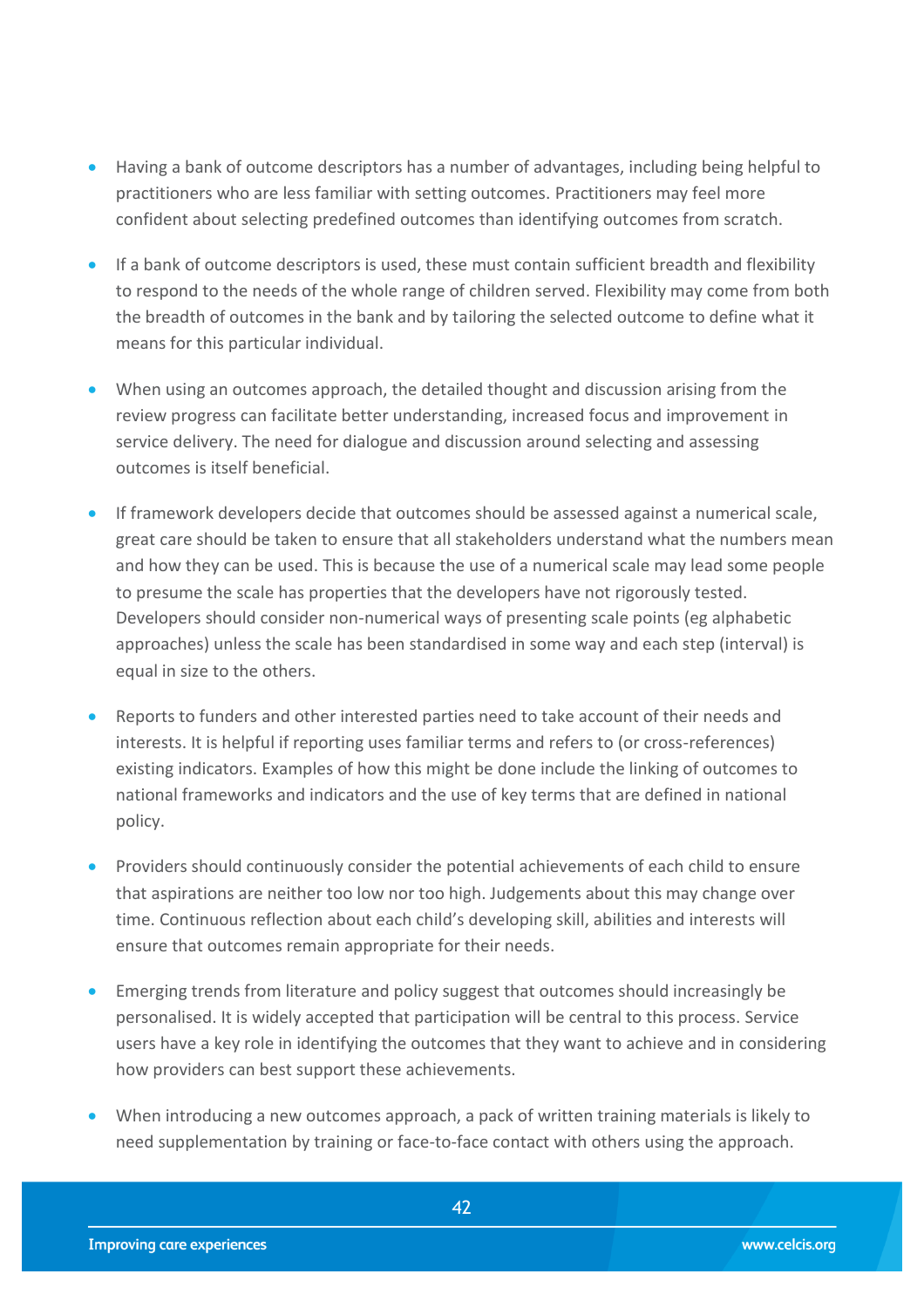- Having a bank of outcome descriptors has a number of advantages, including being helpful to practitioners who are less familiar with setting outcomes. Practitioners may feel more confident about selecting predefined outcomes than identifying outcomes from scratch.
- If a bank of outcome descriptors is used, these must contain sufficient breadth and flexibility to respond to the needs of the whole range of children served. Flexibility may come from both the breadth of outcomes in the bank and by tailoring the selected outcome to define what it means for this particular individual.
- When using an outcomes approach, the detailed thought and discussion arising from the review progress can facilitate better understanding, increased focus and improvement in service delivery. The need for dialogue and discussion around selecting and assessing outcomes is itself beneficial.
- If framework developers decide that outcomes should be assessed against a numerical scale, great care should be taken to ensure that all stakeholders understand what the numbers mean and how they can be used. This is because the use of a numerical scale may lead some people to presume the scale has properties that the developers have not rigorously tested. Developers should consider non-numerical ways of presenting scale points (eg alphabetic approaches) unless the scale has been standardised in some way and each step (interval) is equal in size to the others.
- Reports to funders and other interested parties need to take account of their needs and interests. It is helpful if reporting uses familiar terms and refers to (or cross-references) existing indicators. Examples of how this might be done include the linking of outcomes to national frameworks and indicators and the use of key terms that are defined in national policy.
- **•** Providers should continuously consider the potential achievements of each child to ensure that aspirations are neither too low nor too high. Judgements about this may change over time. Continuous reflection about each child's developing skill, abilities and interests will ensure that outcomes remain appropriate for their needs.
- Emerging trends from literature and policy suggest that outcomes should increasingly be personalised. It is widely accepted that participation will be central to this process. Service users have a key role in identifying the outcomes that they want to achieve and in considering how providers can best support these achievements.
- When introducing a new outcomes approach, a pack of written training materials is likely to need supplementation by training or face-to-face contact with others using the approach.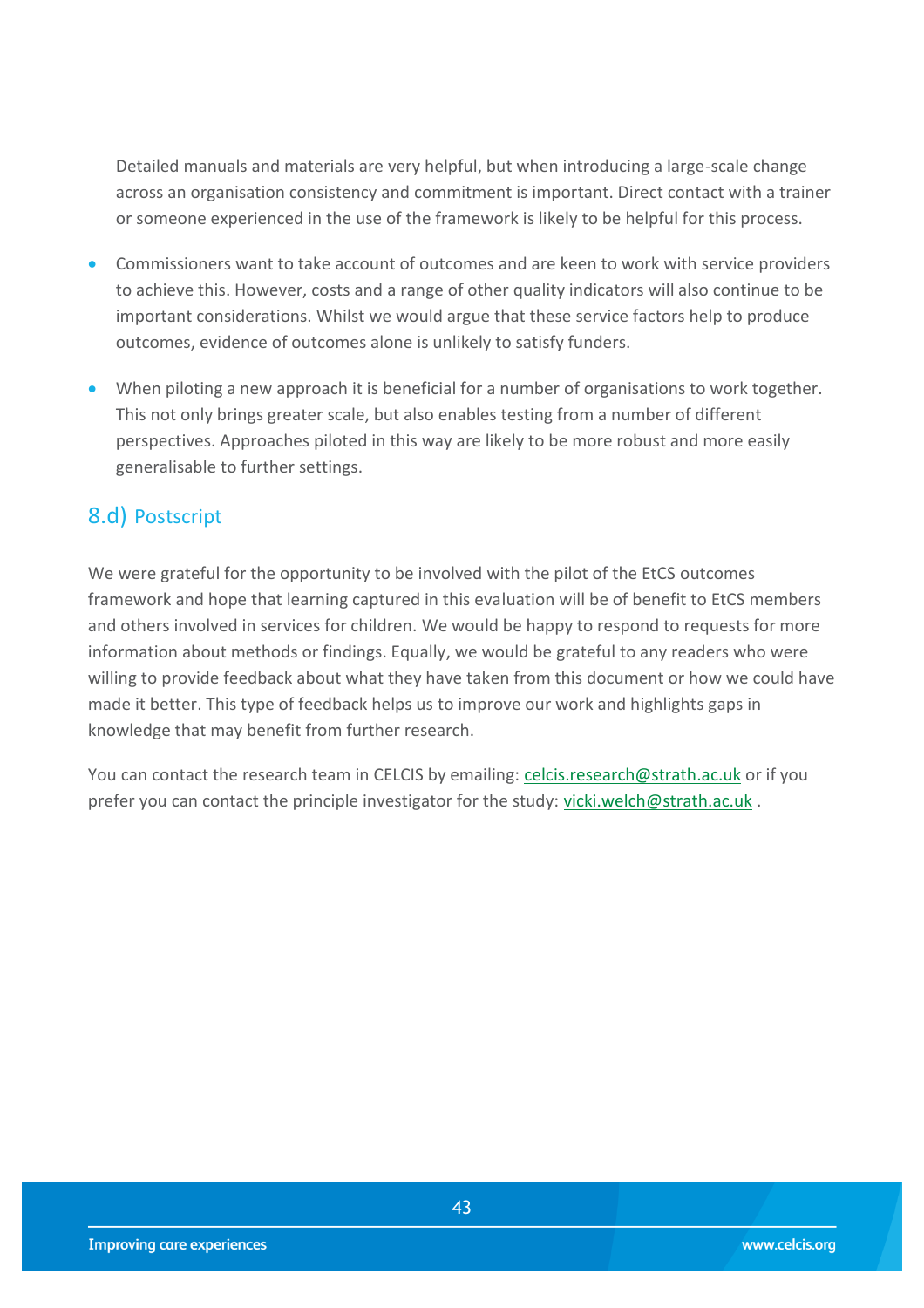Detailed manuals and materials are very helpful, but when introducing a large-scale change across an organisation consistency and commitment is important. Direct contact with a trainer or someone experienced in the use of the framework is likely to be helpful for this process.

- Commissioners want to take account of outcomes and are keen to work with service providers to achieve this. However, costs and a range of other quality indicators will also continue to be important considerations. Whilst we would argue that these service factors help to produce outcomes, evidence of outcomes alone is unlikely to satisfy funders.
- When piloting a new approach it is beneficial for a number of organisations to work together. This not only brings greater scale, but also enables testing from a number of different perspectives. Approaches piloted in this way are likely to be more robust and more easily generalisable to further settings.

## 8.d) Postscript

We were grateful for the opportunity to be involved with the pilot of the EtCS outcomes framework and hope that learning captured in this evaluation will be of benefit to EtCS members and others involved in services for children. We would be happy to respond to requests for more information about methods or findings. Equally, we would be grateful to any readers who were willing to provide feedback about what they have taken from this document or how we could have made it better. This type of feedback helps us to improve our work and highlights gaps in knowledge that may benefit from further research.

You can contact the research team in CELCIS by emailing: [celcis.research@strath.ac.uk](mailto:celcis.research@strath.ac.uk) or if you prefer you can contact the principle investigator for the study: [vicki.welch@strath.ac.uk](mailto:vicki.welch@strath.ac.uk) .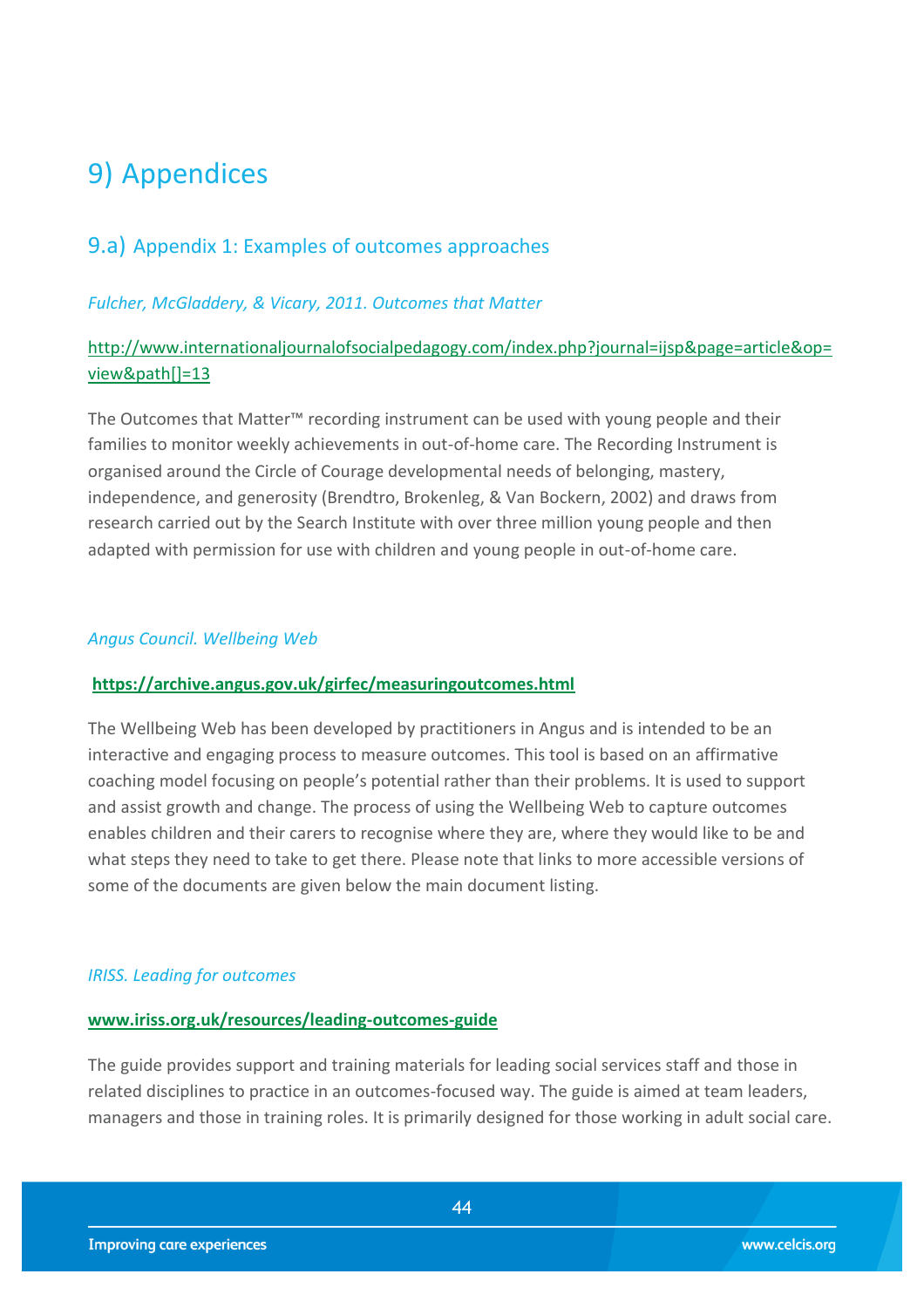## <span id="page-43-0"></span>9) Appendices

### <span id="page-43-1"></span>9.a) Appendix 1: Examples of outcomes approaches

#### *Fulcher, McGladdery, & Vicary, 2011. Outcomes that Matter*

#### [http://www.internationaljournalofsocialpedagogy.com/index.php?journal=ijsp&page=article&op=](http://www.internationaljournalofsocialpedagogy.com/index.php?journal=ijsp&page=article&op=view&path%5b%5d=13) [view&path\[\]=13](http://www.internationaljournalofsocialpedagogy.com/index.php?journal=ijsp&page=article&op=view&path%5b%5d=13)

The Outcomes that Matter™ recording instrument can be used with young people and their families to monitor weekly achievements in out-of-home care. The Recording Instrument is organised around the Circle of Courage developmental needs of belonging, mastery, independence, and generosity (Brendtro, Brokenleg, & Van Bockern, 2002) and draws from research carried out by the Search Institute with over three million young people and then adapted with permission for use with children and young people in out-of-home care.

#### *Angus Council. Wellbeing Web*

#### **<https://archive.angus.gov.uk/girfec/measuringoutcomes.html>**

The Wellbeing Web has been developed by practitioners in Angus and is intended to be an interactive and engaging process to measure outcomes. This tool is based on an affirmative coaching model focusing on people's potential rather than their problems. It is used to support and assist growth and change. The process of using the Wellbeing Web to capture outcomes enables children and their carers to recognise where they are, where they would like to be and what steps they need to take to get there. Please note that links to more accessible versions of some of the documents are given below the main document listing.

#### *IRISS. Leading for outcomes*

#### **[www.iriss.org.uk/resources/leading-outcomes-guide](http://www.iriss.org.uk/resources/leading-outcomes-guide)**

The guide provides support and training materials for leading social services staff and those in related disciplines to practice in an outcomes-focused way. The guide is aimed at team leaders, managers and those in training roles. It is primarily designed for those working in adult social care.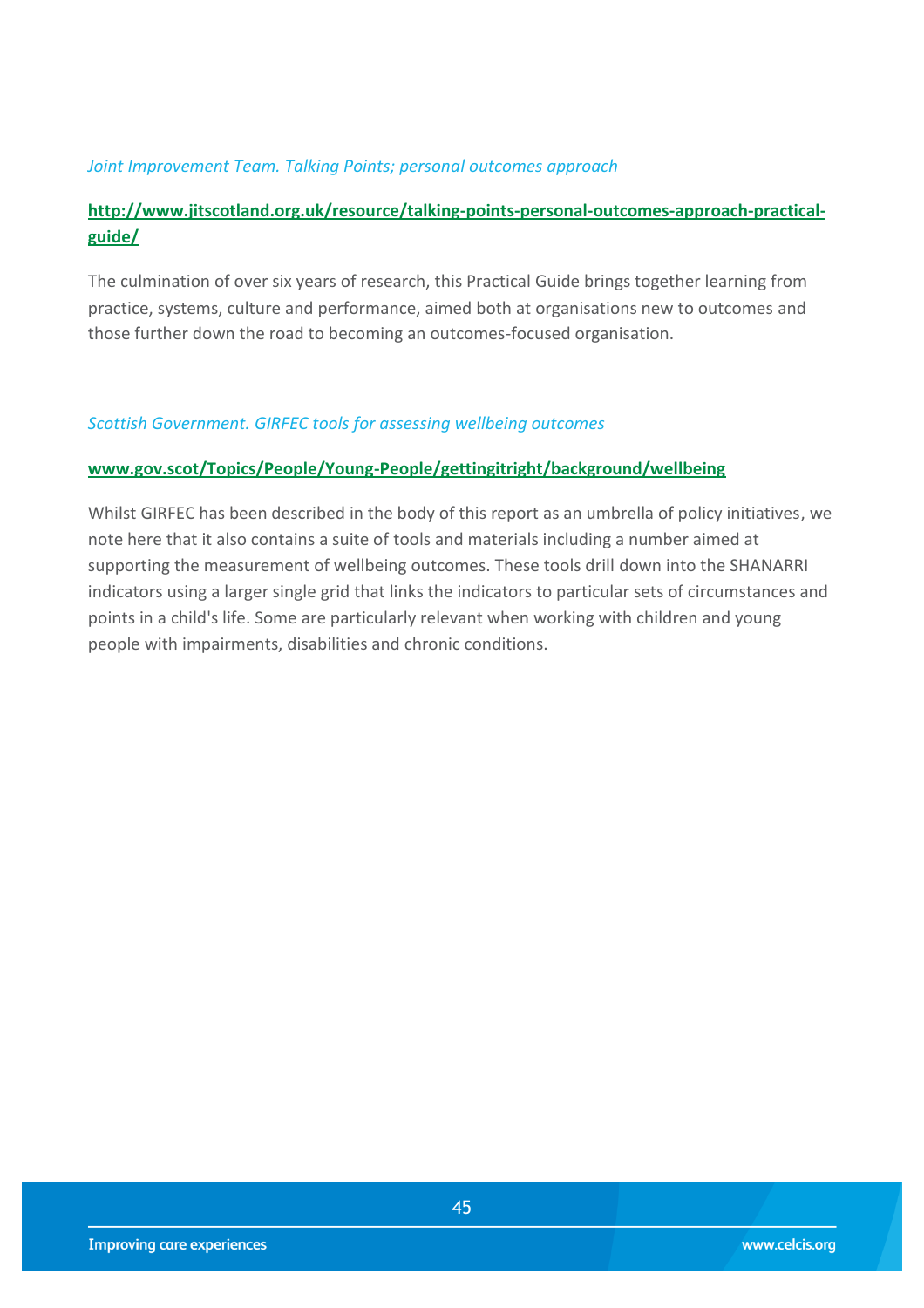#### *Joint Improvement Team. Talking Points; personal outcomes approach*

### **[http://www.jitscotland.org.uk/resource/talking-points-personal-outcomes-approach-practical](http://www.jitscotland.org.uk/resource/talking-points-personal-outcomes-approach-practical-guide/)[guide/](http://www.jitscotland.org.uk/resource/talking-points-personal-outcomes-approach-practical-guide/)**

The culmination of over six years of research, this Practical Guide brings together learning from practice, systems, culture and performance, aimed both at organisations new to outcomes and those further down the road to becoming an outcomes-focused organisation.

#### *Scottish Government. GIRFEC tools for assessing wellbeing outcomes*

#### **[www.gov.scot/Topics/People/Young-People/gettingitright/background/wellbeing](http://www.gov.scot/Topics/People/Young-People/gettingitright/background/wellbeing)**

Whilst GIRFEC has been described in the body of this report as an umbrella of policy initiatives, we note here that it also contains a suite of tools and materials including a number aimed at supporting the measurement of wellbeing outcomes. These tools drill down into the SHANARRI indicators using a larger single grid that links the indicators to particular sets of circumstances and points in a child's life. Some are particularly relevant when working with children and young people with impairments, disabilities and chronic conditions.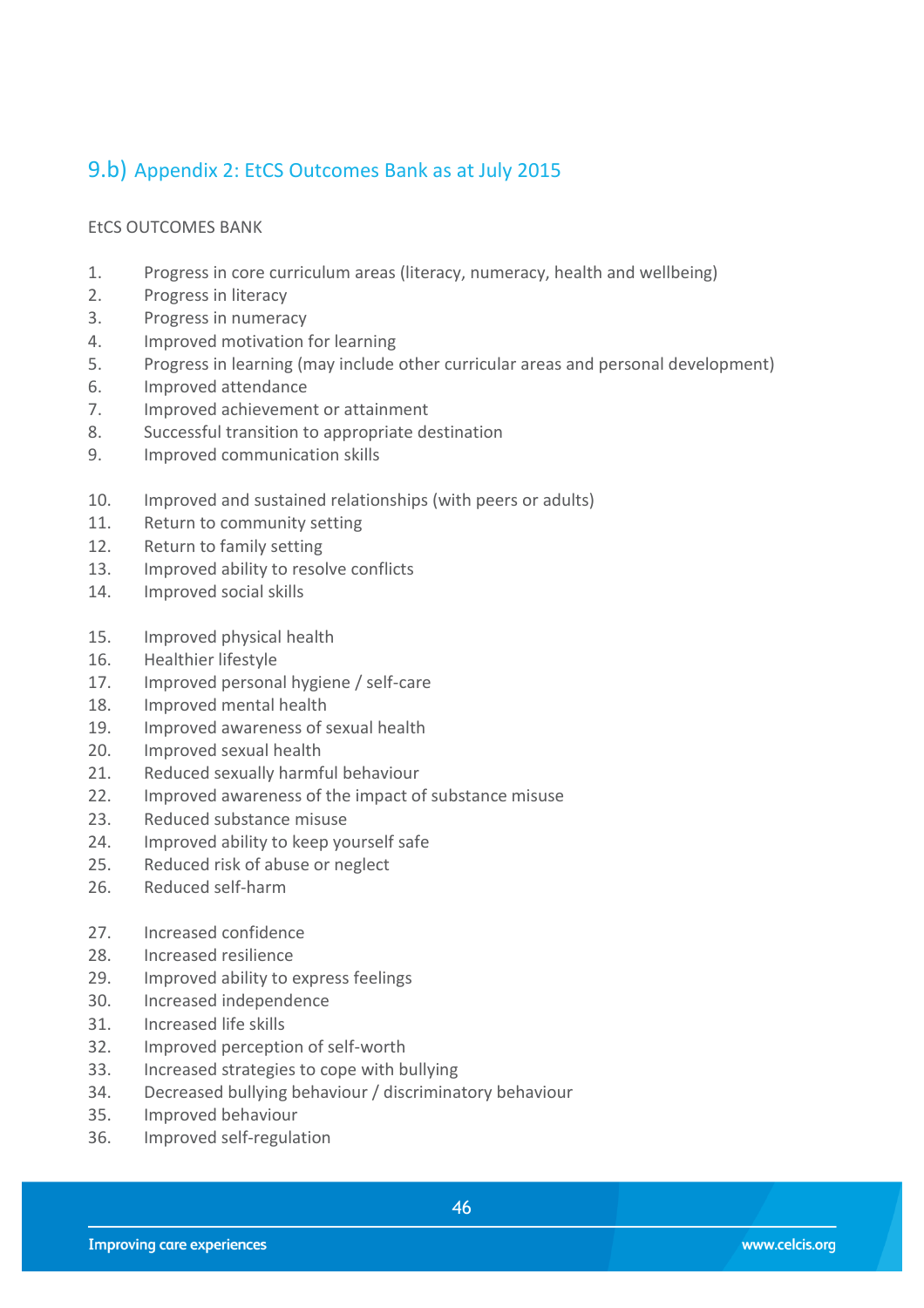## <span id="page-45-0"></span>9.b) Appendix 2: EtCS Outcomes Bank as at July 2015

#### EtCS OUTCOMES BANK

- 1. Progress in core curriculum areas (literacy, numeracy, health and wellbeing)
- 2. Progress in literacy
- 3. Progress in numeracy
- 4. Improved motivation for learning
- 5. Progress in learning (may include other curricular areas and personal development)
- 6. Improved attendance
- 7. Improved achievement or attainment
- 8. Successful transition to appropriate destination
- 9. Improved communication skills
- 10. Improved and sustained relationships (with peers or adults)
- 11. Return to community setting
- 12. Return to family setting
- 13. Improved ability to resolve conflicts
- 14. Improved social skills
- 15. Improved physical health
- 16. Healthier lifestyle
- 17. Improved personal hygiene / self-care
- 18. Improved mental health
- 19. Improved awareness of sexual health
- 20. Improved sexual health
- 21. Reduced sexually harmful behaviour
- 22. Improved awareness of the impact of substance misuse
- 23. Reduced substance misuse
- 24. Improved ability to keep yourself safe
- 25. Reduced risk of abuse or neglect
- 26. Reduced self-harm
- 27. Increased confidence
- 28. Increased resilience
- 29. Improved ability to express feelings
- 30. Increased independence
- 31. Increased life skills
- 32. Improved perception of self-worth
- 33. Increased strategies to cope with bullying
- 34. Decreased bullying behaviour / discriminatory behaviour
- 35. Improved behaviour
- 36. Improved self-regulation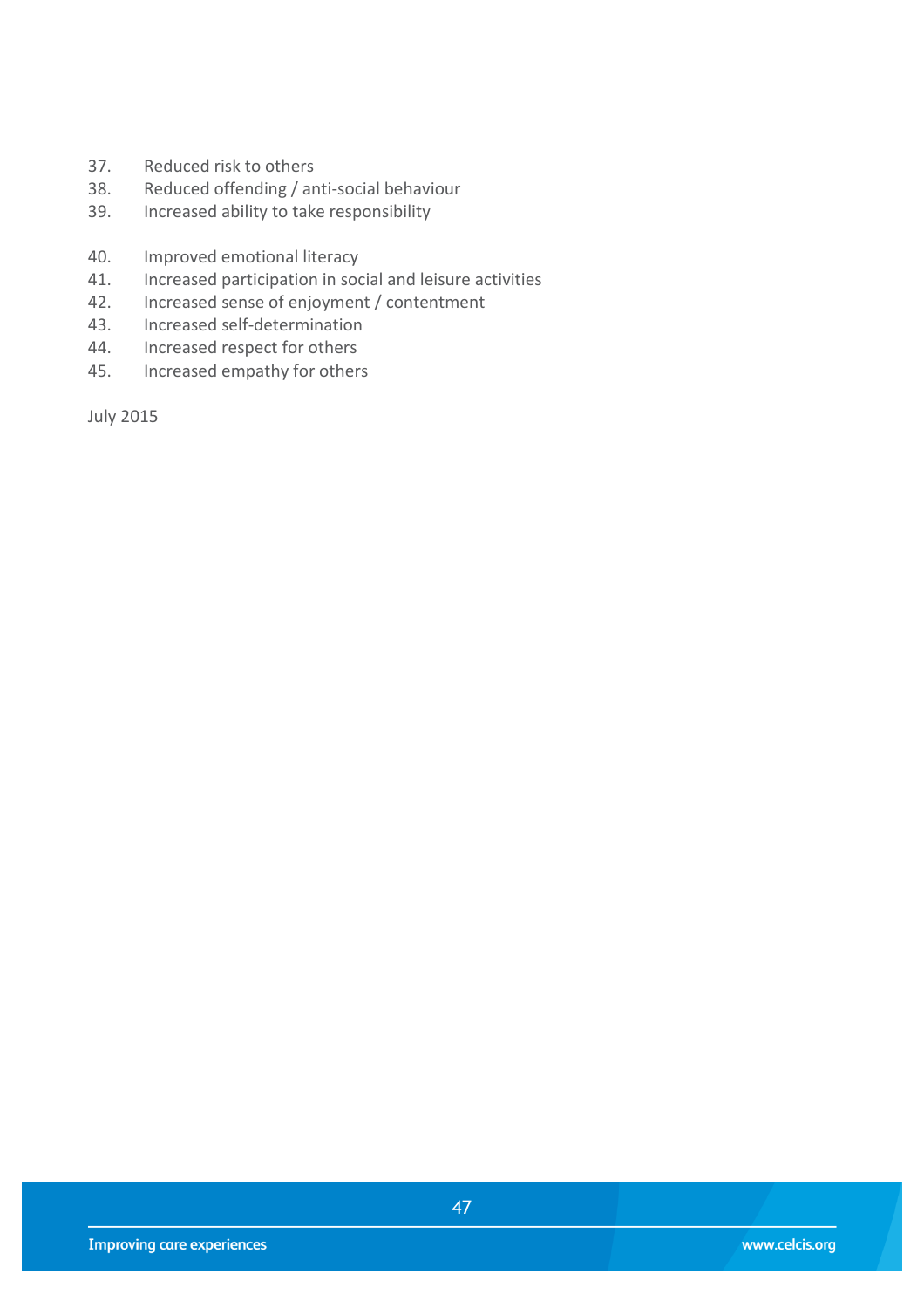- 37. Reduced risk to others
- 38. Reduced offending / anti-social behaviour
- 39. Increased ability to take responsibility
- 40. Improved emotional literacy
- 41. Increased participation in social and leisure activities
- 42. Increased sense of enjoyment / contentment
- 43. Increased self-determination
- 44. Increased respect for others<br>45. Increased empathy for others
- Increased empathy for others

July 2015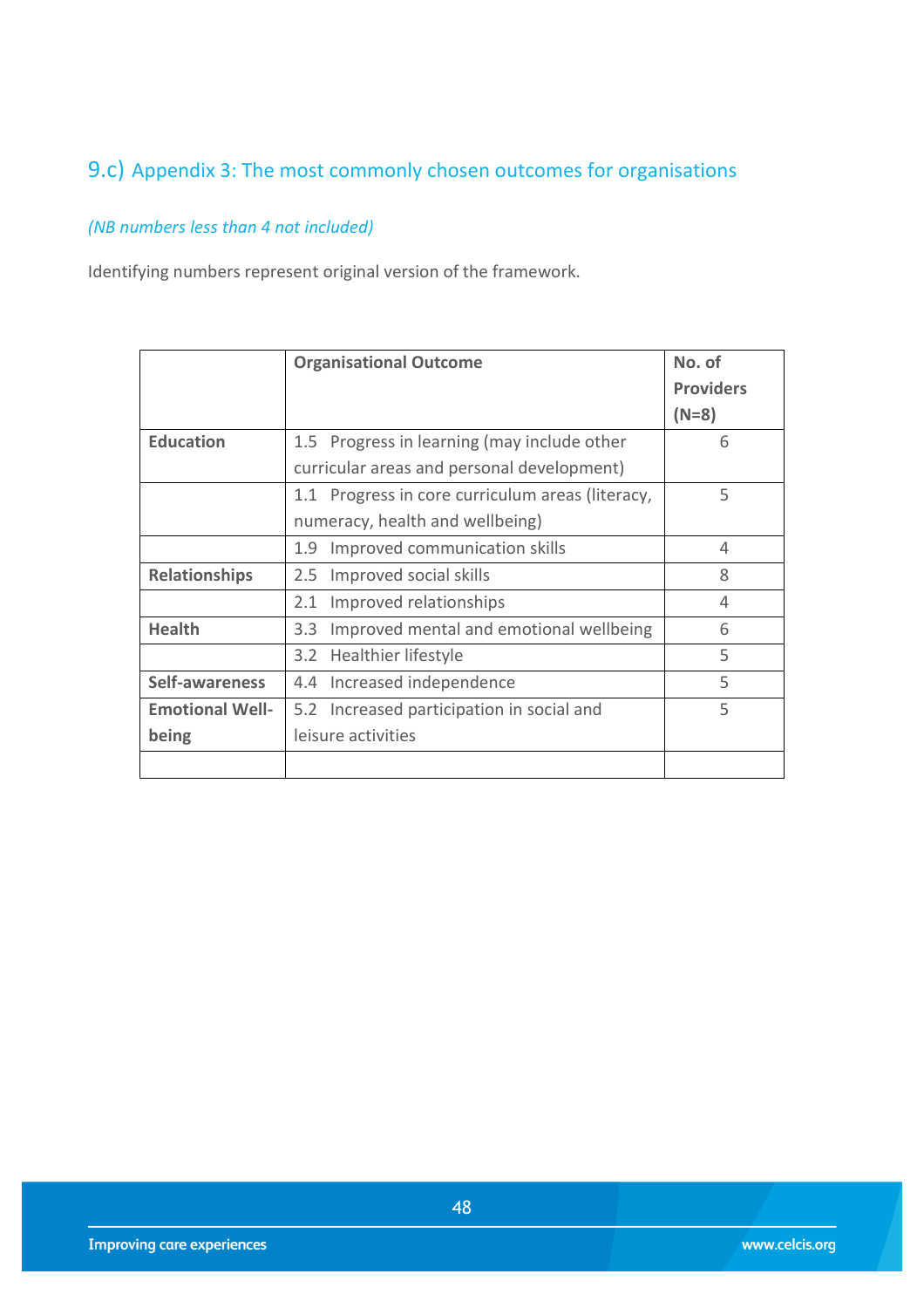## <span id="page-47-0"></span>9.c) Appendix 3: The most commonly chosen outcomes for organisations

## *(NB numbers less than 4 not included)*

Identifying numbers represent original version of the framework.

|                        | <b>Organisational Outcome</b>                    | No. of           |
|------------------------|--------------------------------------------------|------------------|
|                        |                                                  | <b>Providers</b> |
|                        |                                                  | $(N=8)$          |
| <b>Education</b>       | 1.5 Progress in learning (may include other      | 6                |
|                        | curricular areas and personal development)       |                  |
|                        | 1.1 Progress in core curriculum areas (literacy, | 5                |
|                        | numeracy, health and wellbeing)                  |                  |
|                        | Improved communication skills<br>1.9             | 4                |
| <b>Relationships</b>   | 2.5 Improved social skills                       | 8                |
|                        | Improved relationships<br>2.1                    | 4                |
| <b>Health</b>          | Improved mental and emotional wellbeing<br>3.3   | 6                |
|                        | 3.2 Healthier lifestyle                          | 5                |
| Self-awareness         | 4.4 Increased independence                       | 5                |
| <b>Emotional Well-</b> | 5.2 Increased participation in social and        | 5                |
| being                  | leisure activities                               |                  |
|                        |                                                  |                  |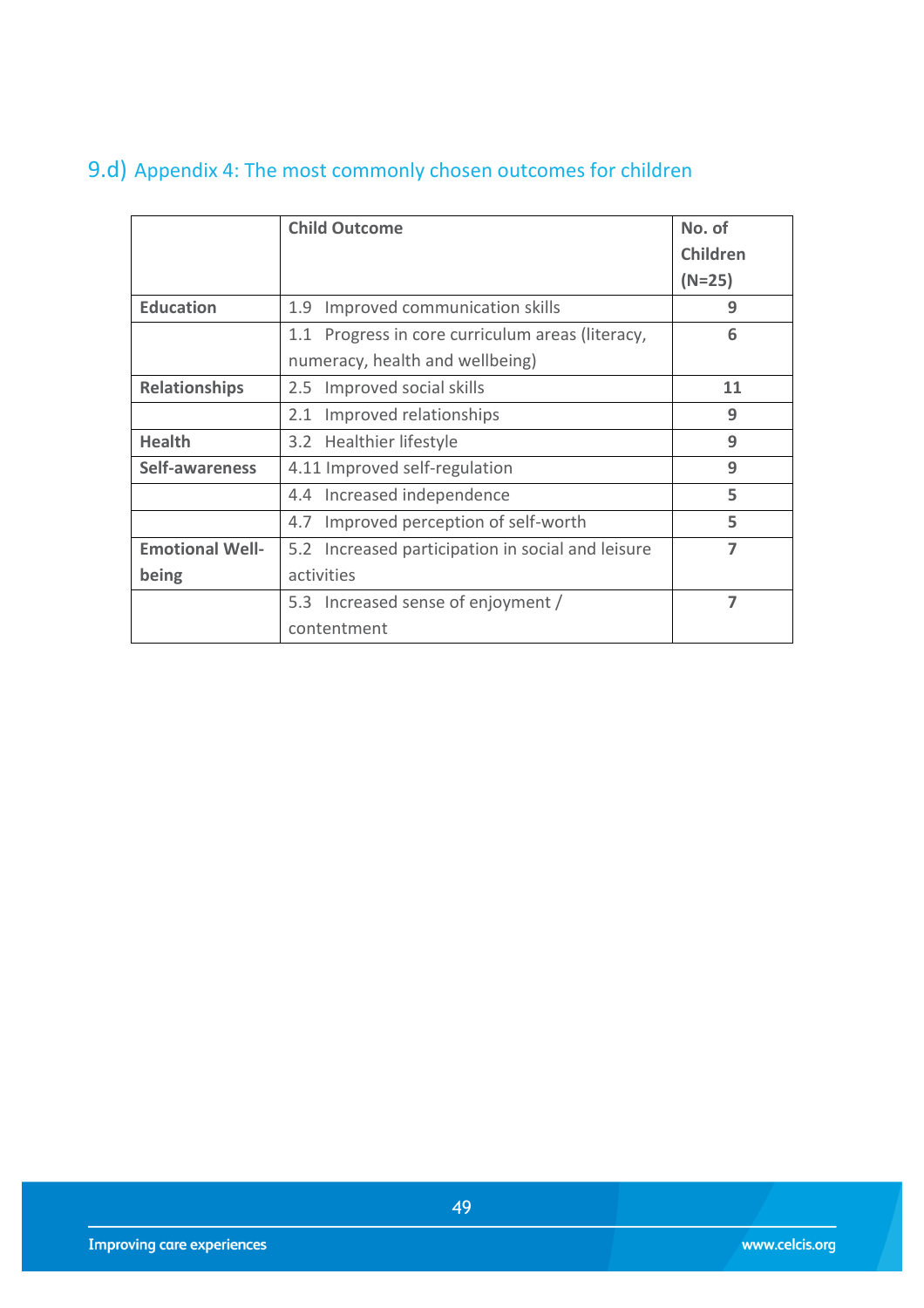## <span id="page-48-0"></span>9.d) Appendix 4: The most commonly chosen outcomes for children

|                        | <b>Child Outcome</b>                              | No. of         |
|------------------------|---------------------------------------------------|----------------|
|                        |                                                   | Children       |
|                        |                                                   | $(N=25)$       |
| <b>Education</b>       | Improved communication skills<br>1.9              | 9              |
|                        | 1.1 Progress in core curriculum areas (literacy,  | 6              |
|                        | numeracy, health and wellbeing)                   |                |
| <b>Relationships</b>   | 2.5 Improved social skills                        | 11             |
|                        | 2.1 Improved relationships                        | 9              |
| <b>Health</b>          | 3.2 Healthier lifestyle                           | 9              |
| Self-awareness         | 4.11 Improved self-regulation                     | 9              |
|                        | 4.4 Increased independence                        | 5              |
|                        | Improved perception of self-worth<br>4.7          | 5              |
| <b>Emotional Well-</b> | 5.2 Increased participation in social and leisure | $\overline{ }$ |
| being                  | activities                                        |                |
|                        | 5.3 Increased sense of enjoyment /                | 7              |
|                        | contentment                                       |                |

49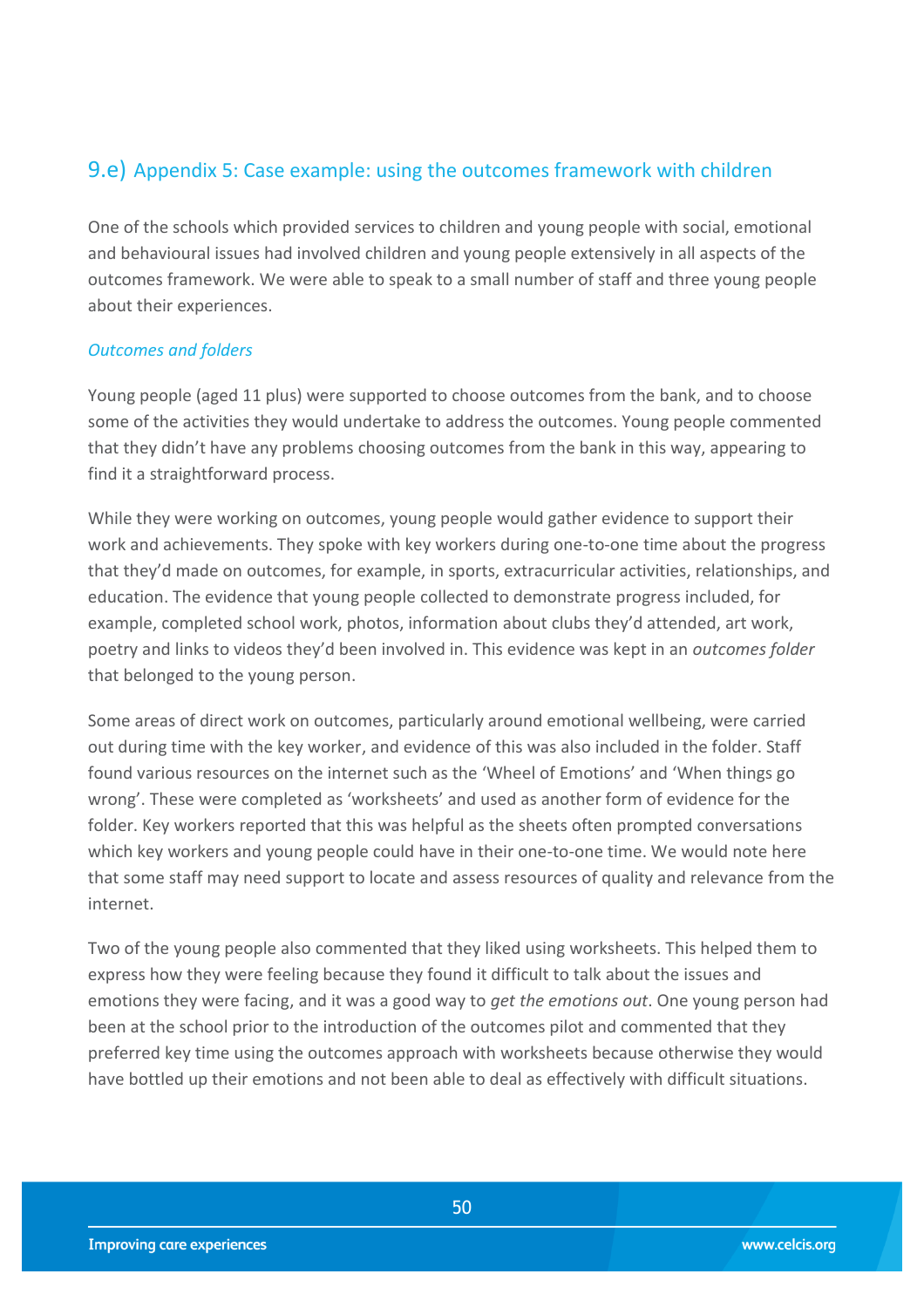## <span id="page-49-0"></span>9.e) Appendix 5: Case example: using the outcomes framework with children

One of the schools which provided services to children and young people with social, emotional and behavioural issues had involved children and young people extensively in all aspects of the outcomes framework. We were able to speak to a small number of staff and three young people about their experiences.

#### *Outcomes and folders*

Young people (aged 11 plus) were supported to choose outcomes from the bank, and to choose some of the activities they would undertake to address the outcomes. Young people commented that they didn't have any problems choosing outcomes from the bank in this way, appearing to find it a straightforward process.

While they were working on outcomes, young people would gather evidence to support their work and achievements. They spoke with key workers during one-to-one time about the progress that they'd made on outcomes, for example, in sports, extracurricular activities, relationships, and education. The evidence that young people collected to demonstrate progress included, for example, completed school work, photos, information about clubs they'd attended, art work, poetry and links to videos they'd been involved in. This evidence was kept in an *outcomes folder*  that belonged to the young person.

Some areas of direct work on outcomes, particularly around emotional wellbeing, were carried out during time with the key worker, and evidence of this was also included in the folder. Staff found various resources on the internet such as the 'Wheel of Emotions' and 'When things go wrong'. These were completed as 'worksheets' and used as another form of evidence for the folder. Key workers reported that this was helpful as the sheets often prompted conversations which key workers and young people could have in their one-to-one time. We would note here that some staff may need support to locate and assess resources of quality and relevance from the internet.

Two of the young people also commented that they liked using worksheets. This helped them to express how they were feeling because they found it difficult to talk about the issues and emotions they were facing, and it was a good way to *get the emotions out*. One young person had been at the school prior to the introduction of the outcomes pilot and commented that they preferred key time using the outcomes approach with worksheets because otherwise they would have bottled up their emotions and not been able to deal as effectively with difficult situations.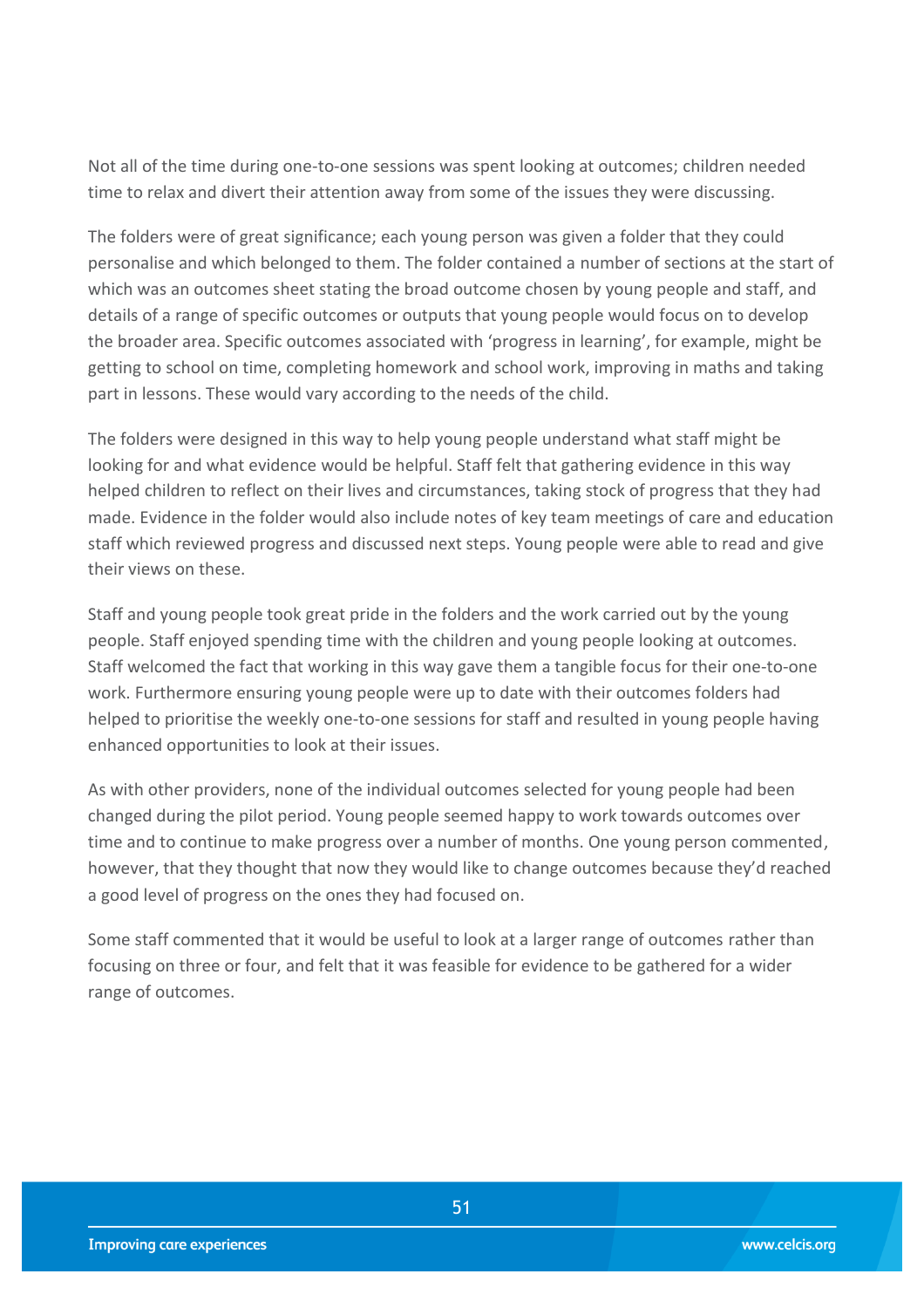Not all of the time during one-to-one sessions was spent looking at outcomes; children needed time to relax and divert their attention away from some of the issues they were discussing.

The folders were of great significance; each young person was given a folder that they could personalise and which belonged to them. The folder contained a number of sections at the start of which was an outcomes sheet stating the broad outcome chosen by young people and staff, and details of a range of specific outcomes or outputs that young people would focus on to develop the broader area. Specific outcomes associated with 'progress in learning', for example, might be getting to school on time, completing homework and school work, improving in maths and taking part in lessons. These would vary according to the needs of the child.

The folders were designed in this way to help young people understand what staff might be looking for and what evidence would be helpful. Staff felt that gathering evidence in this way helped children to reflect on their lives and circumstances, taking stock of progress that they had made. Evidence in the folder would also include notes of key team meetings of care and education staff which reviewed progress and discussed next steps. Young people were able to read and give their views on these.

Staff and young people took great pride in the folders and the work carried out by the young people. Staff enjoyed spending time with the children and young people looking at outcomes. Staff welcomed the fact that working in this way gave them a tangible focus for their one-to-one work. Furthermore ensuring young people were up to date with their outcomes folders had helped to prioritise the weekly one-to-one sessions for staff and resulted in young people having enhanced opportunities to look at their issues.

As with other providers, none of the individual outcomes selected for young people had been changed during the pilot period. Young people seemed happy to work towards outcomes over time and to continue to make progress over a number of months. One young person commented, however, that they thought that now they would like to change outcomes because they'd reached a good level of progress on the ones they had focused on.

Some staff commented that it would be useful to look at a larger range of outcomes rather than focusing on three or four, and felt that it was feasible for evidence to be gathered for a wider range of outcomes.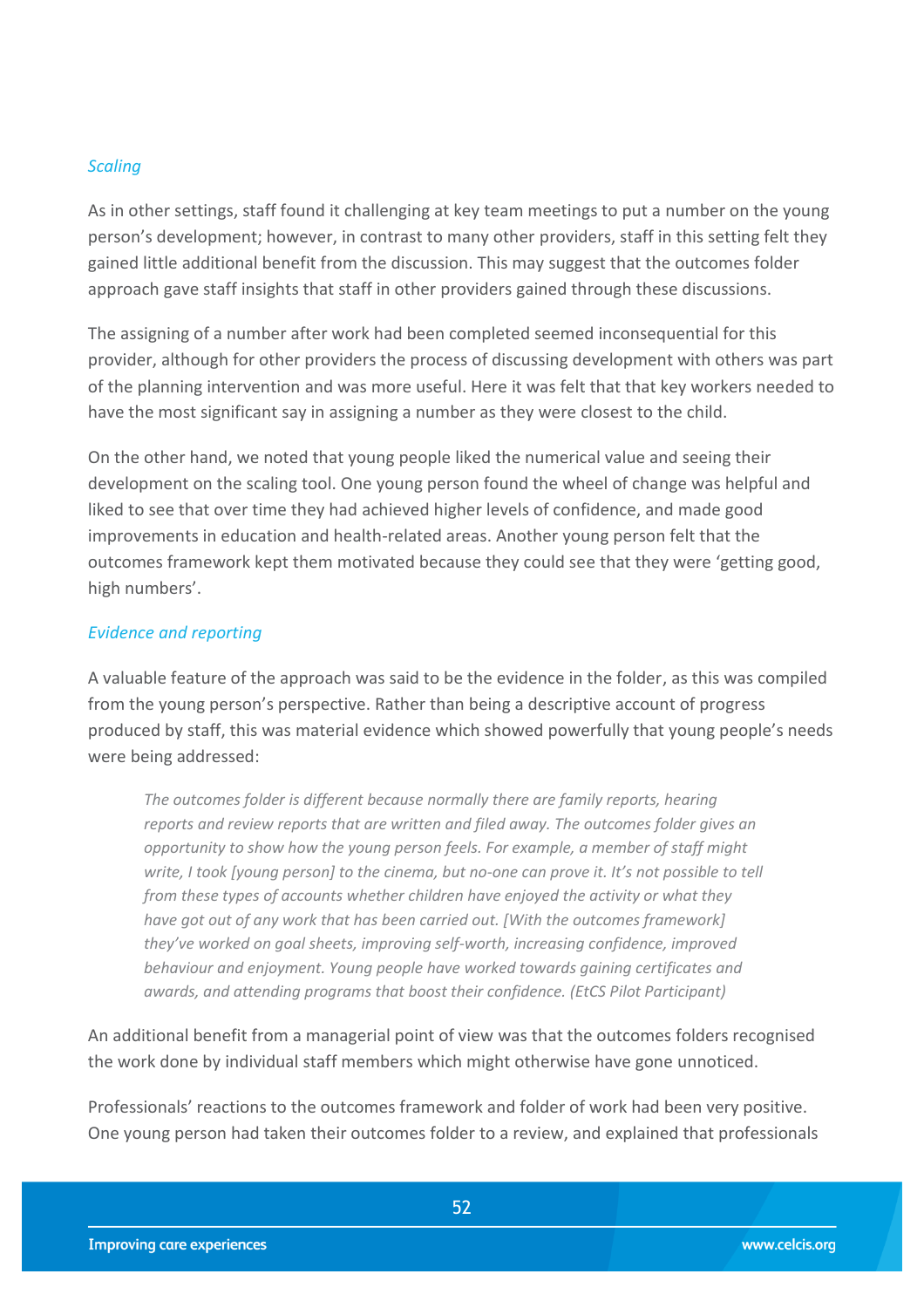#### *Scaling*

As in other settings, staff found it challenging at key team meetings to put a number on the young person's development; however, in contrast to many other providers, staff in this setting felt they gained little additional benefit from the discussion. This may suggest that the outcomes folder approach gave staff insights that staff in other providers gained through these discussions.

The assigning of a number after work had been completed seemed inconsequential for this provider, although for other providers the process of discussing development with others was part of the planning intervention and was more useful. Here it was felt that that key workers needed to have the most significant say in assigning a number as they were closest to the child.

On the other hand, we noted that young people liked the numerical value and seeing their development on the scaling tool. One young person found the wheel of change was helpful and liked to see that over time they had achieved higher levels of confidence, and made good improvements in education and health-related areas. Another young person felt that the outcomes framework kept them motivated because they could see that they were 'getting good, high numbers'.

#### *Evidence and reporting*

A valuable feature of the approach was said to be the evidence in the folder, as this was compiled from the young person's perspective. Rather than being a descriptive account of progress produced by staff, this was material evidence which showed powerfully that young people's needs were being addressed:

*The outcomes folder is different because normally there are family reports, hearing reports and review reports that are written and filed away. The outcomes folder gives an opportunity to show how the young person feels. For example, a member of staff might write, I took [young person] to the cinema, but no-one can prove it. It's not possible to tell from these types of accounts whether children have enjoyed the activity or what they have got out of any work that has been carried out. [With the outcomes framework] they've worked on goal sheets, improving self-worth, increasing confidence, improved behaviour and enjoyment. Young people have worked towards gaining certificates and awards, and attending programs that boost their confidence. (EtCS Pilot Participant)* 

An additional benefit from a managerial point of view was that the outcomes folders recognised the work done by individual staff members which might otherwise have gone unnoticed.

Professionals' reactions to the outcomes framework and folder of work had been very positive. One young person had taken their outcomes folder to a review, and explained that professionals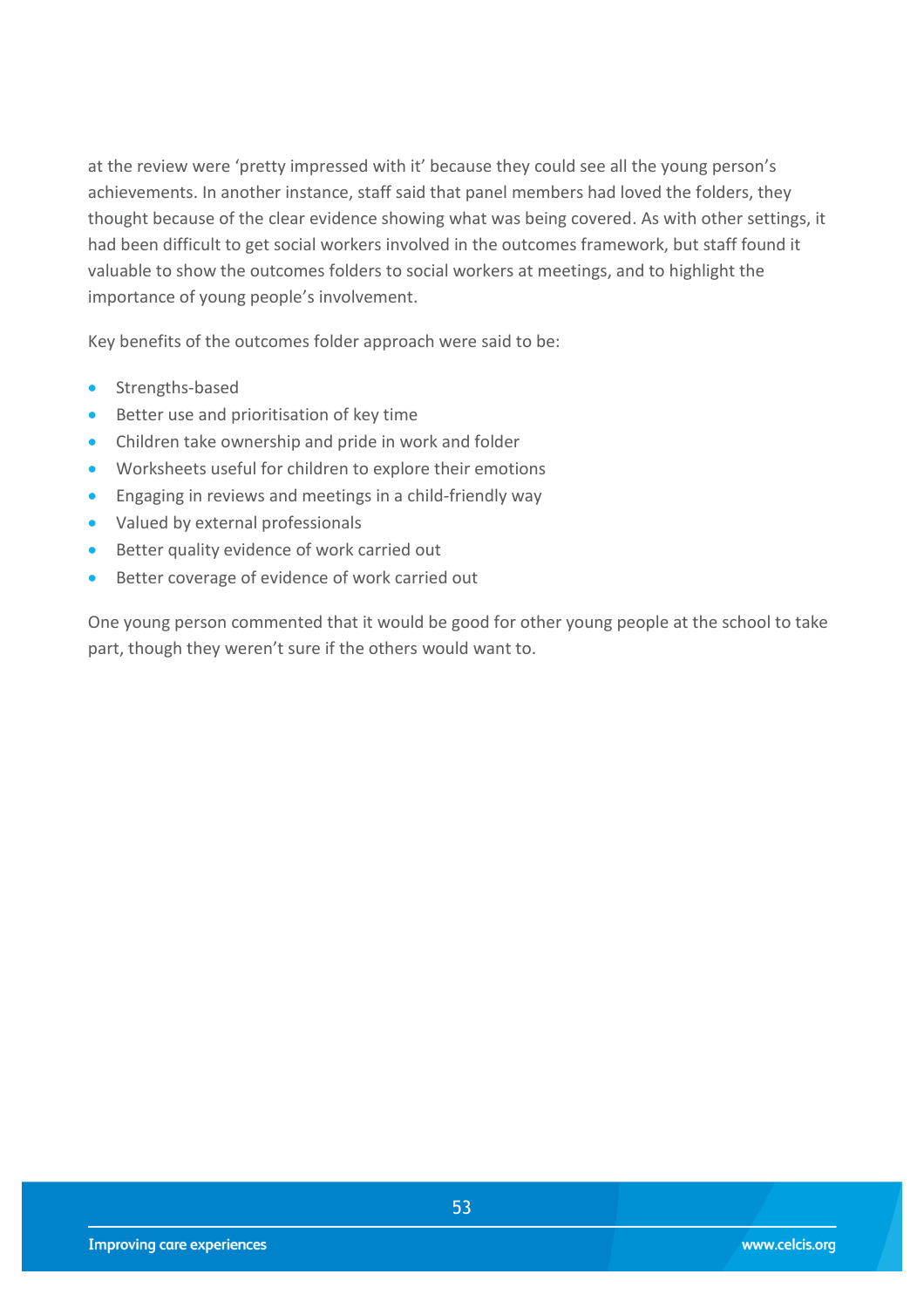at the review were 'pretty impressed with it' because they could see all the young person's achievements. In another instance, staff said that panel members had loved the folders, they thought because of the clear evidence showing what was being covered. As with other settings, it had been difficult to get social workers involved in the outcomes framework, but staff found it valuable to show the outcomes folders to social workers at meetings, and to highlight the importance of young people's involvement.

Key benefits of the outcomes folder approach were said to be:

- Strengths-based
- **Better use and prioritisation of key time**
- Children take ownership and pride in work and folder
- Worksheets useful for children to explore their emotions
- **•** Engaging in reviews and meetings in a child-friendly way
- Valued by external professionals
- **Better quality evidence of work carried out**
- **Better coverage of evidence of work carried out**

One young person commented that it would be good for other young people at the school to take part, though they weren't sure if the others would want to.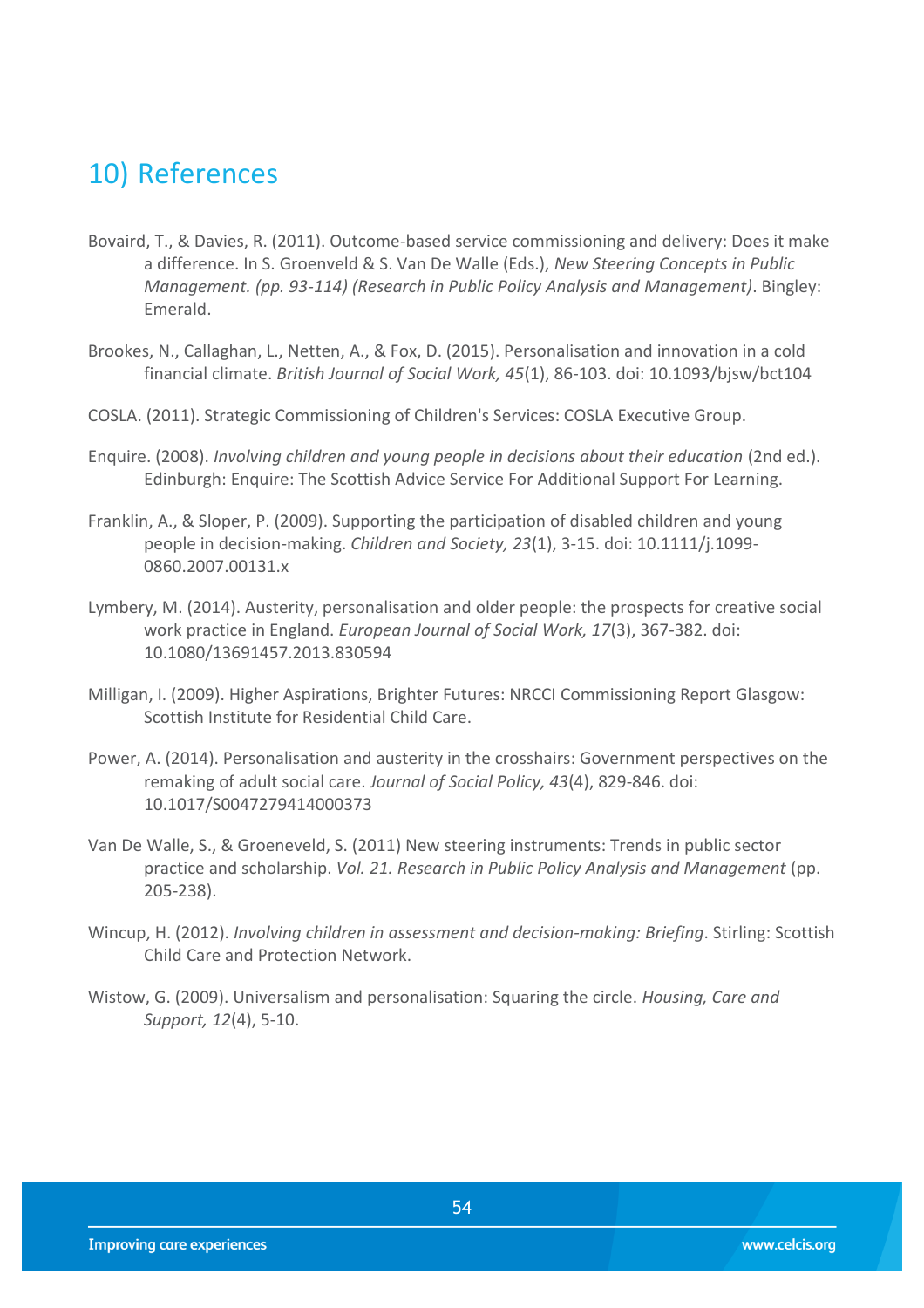## <span id="page-53-0"></span>10) References

- <span id="page-53-4"></span>Bovaird, T., & Davies, R. (2011). Outcome-based service commissioning and delivery: Does it make a difference. In S. Groenveld & S. Van De Walle (Eds.), *New Steering Concepts in Public Management. (pp. 93-114) (Research in Public Policy Analysis and Management)*. Bingley: Emerald.
- Brookes, N., Callaghan, L., Netten, A., & Fox, D. (2015). Personalisation and innovation in a cold financial climate. *British Journal of Social Work, 45*(1), 86-103. doi: 10.1093/bjsw/bct104
- <span id="page-53-7"></span><span id="page-53-1"></span>COSLA. (2011). Strategic Commissioning of Children's Services: COSLA Executive Group.
- Enquire. (2008). *Involving children and young people in decisions about their education* (2nd ed.). Edinburgh: Enquire: The Scottish Advice Service For Additional Support For Learning.
- <span id="page-53-8"></span>Franklin, A., & Sloper, P. (2009). Supporting the participation of disabled children and young people in decision-making. *Children and Society, 23*(1), 3-15. doi: 10.1111/j.1099- 0860.2007.00131.x
- Lymbery, M. (2014). Austerity, personalisation and older people: the prospects for creative social work practice in England. *European Journal of Social Work, 17*(3), 367-382. doi: 10.1080/13691457.2013.830594
- <span id="page-53-2"></span>Milligan, I. (2009). Higher Aspirations, Brighter Futures: NRCCI Commissioning Report Glasgow: Scottish Institute for Residential Child Care.
- <span id="page-53-5"></span>Power, A. (2014). Personalisation and austerity in the crosshairs: Government perspectives on the remaking of adult social care. *Journal of Social Policy, 43*(4), 829-846. doi: 10.1017/S0047279414000373
- <span id="page-53-3"></span>Van De Walle, S., & Groeneveld, S. (2011) New steering instruments: Trends in public sector practice and scholarship. *Vol. 21. Research in Public Policy Analysis and Management* (pp. 205-238).
- <span id="page-53-9"></span>Wincup, H. (2012). *Involving children in assessment and decision-making: Briefing*. Stirling: Scottish Child Care and Protection Network.
- <span id="page-53-6"></span>Wistow, G. (2009). Universalism and personalisation: Squaring the circle. *Housing, Care and Support, 12*(4), 5-10.